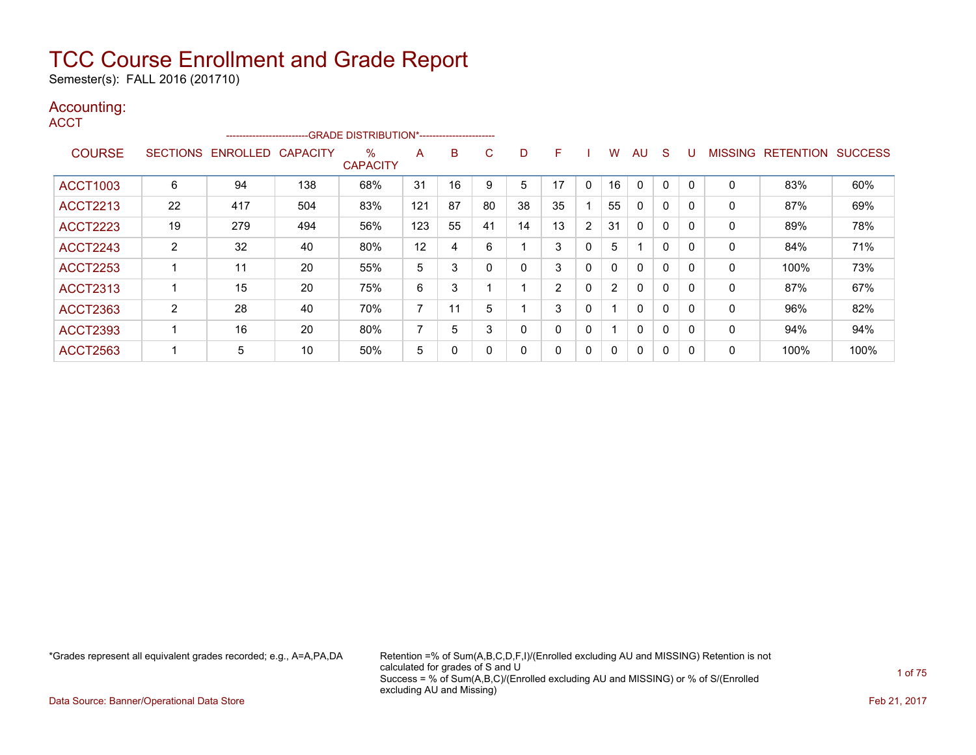Semester(s): FALL 2016 (201710)

### Accounting:

**ACCT** 

|                 |                 |                 |                 | --------------------------GRADE DISTRIBUTION*---------------------- |                |    |    |    |                |                |                      |              |              |          |                |                  |                |
|-----------------|-----------------|-----------------|-----------------|---------------------------------------------------------------------|----------------|----|----|----|----------------|----------------|----------------------|--------------|--------------|----------|----------------|------------------|----------------|
| <b>COURSE</b>   | <b>SECTIONS</b> | <b>ENROLLED</b> | <b>CAPACITY</b> | $\%$<br><b>CAPACITY</b>                                             | A              | B  | C. | D  | F              |                | w                    | AU           | S            |          | <b>MISSING</b> | <b>RETENTION</b> | <b>SUCCESS</b> |
| <b>ACCT1003</b> | 6               | 94              | 138             | 68%                                                                 | 31             | 16 | 9  | 5  | 17             | 0              | 16                   | $\Omega$     | 0            | $\Omega$ | 0              | 83%              | 60%            |
| <b>ACCT2213</b> | 22              | 417             | 504             | 83%                                                                 | 121            | 87 | 80 | 38 | 35             |                | 55                   | $\mathbf{0}$ | $\Omega$     |          | 0              | 87%              | 69%            |
| <b>ACCT2223</b> | 19              | 279             | 494             | 56%                                                                 | 123            | 55 | 41 | 14 | 13             | $\overline{2}$ | 31                   | $\mathbf{0}$ | $\mathbf{0}$ |          | 0              | 89%              | 78%            |
| <b>ACCT2243</b> | 2               | 32              | 40              | 80%                                                                 | 12             | 4  | 6  |    | 3              | 0              | 5                    |              | 0            | $\Omega$ | 0              | 84%              | 71%            |
| <b>ACCT2253</b> |                 | 11              | 20              | 55%                                                                 | 5              | 3  |    |    | 3              | 0              | $\mathbf{0}$         | $\mathbf{0}$ | $\Omega$     |          | $\Omega$       | 100%             | 73%            |
| <b>ACCT2313</b> |                 | 15              | 20              | 75%                                                                 | 6              | 3  |    |    | $\overline{2}$ | 0              | $\mathbf{2}^{\circ}$ | $\mathbf{0}$ | 0            |          | 0              | 87%              | 67%            |
| <b>ACCT2363</b> | 2               | 28              | 40              | 70%                                                                 | $\overline{ }$ | 11 | 5  |    | 3              | $\Omega$       |                      | $\mathbf{0}$ | $\Omega$     |          | $\Omega$       | 96%              | 82%            |
| <b>ACCT2393</b> |                 | 16              | 20              | 80%                                                                 | $\overline{ }$ | 5  | 3  | 0  | 0              | 0              |                      | $\mathbf{0}$ | $\Omega$     | $\Omega$ | 0              | 94%              | 94%            |
| <b>ACCT2563</b> |                 | 5               | 10              | 50%                                                                 | 5              | 0  |    | 0  | 0              | 0              | 0                    | $\mathbf{0}$ | 0            |          | 0              | 100%             | 100%           |

\*Grades represent all equivalent grades recorded; e.g., A=A,PA,DA Retention =% of Sum(A,B,C,D,F,I)/(Enrolled excluding AU and MISSING) Retention is not calculated for grades of S and U Success = % of Sum(A,B,C)/(Enrolled excluding AU and MISSING) or % of S/(Enrolled excluding AU and Missing)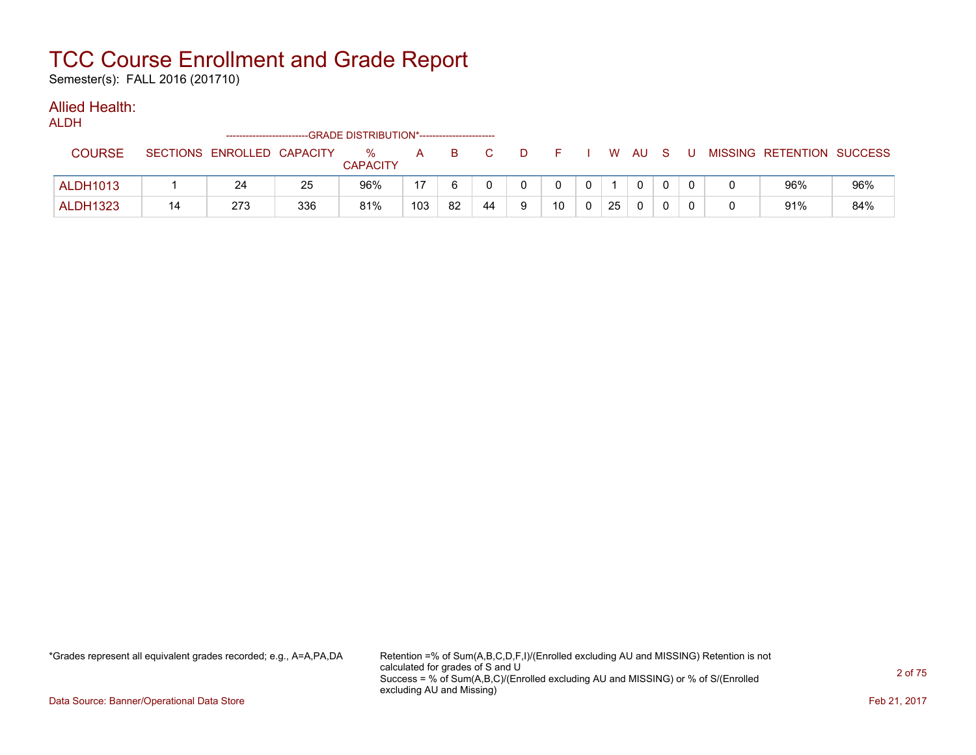Semester(s): FALL 2016 (201710)

### Allied Health:

ALDH

|                 | -------------------------  |     | --GRADE DISTRIBUTION*----------------------- |     |    |    |    |    |    |   |  |                           |     |
|-----------------|----------------------------|-----|----------------------------------------------|-----|----|----|----|----|----|---|--|---------------------------|-----|
| <b>COURSE</b>   | SECTIONS ENROLLED CAPACITY |     | $\%$<br><b>CAPACITY</b>                      | A   | B. |    |    | W  | AU |   |  | MISSING RETENTION SUCCESS |     |
| <b>ALDH1013</b> | 24                         | 25  | 96%                                          | 17  |    |    |    |    |    |   |  | 96%                       | 96% |
| <b>ALDH1323</b> | 273                        | 336 | 81%                                          | 103 | 82 | 44 | 10 | 25 |    | U |  | 91%                       | 84% |

\*Grades represent all equivalent grades recorded; e.g., A=A,PA,DA Retention =% of Sum(A,B,C,D,F,I)/(Enrolled excluding AU and MISSING) Retention is not calculated for grades of S and U Success = % of Sum(A,B,C)/(Enrolled excluding AU and MISSING) or % of S/(Enrolled excluding AU and Missing)

Data Source: Banner/Operational Data Store Feb 21, 2017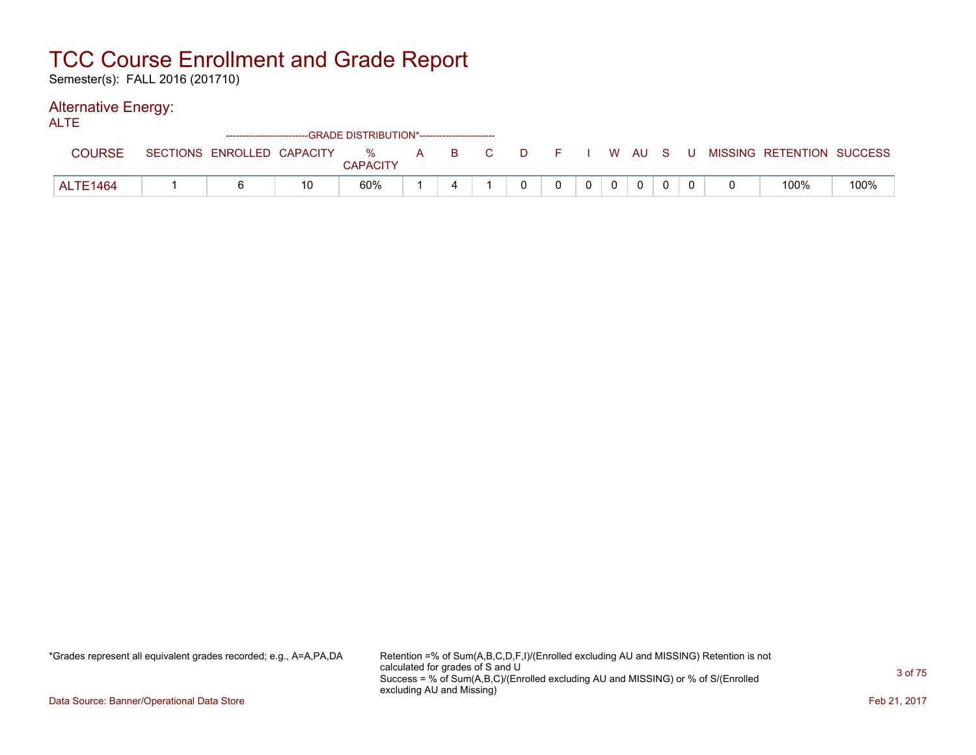Semester(s): FALL 2016 (201710)

### Alternative Energy:

|          | -------------------------- |    | -- GRADE DISTRIBUTION*------------------------ |              |    |   |  |    |    |    |  |                           |      |
|----------|----------------------------|----|------------------------------------------------|--------------|----|---|--|----|----|----|--|---------------------------|------|
| COURSE   | SECTIONS ENROLLED CAPACITY |    | %<br><b>CAPACITY</b>                           | $\mathbf{A}$ | B. | D |  | W. | AU | -8 |  | MISSING RETENTION SUCCESS |      |
| ALTE1464 |                            | 10 | 60%                                            |              |    |   |  |    |    |    |  | 100%                      | 100% |

\*Grades represent all equivalent grades recorded; e.g., A=A,PA,DA Retention =% of Sum(A,B,C,D,F,I)/(Enrolled excluding AU and MISSING) Retention is not calculated for grades of S and U Success = % of Sum(A,B,C)/(Enrolled excluding AU and MISSING) or % of S/(Enrolled excluding AU and Missing)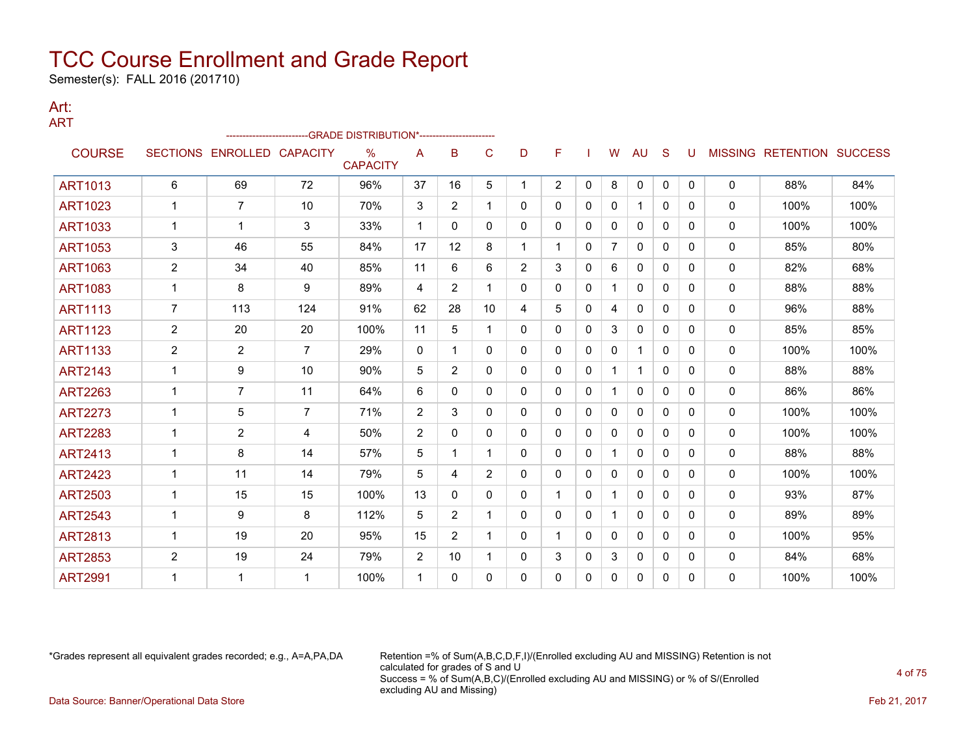Semester(s): FALL 2016 (201710)

#### Art: ART

|                |                |                   |                 | ------------------------GRADE                    DISTRIBUTION*---------------------- |              |                |                |                |                |              |              |              |              |              |              |                           |      |
|----------------|----------------|-------------------|-----------------|--------------------------------------------------------------------------------------|--------------|----------------|----------------|----------------|----------------|--------------|--------------|--------------|--------------|--------------|--------------|---------------------------|------|
| <b>COURSE</b>  |                | SECTIONS ENROLLED | <b>CAPACITY</b> | $\frac{0}{0}$<br><b>CAPACITY</b>                                                     | A            | в              | C              | D              | F              |              | W            | AU           | <sub>S</sub> | U            |              | MISSING RETENTION SUCCESS |      |
| <b>ART1013</b> | 6              | 69                | 72              | 96%                                                                                  | 37           | 16             | 5              |                | $\overline{2}$ | $\mathbf{0}$ | 8            | $\mathbf{0}$ | $\mathbf{0}$ | $\mathbf{0}$ | $\mathbf{0}$ | 88%                       | 84%  |
| <b>ART1023</b> | 1              | $\overline{7}$    | 10              | 70%                                                                                  | 3            | $\overline{2}$ | 1              | 0              | 0              | 0            | 0            | 1            | $\Omega$     | 0            | $\mathbf{0}$ | 100%                      | 100% |
| <b>ART1033</b> | $\mathbf 1$    | 1                 | 3               | 33%                                                                                  | $\mathbf 1$  | 0              | $\Omega$       | $\Omega$       | 0              | $\Omega$     | $\Omega$     | 0            | $\Omega$     | 0            | $\mathbf{0}$ | 100%                      | 100% |
| <b>ART1053</b> | 3              | 46                | 55              | 84%                                                                                  | 17           | 12             | 8              | 1              | 1              | 0            | 7            | 0            | $\Omega$     | $\Omega$     | $\mathbf{0}$ | 85%                       | 80%  |
| <b>ART1063</b> | $\overline{2}$ | 34                | 40              | 85%                                                                                  | 11           | 6              | 6              | $\overline{2}$ | 3              | $\Omega$     | 6            | $\mathbf{0}$ | $\Omega$     | 0            | $\mathbf{0}$ | 82%                       | 68%  |
| <b>ART1083</b> | 1              | 8                 | 9               | 89%                                                                                  | 4            | $\overline{2}$ | 1              | $\Omega$       | 0              | $\Omega$     | 1            | $\mathbf{0}$ | $\Omega$     | $\Omega$     | $\mathbf{0}$ | 88%                       | 88%  |
| <b>ART1113</b> | $\overline{7}$ | 113               | 124             | 91%                                                                                  | 62           | 28             | 10             | 4              | 5              | 0            | 4            | 0            | $\Omega$     | 0            | 0            | 96%                       | 88%  |
| <b>ART1123</b> | $\overline{2}$ | 20                | 20              | 100%                                                                                 | 11           | 5              | $\mathbf 1$    | 0              | 0              | $\Omega$     | 3            | 0            | $\Omega$     | 0            | $\mathbf{0}$ | 85%                       | 85%  |
| <b>ART1133</b> | 2              | $\overline{2}$    | 7               | 29%                                                                                  | $\mathbf{0}$ | 1              | $\Omega$       | $\Omega$       | 0              | $\Omega$     | 0            | 1            | $\Omega$     | $\Omega$     | $\mathbf{0}$ | 100%                      | 100% |
| <b>ART2143</b> | $\mathbf 1$    | 9                 | 10              | 90%                                                                                  | 5            | $\overline{2}$ | $\Omega$       | 0              | 0              | $\mathbf{0}$ | $\mathbf{1}$ | 1            | $\Omega$     | 0            | $\mathbf{0}$ | 88%                       | 88%  |
| <b>ART2263</b> | $\mathbf{1}$   | $\overline{7}$    | 11              | 64%                                                                                  | 6            | $\Omega$       | 0              | 0              | 0              | 0            | 1            | $\mathbf{0}$ | $\Omega$     | 0            | 0            | 86%                       | 86%  |
| <b>ART2273</b> |                | 5                 | $\overline{7}$  | 71%                                                                                  | 2            | 3              | $\Omega$       | $\Omega$       | 0              | $\Omega$     | 0            | $\Omega$     | $\Omega$     | $\Omega$     | $\mathbf{0}$ | 100%                      | 100% |
| <b>ART2283</b> | 1              | $\overline{2}$    | 4               | 50%                                                                                  | 2            | 0              | 0              | 0              | 0              | $\mathbf{0}$ | $\Omega$     | 0            | $\Omega$     | 0            | 0            | 100%                      | 100% |
| <b>ART2413</b> | $\mathbf 1$    | 8                 | 14              | 57%                                                                                  | 5            | 1              | 1              | 0              | 0              | 0            | 1.           | $\mathbf{0}$ | $\Omega$     | 0            | 0            | 88%                       | 88%  |
| <b>ART2423</b> |                | 11                | 14              | 79%                                                                                  | 5            | 4              | $\overline{2}$ | $\Omega$       | 0              | $\Omega$     | 0            | $\Omega$     | $\Omega$     | $\Omega$     | 0            | 100%                      | 100% |
| <b>ART2503</b> | 1              | 15                | 15              | 100%                                                                                 | 13           | $\Omega$       | $\Omega$       | 0              | 1              | $\Omega$     | $\mathbf{1}$ | $\mathbf{0}$ | $\Omega$     | 0            | 0            | 93%                       | 87%  |
| <b>ART2543</b> |                | 9                 | 8               | 112%                                                                                 | 5            | $\overline{2}$ | 1              | 0              | 0              | 0            | 1            | 0            | $\Omega$     | 0            | 0            | 89%                       | 89%  |
| <b>ART2813</b> |                | 19                | 20              | 95%                                                                                  | 15           | $\overline{2}$ |                | 0              | 1              | 0            | 0            | 0            | $\Omega$     | 0            | 0            | 100%                      | 95%  |
| <b>ART2853</b> | $\overline{2}$ | 19                | 24              | 79%                                                                                  | 2            | 10             | $\mathbf 1$    | 0              | 3              | $\Omega$     | 3            | $\mathbf{0}$ | $\Omega$     | 0            | 0            | 84%                       | 68%  |
| <b>ART2991</b> |                | 1                 | $\mathbf 1$     | 100%                                                                                 | -1           | 0              | 0              | 0              | 0              | $\Omega$     | 0            | 0            | $\Omega$     | 0            | $\mathbf{0}$ | 100%                      | 100% |

\*Grades represent all equivalent grades recorded; e.g., A=A,PA,DA Retention =% of Sum(A,B,C,D,F,I)/(Enrolled excluding AU and MISSING) Retention is not calculated for grades of S and U Success = % of Sum(A,B,C)/(Enrolled excluding AU and MISSING) or % of S/(Enrolled excluding AU and Missing) Data Source: Banner/Operational Data Store Feb 21, 2017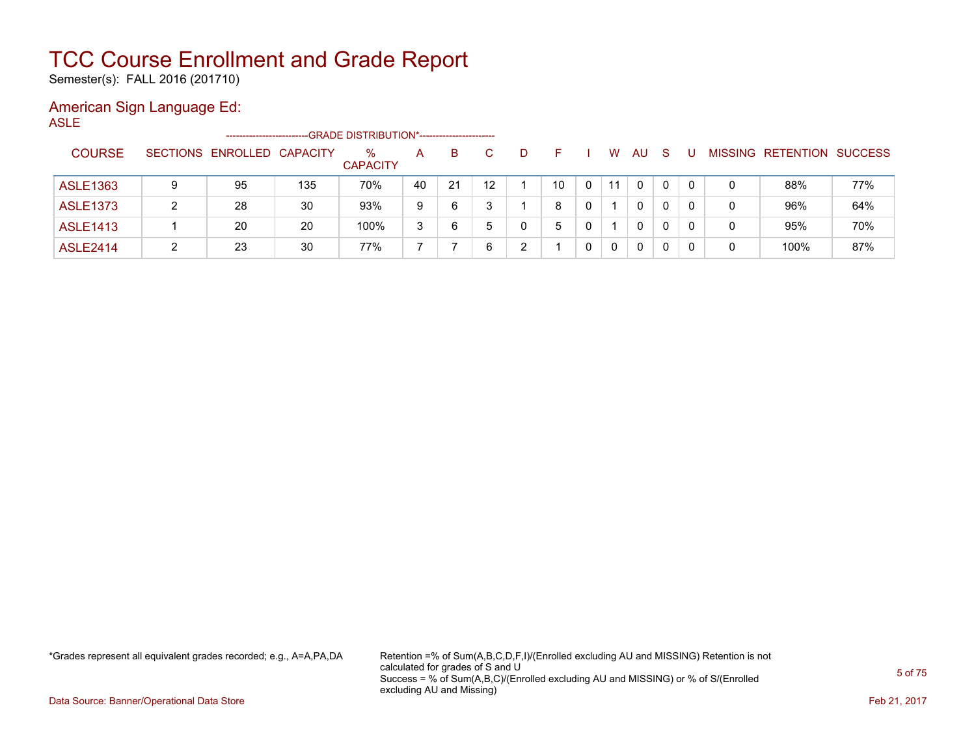Semester(s): FALL 2016 (201710)

### American Sign Language Ed:

ASLE

|                 |   | -----------------------    |     | --GRADE DISTRIBUTION*------------------------ |    |    |                   |   |    |   |    |              |   |   |                   |                |
|-----------------|---|----------------------------|-----|-----------------------------------------------|----|----|-------------------|---|----|---|----|--------------|---|---|-------------------|----------------|
| <b>COURSE</b>   |   | SECTIONS ENROLLED CAPACITY |     | $\%$<br><b>CAPACITY</b>                       | A  | B. |                   | D |    |   | W  | AU           | S |   | MISSING RETENTION | <b>SUCCESS</b> |
| <b>ASLE1363</b> | 9 | 95                         | 135 | 70%                                           | 40 | 21 | $12 \overline{ }$ |   | 10 | 0 | 11 | $\Omega$     |   | 0 | 88%               | 77%            |
| <b>ASLE1373</b> | ົ | 28                         | 30  | 93%                                           | 9  | 6  | ົ                 |   | 8  | 0 |    | $\mathbf{0}$ |   | 0 | 96%               | 64%            |
| <b>ASLE1413</b> |   | 20                         | 20  | 100%                                          | 3  | 6  | 5                 |   | 5  | 0 |    | 0            |   | 0 | 95%               | 70%            |
| <b>ASLE2414</b> |   | 23                         | 30  | 77%                                           |    |    |                   | ົ |    | 0 | 0  | 0            |   | 0 | 100%              | 87%            |

\*Grades represent all equivalent grades recorded; e.g., A=A,PA,DA Retention =% of Sum(A,B,C,D,F,I)/(Enrolled excluding AU and MISSING) Retention is not calculated for grades of S and U Success = % of Sum(A,B,C)/(Enrolled excluding AU and MISSING) or % of S/(Enrolled excluding AU and Missing)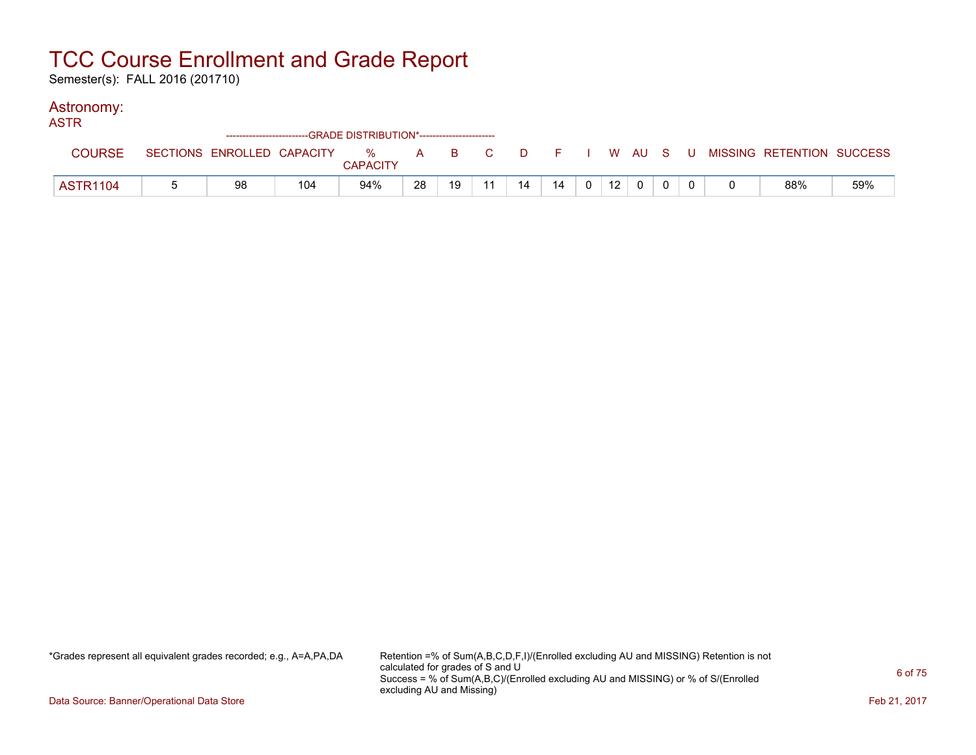Semester(s): FALL 2016 (201710)

### Astronomy:

| ASTR            |                            |     | --GRADE DISTRIBUTION*----------------------- |    |    |     |    |    |                |                 |              |  |                                                  |     |
|-----------------|----------------------------|-----|----------------------------------------------|----|----|-----|----|----|----------------|-----------------|--------------|--|--------------------------------------------------|-----|
| <b>COURSE</b>   | SECTIONS ENROLLED CAPACITY |     | <b>CAPACITY</b>                              |    |    |     |    |    |                |                 |              |  | % A B C D F I W AU S U MISSING RETENTION SUCCESS |     |
| <b>ASTR1104</b> | 98                         | 104 | 94%                                          | 28 | 19 | -11 | 14 | 14 | 0 <sup>1</sup> | 12 <sup>1</sup> | $\mathbf{0}$ |  | 88%                                              | 59% |

\*Grades represent all equivalent grades recorded; e.g., A=A,PA,DA Retention =% of Sum(A,B,C,D,F,I)/(Enrolled excluding AU and MISSING) Retention is not calculated for grades of S and U Success = % of Sum(A,B,C)/(Enrolled excluding AU and MISSING) or % of S/(Enrolled excluding AU and Missing)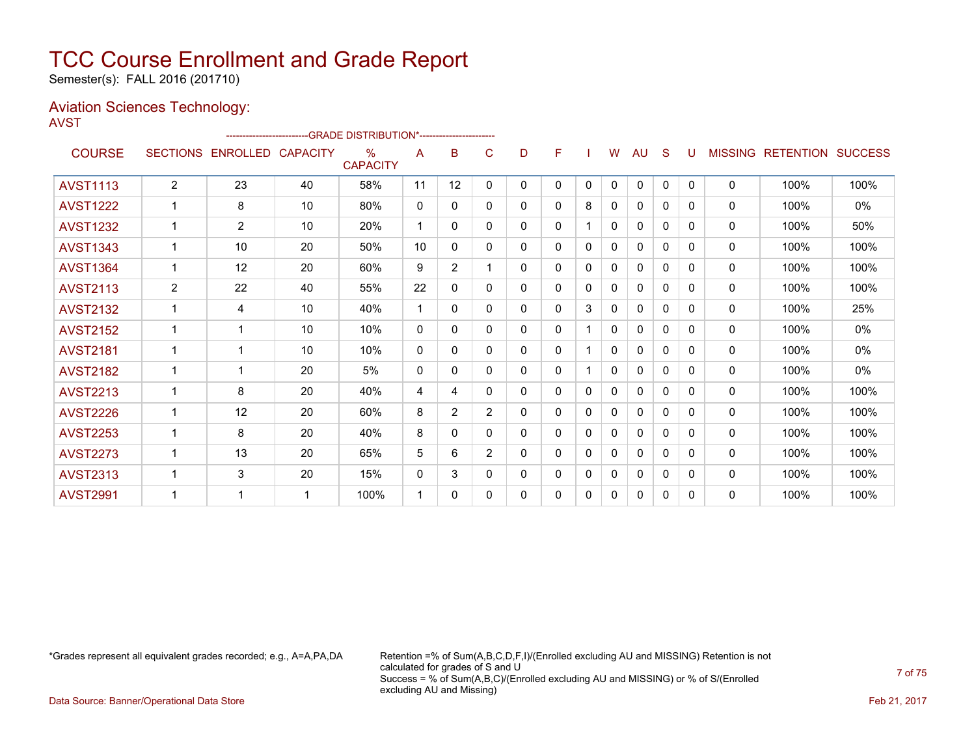Semester(s): FALL 2016 (201710)

### Aviation Sciences Technology:

|                 |                |                   | ------------------------GRADE                DISTRIBUTION*---------------------- |                      |              |                |                |   |          |          |   |              |              |              |              |                          |                |
|-----------------|----------------|-------------------|----------------------------------------------------------------------------------|----------------------|--------------|----------------|----------------|---|----------|----------|---|--------------|--------------|--------------|--------------|--------------------------|----------------|
| <b>COURSE</b>   |                | SECTIONS ENROLLED | <b>CAPACITY</b>                                                                  | %<br><b>CAPACITY</b> | A            | B              | С              | D | F        |          | W | AU           | S            | U            |              | <b>MISSING RETENTION</b> | <b>SUCCESS</b> |
| <b>AVST1113</b> | $\overline{2}$ | 23                | 40                                                                               | 58%                  | 11           | 12             | 0              | 0 | 0        | 0        | 0 | 0            | 0            | $\mathbf{0}$ | 0            | 100%                     | 100%           |
| <b>AVST1222</b> | 1              | 8                 | 10                                                                               | 80%                  | $\mathbf{0}$ | 0              | 0              | 0 | 0        | 8        | 0 | 0            | 0            | $\Omega$     | 0            | 100%                     | 0%             |
| <b>AVST1232</b> |                | $\overline{2}$    | 10                                                                               | 20%                  | 1            | $\Omega$       | $\Omega$       | 0 | $\Omega$ |          | 0 | $\mathbf{0}$ | 0            | $\Omega$     | $\mathbf{0}$ | 100%                     | 50%            |
| <b>AVST1343</b> |                | 10                | 20                                                                               | 50%                  | 10           | $\Omega$       | 0              | 0 | 0        | 0        | 0 | 0            | <sup>0</sup> | $\Omega$     | $\mathbf{0}$ | 100%                     | 100%           |
| <b>AVST1364</b> |                | 12                | 20                                                                               | 60%                  | 9            | $\overline{2}$ |                | 0 | 0        | 0        | 0 | $\mathbf{0}$ | 0            | $\Omega$     | $\mathbf{0}$ | 100%                     | 100%           |
| <b>AVST2113</b> | $\overline{2}$ | 22                | 40                                                                               | 55%                  | 22           | 0              | 0              | 0 | 0        | 0        | 0 | $\mathbf{0}$ | 0            | $\Omega$     | $\mathbf{0}$ | 100%                     | 100%           |
| <b>AVST2132</b> |                | 4                 | 10                                                                               | 40%                  | 1            | 0              | 0              | 0 | $\Omega$ | 3        | 0 | $\Omega$     | $\Omega$     | 0            | $\mathbf{0}$ | 100%                     | 25%            |
| <b>AVST2152</b> |                |                   | 10                                                                               | 10%                  | $\mathbf{0}$ | 0              | 0              | 0 | 0        |          | 0 | 0            | 0            | $\Omega$     | 0            | 100%                     | 0%             |
| <b>AVST2181</b> | $\overline{1}$ |                   | 10                                                                               | 10%                  | $\mathbf{0}$ | 0              | $\Omega$       | 0 | 0        |          | 0 | $\mathbf{0}$ | $\Omega$     | $\Omega$     | 0            | 100%                     | 0%             |
| <b>AVST2182</b> | $\overline{1}$ |                   | 20                                                                               | 5%                   | $\mathbf{0}$ | $\mathbf{0}$   | 0              | 0 | 0        |          | 0 | $\mathbf{0}$ | $\Omega$     | $\Omega$     | $\mathbf{0}$ | 100%                     | 0%             |
| <b>AVST2213</b> |                | 8                 | 20                                                                               | 40%                  | 4            | 4              | $\Omega$       | 0 | 0        | $\Omega$ | 0 | $\mathbf{0}$ | $\Omega$     | $\Omega$     | $\mathbf{0}$ | 100%                     | 100%           |
| <b>AVST2226</b> | 1              | 12                | 20                                                                               | 60%                  | 8            | $\overline{2}$ | 2              | 0 | 0        | 0        | 0 | 0            | $\Omega$     | <sup>0</sup> | $\mathbf{0}$ | 100%                     | 100%           |
| <b>AVST2253</b> |                | 8                 | 20                                                                               | 40%                  | 8            | $\Omega$       | 0              | 0 | 0        | 0        | 0 | $\mathbf{0}$ | 0            | $\Omega$     | $\mathbf{0}$ | 100%                     | 100%           |
| <b>AVST2273</b> |                | 13                | 20                                                                               | 65%                  | 5            | 6              | $\overline{2}$ | 0 | 0        | 0        | 0 | $\mathbf{0}$ | 0            | $\Omega$     | $\mathbf{0}$ | 100%                     | 100%           |
| <b>AVST2313</b> |                | 3                 | 20                                                                               | 15%                  | $\Omega$     | 3              | 0              | 0 | 0        | 0        | 0 | 0            | 0            | 0            | $\mathbf{0}$ | 100%                     | 100%           |
| <b>AVST2991</b> |                |                   | -1                                                                               | 100%                 | 1            | 0              | 0              | 0 | 0        | 0        | 0 | $\mathbf{0}$ | 0            | $\Omega$     | $\mathbf{0}$ | 100%                     | 100%           |

\*Grades represent all equivalent grades recorded; e.g., A=A,PA,DA Retention =% of Sum(A,B,C,D,F,I)/(Enrolled excluding AU and MISSING) Retention is not calculated for grades of S and U Success = % of Sum(A,B,C)/(Enrolled excluding AU and MISSING) or % of S/(Enrolled excluding AU and Missing)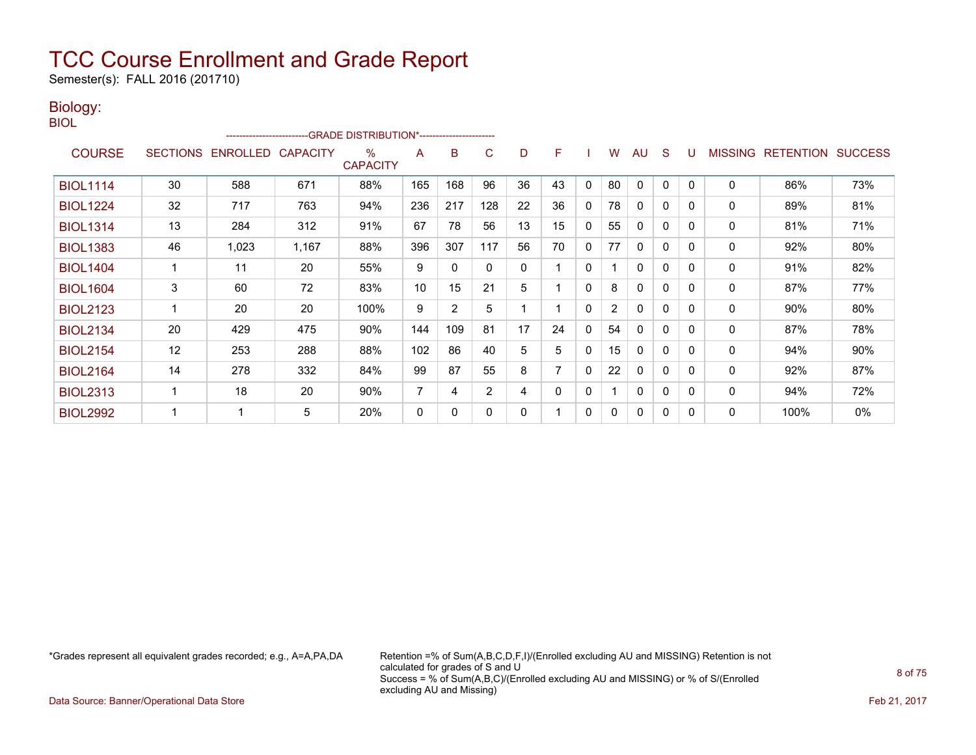Semester(s): FALL 2016 (201710)

#### Biology: BIOL

| <b>COURSE</b>   | <b>SECTIONS</b> | <b>ENROLLED</b> | <b>CAPACITY</b> | $\%$<br><b>CAPACITY</b> | A              | в              | C              | D  | F  |              | W              | AU           | S            |              | <b>MISSING</b> | <b>RETENTION</b> | <b>SUCCESS</b> |
|-----------------|-----------------|-----------------|-----------------|-------------------------|----------------|----------------|----------------|----|----|--------------|----------------|--------------|--------------|--------------|----------------|------------------|----------------|
| <b>BIOL1114</b> | 30              | 588             | 671             | 88%                     | 165            | 168            | 96             | 36 | 43 | $\mathbf{0}$ | 80             | $\mathbf{0}$ | $\mathbf{0}$ | $\Omega$     | $\mathbf 0$    | 86%              | 73%            |
| <b>BIOL1224</b> | 32              | 717             | 763             | 94%                     | 236            | 217            | 128            | 22 | 36 | 0            | 78             | 0            | 0            | 0            | 0              | 89%              | 81%            |
| <b>BIOL1314</b> | 13              | 284             | 312             | 91%                     | 67             | 78             | 56             | 13 | 15 | 0            | 55             | 0            | 0            | $\Omega$     | 0              | 81%              | 71%            |
| <b>BIOL1383</b> | 46              | 1,023           | 1,167           | 88%                     | 396            | 307            | 117            | 56 | 70 | 0            | 77             | $\Omega$     | $\Omega$     | $\Omega$     | $\Omega$       | 92%              | 80%            |
| <b>BIOL1404</b> |                 | 11              | 20              | 55%                     | 9              | 0              |                | 0  |    | 0            |                | $\mathbf{0}$ | 0            | $\mathbf{0}$ | 0              | 91%              | 82%            |
| <b>BIOL1604</b> | 3               | 60              | 72              | 83%                     | 10             | 15             | 21             | 5  |    | 0            | 8              | 0            | 0            | 0            | 0              | 87%              | 77%            |
| <b>BIOL2123</b> |                 | 20              | 20              | 100%                    | 9              | $\overline{2}$ | 5              |    |    | $\Omega$     | $\overline{2}$ | $\mathbf{0}$ | $\mathbf{0}$ | $\Omega$     | $\mathbf{0}$   | 90%              | 80%            |
| <b>BIOL2134</b> | 20              | 429             | 475             | 90%                     | 144            | 109            | 81             | 17 | 24 | 0            | 54             | 0            | 0            | $\Omega$     | 0              | 87%              | 78%            |
| <b>BIOL2154</b> | 12              | 253             | 288             | 88%                     | 102            | 86             | 40             | 5  | 5  | 0            | 15             | $\mathbf{0}$ | $\mathbf{0}$ | $\Omega$     | 0              | 94%              | 90%            |
| <b>BIOL2164</b> | 14              | 278             | 332             | 84%                     | 99             | 87             | 55             | 8  | 7  | $\mathbf{0}$ | 22             | 0            | $\mathbf{0}$ | $\Omega$     | 0              | 92%              | 87%            |
| <b>BIOL2313</b> |                 | 18              | 20              | 90%                     | $\overline{7}$ | 4              | $\overline{2}$ | 4  | 0  | 0            |                | $\mathbf{0}$ | 0            | $\Omega$     | 0              | 94%              | 72%            |
| <b>BIOL2992</b> |                 |                 | 5               | 20%                     | 0              | 0              |                | 0  |    | 0            | 0              | 0            | 0            | $\Omega$     | 0              | 100%             | 0%             |

\*Grades represent all equivalent grades recorded; e.g., A=A,PA,DA Retention =% of Sum(A,B,C,D,F,I)/(Enrolled excluding AU and MISSING) Retention is not calculated for grades of S and U Success = % of Sum(A,B,C)/(Enrolled excluding AU and MISSING) or % of S/(Enrolled excluding AU and Missing)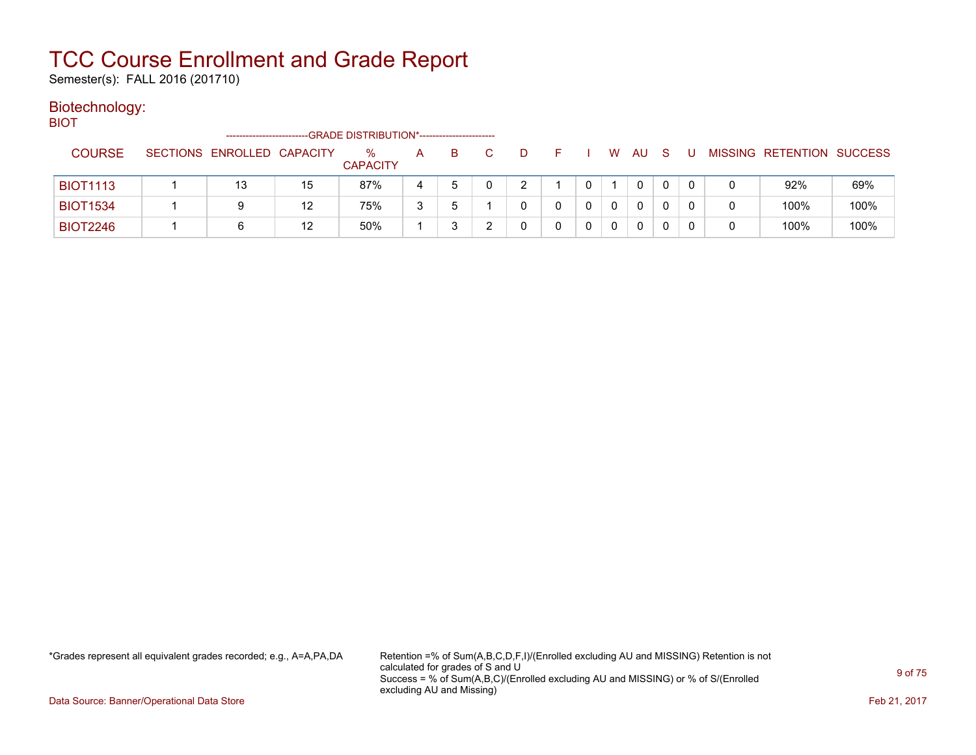Semester(s): FALL 2016 (201710)

### Biotechnology:

BIOT

|                 | ------------------------   |    | -GRADE DISTRIBUTION*----------------------- |   |   |        |  |   |    |  |                           |      |
|-----------------|----------------------------|----|---------------------------------------------|---|---|--------|--|---|----|--|---------------------------|------|
| <b>COURSE</b>   | SECTIONS ENROLLED CAPACITY |    | ℅<br><b>CAPACITY</b>                        | A | B | $\Box$ |  | W | AU |  | MISSING RETENTION SUCCESS |      |
| <b>BIOT1113</b> | 13                         | 15 | 87%                                         |   |   |        |  |   | 0  |  | 92%                       | 69%  |
| <b>BIOT1534</b> | 9                          | 12 | 75%                                         | ີ |   |        |  |   | 0  |  | 100%                      | 100% |
| <b>BIOT2246</b> |                            | 12 | 50%                                         |   |   |        |  |   | 0  |  | 100%                      | 100% |

\*Grades represent all equivalent grades recorded; e.g., A=A,PA,DA Retention =% of Sum(A,B,C,D,F,I)/(Enrolled excluding AU and MISSING) Retention is not calculated for grades of S and U Success = % of Sum(A,B,C)/(Enrolled excluding AU and MISSING) or % of S/(Enrolled excluding AU and Missing)

Data Source: Banner/Operational Data Store Feb 21, 2017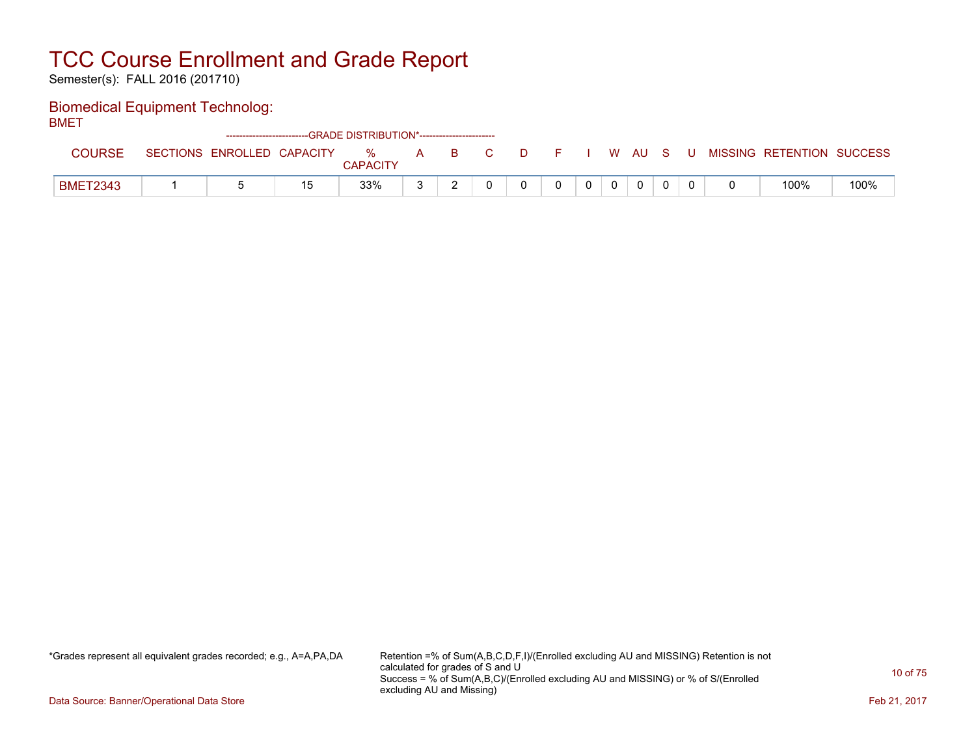Semester(s): FALL 2016 (201710)

### Biomedical Equipment Technolog:

BMET

|                 |                 |                   | ------------------------GRADE DISTRIBUTION*----------------------- |                      |   |    |  |  |   |    |   |   |                   |         |
|-----------------|-----------------|-------------------|--------------------------------------------------------------------|----------------------|---|----|--|--|---|----|---|---|-------------------|---------|
| <b>COURSE</b>   | <b>SECTIONS</b> | ENROLLED CAPACITY |                                                                    | %<br><b>CAPACITY</b> | A | B. |  |  | W | AU | s | U | MISSING RETENTION | SUCCESS |
| <b>BMET2343</b> |                 |                   | 15                                                                 | 33%                  |   |    |  |  |   |    |   |   | 100%              | 100%    |

\*Grades represent all equivalent grades recorded; e.g., A=A,PA,DA Retention =% of Sum(A,B,C,D,F,I)/(Enrolled excluding AU and MISSING) Retention is not calculated for grades of S and U Success = % of Sum(A,B,C)/(Enrolled excluding AU and MISSING) or % of S/(Enrolled excluding AU and Missing)

Data Source: Banner/Operational Data Store Feb 21, 2017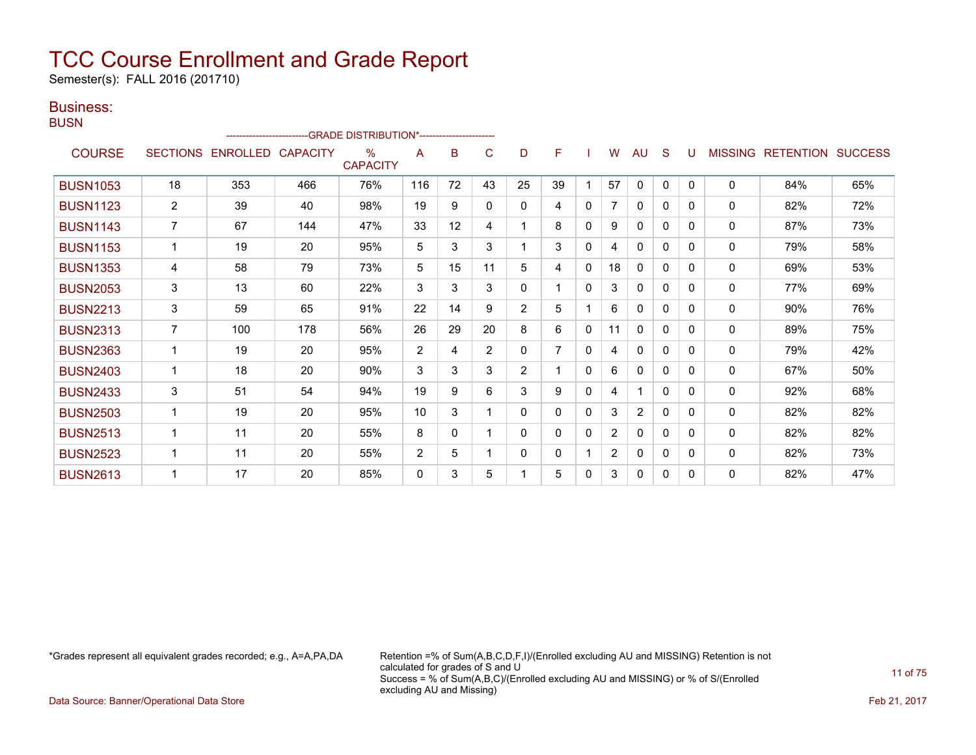Semester(s): FALL 2016 (201710)

### Business:

| × | . |  |
|---|---|--|
|   |   |  |
|   |   |  |
|   |   |  |

|                 |                 |                 |                 | -GRADE DISTRIBUTION*----------------------- |     |    |                |                |    |              |                |              |              |          |                |                  |                |
|-----------------|-----------------|-----------------|-----------------|---------------------------------------------|-----|----|----------------|----------------|----|--------------|----------------|--------------|--------------|----------|----------------|------------------|----------------|
| <b>COURSE</b>   | <b>SECTIONS</b> | <b>ENROLLED</b> | <b>CAPACITY</b> | $\frac{9}{6}$<br><b>CAPACITY</b>            | A   | B  | C              | D              | F  |              | w              | <b>AU</b>    | S            |          | <b>MISSING</b> | <b>RETENTION</b> | <b>SUCCESS</b> |
| <b>BUSN1053</b> | 18              | 353             | 466             | 76%                                         | 116 | 72 | 43             | 25             | 39 |              | 57             | $\mathbf 0$  | 0            | $\Omega$ | 0              | 84%              | 65%            |
| <b>BUSN1123</b> | $\overline{2}$  | 39              | 40              | 98%                                         | 19  | 9  | $\mathbf{0}$   | $\mathbf{0}$   | 4  | $\Omega$     | 7              | 0            | $\mathbf{0}$ | 0        | 0              | 82%              | 72%            |
| <b>BUSN1143</b> | $\overline{7}$  | 67              | 144             | 47%                                         | 33  | 12 | 4              |                | 8  | $\Omega$     | 9              | $\mathbf{0}$ | $\Omega$     | $\Omega$ | $\mathbf{0}$   | 87%              | 73%            |
| <b>BUSN1153</b> | 1               | 19              | 20              | 95%                                         | 5   | 3  | 3              |                | 3  | 0            | 4              | 0            | 0            | 0        | 0              | 79%              | 58%            |
| <b>BUSN1353</b> | 4               | 58              | 79              | 73%                                         | 5   | 15 | 11             | 5              | 4  | 0            | 18             | 0            | 0            | 0        | 0              | 69%              | 53%            |
| <b>BUSN2053</b> | 3               | 13              | 60              | 22%                                         | 3   | 3  | 3              | $\mathbf{0}$   |    | $\mathbf 0$  | 3              | $\mathbf{0}$ | 0            | 0        | 0              | 77%              | 69%            |
| <b>BUSN2213</b> | 3               | 59              | 65              | 91%                                         | 22  | 14 | 9              | $\overline{2}$ | 5  |              | 6              | 0            | 0            | 0        | 0              | 90%              | 76%            |
| <b>BUSN2313</b> | $\overline{7}$  | 100             | 178             | 56%                                         | 26  | 29 | 20             | 8              | 6  | $\Omega$     | 11             | $\mathbf{0}$ | $\mathbf{0}$ | 0        | $\Omega$       | 89%              | 75%            |
| <b>BUSN2363</b> | 1               | 19              | 20              | 95%                                         | 2   | 4  | $\overline{2}$ | 0              | 7  | $\mathbf{0}$ | 4              | $\mathbf{0}$ | $\mathbf{0}$ | $\Omega$ | 0              | 79%              | 42%            |
| <b>BUSN2403</b> | 1               | 18              | 20              | 90%                                         | 3   | 3  | 3              | $\overline{2}$ |    | 0            | 6              | $\mathbf{0}$ | 0            | 0        | 0              | 67%              | 50%            |
| <b>BUSN2433</b> | 3               | 51              | 54              | 94%                                         | 19  | 9  | 6              | 3              | 9  | $\Omega$     | 4              |              | $\Omega$     | 0        | 0              | 92%              | 68%            |
| <b>BUSN2503</b> | 1               | 19              | 20              | 95%                                         | 10  | 3  |                | 0              | 0  | $\Omega$     | 3              | 2            | 0            | 0        | 0              | 82%              | 82%            |
| <b>BUSN2513</b> | $\overline{1}$  | 11              | 20              | 55%                                         | 8   | 0  |                | 0              | 0  | 0            | $\overline{2}$ | $\mathbf{0}$ | $\mathbf{0}$ | 0        | 0              | 82%              | 82%            |
| <b>BUSN2523</b> | 1               | 11              | 20              | 55%                                         | 2   | 5  |                | 0              | 0  |              | $\overline{2}$ | $\mathbf{0}$ | 0            | 0        | $\Omega$       | 82%              | 73%            |
| <b>BUSN2613</b> |                 | 17              | 20              | 85%                                         | 0   | 3  | 5              |                | 5  | 0            | 3              | 0            | 0            | 0        | 0              | 82%              | 47%            |

\*Grades represent all equivalent grades recorded; e.g., A=A,PA,DA Retention =% of Sum(A,B,C,D,F,I)/(Enrolled excluding AU and MISSING) Retention is not calculated for grades of S and U Success = % of Sum(A,B,C)/(Enrolled excluding AU and MISSING) or % of S/(Enrolled excluding AU and Missing)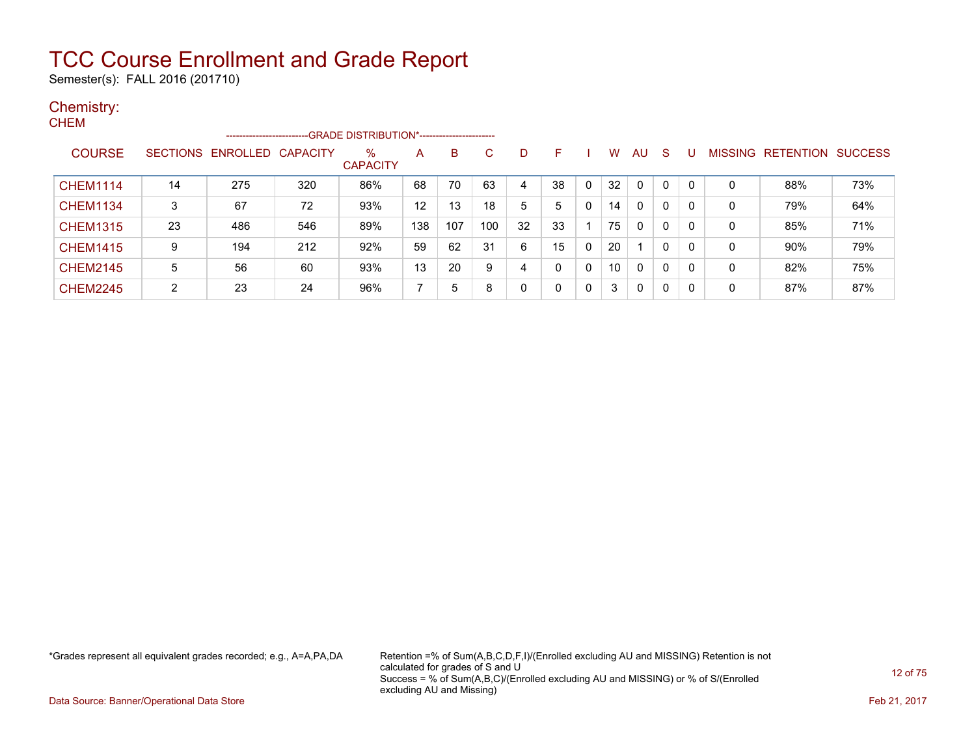Semester(s): FALL 2016 (201710)

#### Chemistry: **CHEM**

| ◡╷╷∟╷╷          |        | ------------------------   |     |                         |     |     |     |    |    |              |    |              |              |          |                |                  |                |
|-----------------|--------|----------------------------|-----|-------------------------|-----|-----|-----|----|----|--------------|----|--------------|--------------|----------|----------------|------------------|----------------|
| <b>COURSE</b>   |        | SECTIONS ENROLLED CAPACITY |     | $\%$<br><b>CAPACITY</b> | A   | B   | C   | D  | F  |              | w  | AU           | <sub>S</sub> |          | <b>MISSING</b> | <b>RETENTION</b> | <b>SUCCESS</b> |
| <b>CHEM1114</b> | 14     | 275                        | 320 | 86%                     | 68  | 70  | 63  | 4  | 38 | 0            | 32 | 0            | 0            |          | 0              | 88%              | 73%            |
| <b>CHEM1134</b> | 3      | 67                         | 72  | 93%                     | 12  | 13  | 18  | 5  | 5  | 0            | 14 | $\mathbf{0}$ | 0            | $\Omega$ | 0              | 79%              | 64%            |
| <b>CHEM1315</b> | 23     | 486                        | 546 | 89%                     | 138 | 107 | 100 | 32 | 33 |              | 75 | $\mathbf{0}$ | 0            | 0        | 0              | 85%              | 71%            |
| <b>CHEM1415</b> | 9      | 194                        | 212 | 92%                     | 59  | 62  | 31  | 6  | 15 | 0            | 20 |              | 0            | -0       | 0              | 90%              | 79%            |
| <b>CHEM2145</b> | 5      | 56                         | 60  | 93%                     | 13  | 20  | 9   | 4  | 0  | 0            | 10 | $\mathbf{0}$ | 0            | -0       | 0              | 82%              | 75%            |
| <b>CHEM2245</b> | ົ<br>∠ | 23                         | 24  | 96%                     |     | 5   | 8   | 0  | 0  | $\mathbf{0}$ | 3  | $\mathbf{0}$ | 0            | 0        | 0              | 87%              | 87%            |

\*Grades represent all equivalent grades recorded; e.g., A=A,PA,DA Retention =% of Sum(A,B,C,D,F,I)/(Enrolled excluding AU and MISSING) Retention is not calculated for grades of S and U Success = % of Sum(A,B,C)/(Enrolled excluding AU and MISSING) or % of S/(Enrolled excluding AU and Missing)

Data Source: Banner/Operational Data Store Feb 21, 2017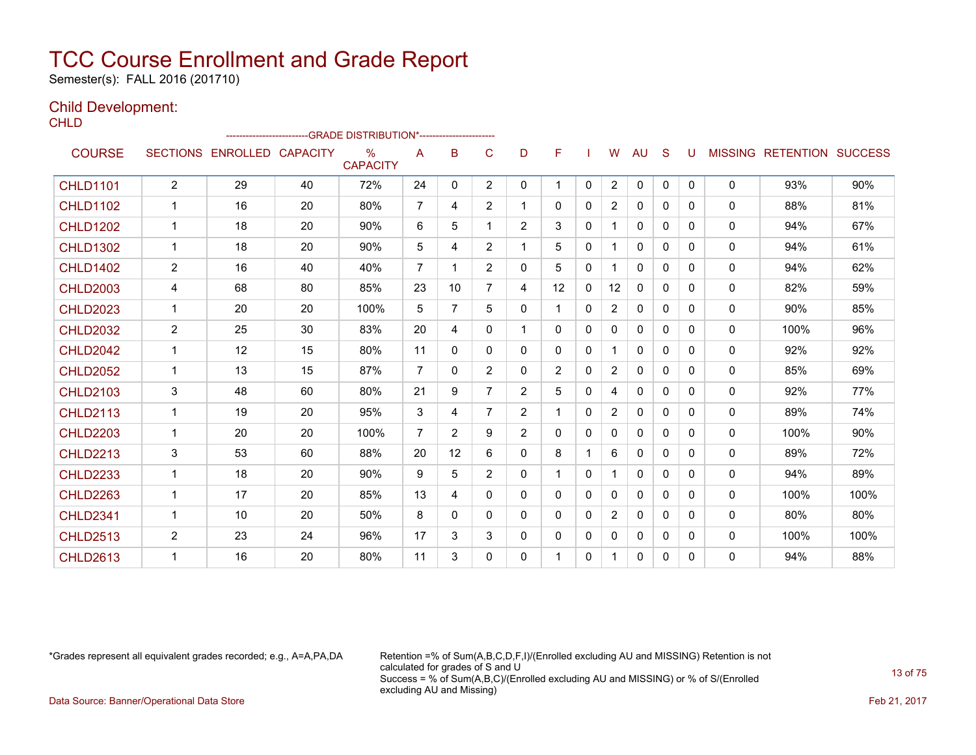Semester(s): FALL 2016 (201710)

#### Child Development: CHLD.

| ᄓᄔ              |                |                            | ------------------------GRADE                DISTRIBUTION*---------------------- |                                  |                |                 |                |                |                |              |                |              |              |          |              |                           |      |
|-----------------|----------------|----------------------------|----------------------------------------------------------------------------------|----------------------------------|----------------|-----------------|----------------|----------------|----------------|--------------|----------------|--------------|--------------|----------|--------------|---------------------------|------|
| <b>COURSE</b>   |                | SECTIONS ENROLLED CAPACITY |                                                                                  | $\frac{0}{0}$<br><b>CAPACITY</b> | A              | B               | C              | D              | F              |              | W              | <b>AU</b>    | S            | U        |              | MISSING RETENTION SUCCESS |      |
| <b>CHLD1101</b> | $\overline{2}$ | 29                         | 40                                                                               | 72%                              | 24             | 0               | $\overline{2}$ | 0              | 1              | $\mathbf{0}$ | $\overline{2}$ | $\mathbf 0$  | $\mathbf{0}$ | 0        | $\mathbf{0}$ | 93%                       | 90%  |
| <b>CHLD1102</b> | $\mathbf{1}$   | 16                         | 20                                                                               | 80%                              | $\overline{7}$ | 4               | $\overline{2}$ | $\mathbf{1}$   | $\mathbf{0}$   | $\mathbf{0}$ | $\overline{2}$ | 0            | 0            | $\Omega$ | $\Omega$     | 88%                       | 81%  |
| <b>CHLD1202</b> | 1              | 18                         | 20                                                                               | 90%                              | 6              | 5               | 1              | $\overline{2}$ | 3              | $\mathbf{0}$ | 1              | 0            | $\Omega$     | 0        | $\mathbf{0}$ | 94%                       | 67%  |
| <b>CHLD1302</b> | $\mathbf{1}$   | 18                         | 20                                                                               | 90%                              | 5              | 4               | $\overline{2}$ | $\mathbf{1}$   | 5              | $\mathbf{0}$ | 1              | 0            | 0            | 0        | $\mathbf{0}$ | 94%                       | 61%  |
| <b>CHLD1402</b> | $\overline{c}$ | 16                         | 40                                                                               | 40%                              | $\overline{7}$ | 1.              | $\overline{2}$ | $\mathbf{0}$   | 5              | $\mathbf{0}$ | $\mathbf 1$    | $\Omega$     | $\Omega$     | 0        | $\mathbf{0}$ | 94%                       | 62%  |
| <b>CHLD2003</b> | 4              | 68                         | 80                                                                               | 85%                              | 23             | 10 <sup>1</sup> | $\overline{7}$ | 4              | 12             | $\mathbf{0}$ | 12             | $\mathbf{0}$ | 0            | 0        | $\mathbf{0}$ | 82%                       | 59%  |
| <b>CHLD2023</b> | $\mathbf{1}$   | 20                         | 20                                                                               | 100%                             | 5              | $\overline{7}$  | 5              | $\mathbf{0}$   | 1              | $\mathbf{0}$ | 2              | $\Omega$     | $\Omega$     | 0        | $\mathbf{0}$ | 90%                       | 85%  |
| <b>CHLD2032</b> | 2              | 25                         | 30                                                                               | 83%                              | 20             | 4               | 0              | $\mathbf{1}$   | $\mathbf{0}$   | 0            | $\mathbf{0}$   | 0            | 0            | 0        | $\mathbf{0}$ | 100%                      | 96%  |
| <b>CHLD2042</b> | $\mathbf{1}$   | 12                         | 15                                                                               | 80%                              | 11             | 0               | $\Omega$       | $\mathbf{0}$   | $\Omega$       | $\Omega$     | $\mathbf{1}$   | $\Omega$     | $\Omega$     | $\Omega$ | $\mathbf{0}$ | 92%                       | 92%  |
| <b>CHLD2052</b> | 1              | 13                         | 15                                                                               | 87%                              | $\overline{7}$ | 0               | $\overline{2}$ | $\mathbf{0}$   | $\overline{2}$ | $\mathbf{0}$ | $\overline{2}$ | 0            | $\Omega$     | 0        | $\mathbf{0}$ | 85%                       | 69%  |
| <b>CHLD2103</b> | 3              | 48                         | 60                                                                               | 80%                              | 21             | 9               | $\overline{7}$ | 2              | 5              | $\mathbf 0$  | 4              | 0            | 0            | $\Omega$ | $\mathbf{0}$ | 92%                       | 77%  |
| <b>CHLD2113</b> | 1              | 19                         | 20                                                                               | 95%                              | 3              | 4               | $\overline{7}$ | $\overline{2}$ | 1              | $\mathbf{0}$ | 2              | $\Omega$     | $\Omega$     | $\Omega$ | $\Omega$     | 89%                       | 74%  |
| <b>CHLD2203</b> | 1              | 20                         | 20                                                                               | 100%                             | $\overline{7}$ | $\overline{2}$  | 9              | $\overline{2}$ | $\mathbf{0}$   | $\mathbf 0$  | $\mathbf{0}$   | $\Omega$     | $\mathbf{0}$ | $\Omega$ | $\mathbf{0}$ | 100%                      | 90%  |
| <b>CHLD2213</b> | 3              | 53                         | 60                                                                               | 88%                              | 20             | 12 <sup>2</sup> | 6              | $\mathbf{0}$   | 8              |              | 6              | $\Omega$     | $\Omega$     | $\Omega$ | $\Omega$     | 89%                       | 72%  |
| <b>CHLD2233</b> | $\mathbf 1$    | 18                         | 20                                                                               | 90%                              | 9              | 5               | $\overline{2}$ | $\mathbf{0}$   | 1              | $\mathbf{0}$ | 1              | 0            | 0            | 0        | $\mathbf{0}$ | 94%                       | 89%  |
| <b>CHLD2263</b> | $\mathbf{1}$   | 17                         | 20                                                                               | 85%                              | 13             | 4               | 0              | $\mathbf{0}$   | $\mathbf{0}$   | $\mathbf{0}$ | $\mathbf{0}$   | 0            | $\Omega$     | $\Omega$ | $\mathbf{0}$ | 100%                      | 100% |
| <b>CHLD2341</b> | $\mathbf{1}$   | 10                         | 20                                                                               | 50%                              | 8              | 0               | 0              | $\mathbf{0}$   | $\mathbf{0}$   | $\mathbf{0}$ | $\overline{2}$ | $\Omega$     | $\Omega$     | 0        | $\mathbf{0}$ | 80%                       | 80%  |
| <b>CHLD2513</b> | $\overline{2}$ | 23                         | 24                                                                               | 96%                              | 17             | 3               | 3              | $\mathbf{0}$   | 0              | $\mathbf{0}$ | 0              | 0            | $\Omega$     | 0        | $\mathbf{0}$ | 100%                      | 100% |
| <b>CHLD2613</b> | 1              | 16                         | 20                                                                               | 80%                              | 11             | 3               | $\Omega$       | $\mathbf{0}$   | 1              | 0            | 1              | $\Omega$     | 0            | $\Omega$ | $\mathbf{0}$ | 94%                       | 88%  |

\*Grades represent all equivalent grades recorded; e.g., A=A,PA,DA Retention =% of Sum(A,B,C,D,F,I)/(Enrolled excluding AU and MISSING) Retention is not calculated for grades of S and U Success = % of Sum(A,B,C)/(Enrolled excluding AU and MISSING) or % of S/(Enrolled excluding AU and Missing)

Data Source: Banner/Operational Data Store Feb 21, 2017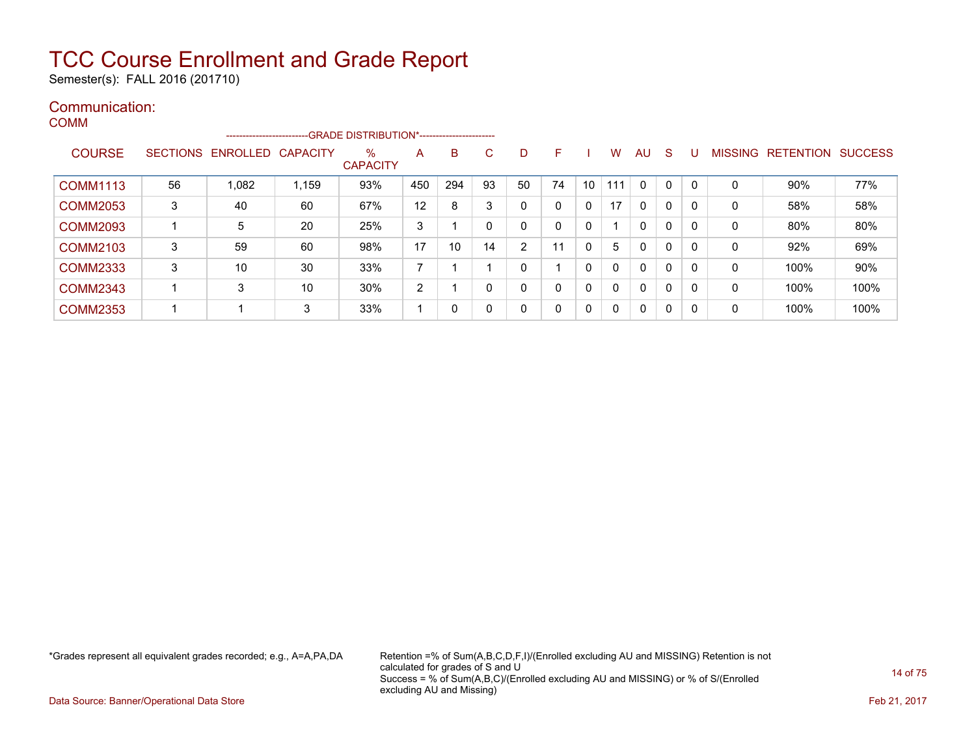Semester(s): FALL 2016 (201710)

#### Communication: **COMM**

|                 |    | -------------------------  |       | -GRADE DISTRIBUTION*------------------------ |     |     |    |    |    |    |              |              |    |              |   |                   |                |
|-----------------|----|----------------------------|-------|----------------------------------------------|-----|-----|----|----|----|----|--------------|--------------|----|--------------|---|-------------------|----------------|
| <b>COURSE</b>   |    | SECTIONS ENROLLED CAPACITY |       | $\%$<br><b>CAPACITY</b>                      | A   | B   | C  | D  | F. |    | W            | <b>AU</b>    | -S | U            |   | MISSING RETENTION | <b>SUCCESS</b> |
| <b>COMM1113</b> | 56 | 1,082                      | 1,159 | 93%                                          | 450 | 294 | 93 | 50 | 74 | 10 | 111          | $\mathbf{0}$ | 0  | - 0          | 0 | 90%               | 77%            |
| <b>COMM2053</b> | 3  | 40                         | 60    | 67%                                          | 12  | 8   | 3  | 0  | 0  | 0  | 17           | $\mathbf{0}$ | 0  | C            | 0 | 58%               | 58%            |
| <b>COMM2093</b> |    | 5                          | 20    | 25%                                          | 3   |     | 0  | 0  | 0  | 0  |              | $\mathbf{0}$ | 0  | - 0          | 0 | 80%               | 80%            |
| <b>COMM2103</b> | 3  | 59                         | 60    | 98%                                          | 17  | 10  | 14 | 2  | 11 | 0  | 5            | 0            | 0  | $\mathbf{C}$ | 0 | 92%               | 69%            |
| <b>COMM2333</b> | 3  | 10                         | 30    | 33%                                          | ⇁   |     |    | 0  |    | 0  |              | 0            | 0  | $\mathsf{C}$ | 0 | 100%              | 90%            |
| <b>COMM2343</b> |    | 3                          | 10    | 30%                                          | 2   |     | 0  | 0  | 0  | 0  | <sup>n</sup> | 0            | 0  | C            | 0 | 100%              | 100%           |
| <b>COMM2353</b> |    |                            | 3     | 33%                                          |     | 0   | 0  | 0  | 0  | 0  | $\Omega$     | 0            | 0  | - 0          | 0 | 100%              | 100%           |

\*Grades represent all equivalent grades recorded; e.g., A=A,PA,DA Retention =% of Sum(A,B,C,D,F,I)/(Enrolled excluding AU and MISSING) Retention is not calculated for grades of S and U Success = % of Sum(A,B,C)/(Enrolled excluding AU and MISSING) or % of S/(Enrolled excluding AU and Missing)

Data Source: Banner/Operational Data Store Feb 21, 2017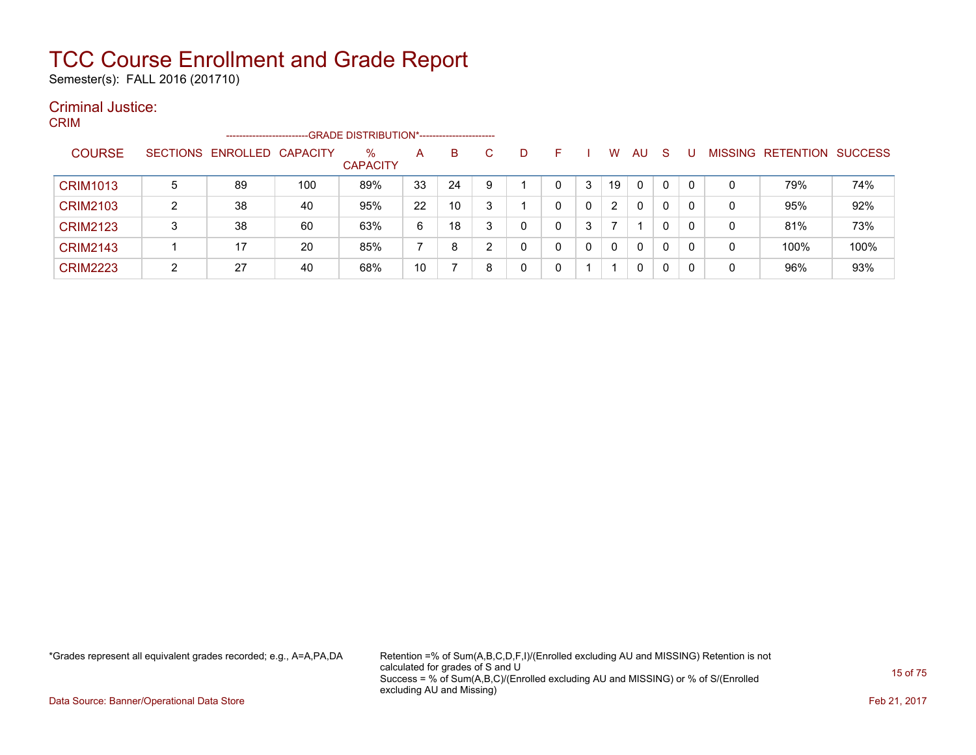Semester(s): FALL 2016 (201710)

#### Criminal Justice: CRIM

| יייי י          |   | --------------------       |     | -GRADE DISTRIBUTION*----------------------- |    |    |   |   |              |   |                      |              |   |   |   |                                  |      |
|-----------------|---|----------------------------|-----|---------------------------------------------|----|----|---|---|--------------|---|----------------------|--------------|---|---|---|----------------------------------|------|
| <b>COURSE</b>   |   | SECTIONS ENROLLED CAPACITY |     | %<br><b>CAPACITY</b>                        | A  | B  |   |   | н.           |   | w                    | AU           | S |   |   | <b>MISSING RETENTION SUCCESS</b> |      |
| <b>CRIM1013</b> | 5 | 89                         | 100 | 89%                                         | 33 | 24 | 9 |   | $\mathbf{0}$ | 3 | 19                   | $\mathbf{0}$ | 0 | 0 | 0 | 79%                              | 74%  |
| <b>CRIM2103</b> | ົ | 38                         | 40  | 95%                                         | 22 | 10 |   |   | 0            | 0 | $\mathbf{2}^{\circ}$ | 0            | 0 | 0 | 0 | 95%                              | 92%  |
| <b>CRIM2123</b> | 3 | 38                         | 60  | 63%                                         | 6  | 18 | 3 | n | 0            | 3 |                      |              | 0 | 0 | 0 | 81%                              | 73%  |
| <b>CRIM2143</b> |   | 17                         | 20  | 85%                                         |    | 8  |   |   | $\Omega$     | 0 | 0                    | $\mathbf{0}$ | 0 | 0 | 0 | 100%                             | 100% |
| <b>CRIM2223</b> | റ | 27                         | 40  | 68%                                         | 10 |    | 8 |   |              |   |                      | 0            | 0 |   | 0 | 96%                              | 93%  |

\*Grades represent all equivalent grades recorded; e.g., A=A,PA,DA Retention =% of Sum(A,B,C,D,F,I)/(Enrolled excluding AU and MISSING) Retention is not calculated for grades of S and U Success = % of Sum(A,B,C)/(Enrolled excluding AU and MISSING) or % of S/(Enrolled excluding AU and Missing)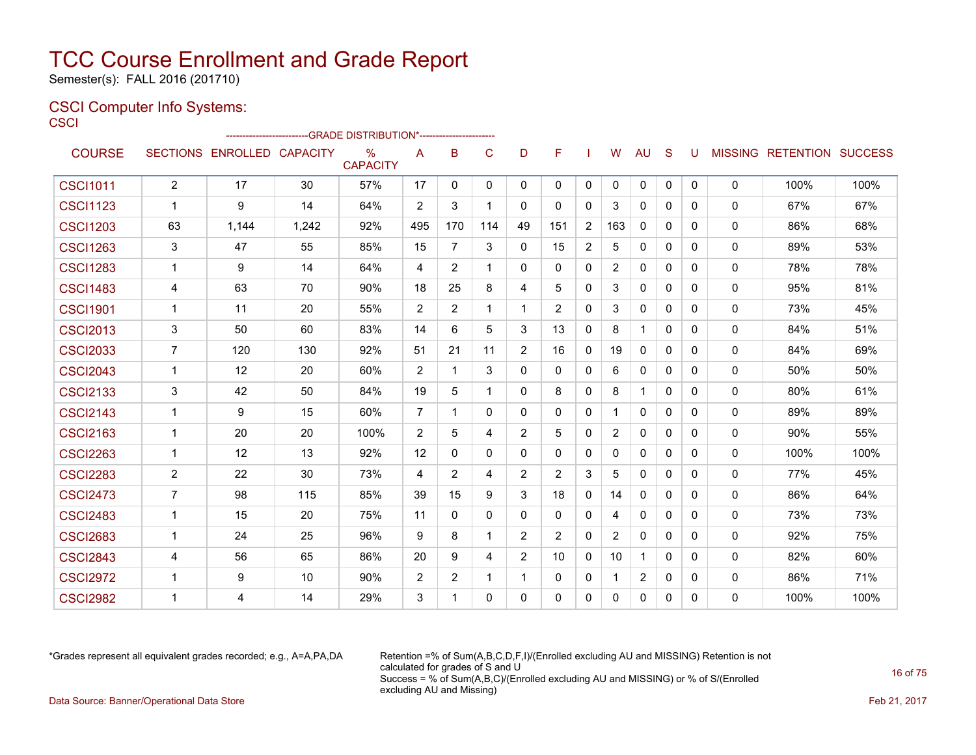Semester(s): FALL 2016 (201710)

### CSCI Computer Info Systems:

**CSCI** 

|                 |                |                            | ------------------------GRADE                DISTRIBUTION*---------------------- |                         |                |                |              |                |                |                |                |              |              |   |              |                           |      |
|-----------------|----------------|----------------------------|----------------------------------------------------------------------------------|-------------------------|----------------|----------------|--------------|----------------|----------------|----------------|----------------|--------------|--------------|---|--------------|---------------------------|------|
| <b>COURSE</b>   |                | SECTIONS ENROLLED CAPACITY |                                                                                  | $\%$<br><b>CAPACITY</b> | A              | B              | $\mathsf{C}$ | D              | F              |                | W              | <b>AU</b>    | <sub>S</sub> | U |              | MISSING RETENTION SUCCESS |      |
| <b>CSCI1011</b> | $\overline{2}$ | 17                         | 30                                                                               | 57%                     | 17             | 0              | 0            | $\Omega$       | $\mathbf{0}$   | 0              | 0              | $\mathbf 0$  | $\mathbf{0}$ | 0 | 0            | 100%                      | 100% |
| <b>CSCI1123</b> | $\mathbf{1}$   | 9                          | 14                                                                               | 64%                     | 2              | 3              | $\mathbf 1$  | 0              | 0              | $\mathbf{0}$   | 3              | $\mathbf{0}$ | 0            | 0 | $\mathbf{0}$ | 67%                       | 67%  |
| <b>CSCI1203</b> | 63             | 1,144                      | 1,242                                                                            | 92%                     | 495            | 170            | 114          | 49             | 151            | $\overline{2}$ | 163            | $\mathbf{0}$ | $\Omega$     | 0 | $\mathbf{0}$ | 86%                       | 68%  |
| <b>CSCI1263</b> | 3              | 47                         | 55                                                                               | 85%                     | 15             | 7              | 3            | $\mathbf{0}$   | 15             | $\overline{c}$ | 5              | $\mathbf{0}$ | $\Omega$     | 0 | $\mathbf{0}$ | 89%                       | 53%  |
| <b>CSCI1283</b> | $\mathbf 1$    | 9                          | 14                                                                               | 64%                     | 4              | $\overline{2}$ | $\mathbf{1}$ | $\Omega$       | 0              | $\mathbf{0}$   | $\overline{2}$ | $\mathbf{0}$ | $\Omega$     | 0 | $\mathbf{0}$ | 78%                       | 78%  |
| <b>CSCI1483</b> | 4              | 63                         | 70                                                                               | 90%                     | 18             | 25             | 8            | 4              | 5              | $\mathbf{0}$   | 3              | 0            | $\Omega$     | 0 | 0            | 95%                       | 81%  |
| <b>CSCI1901</b> | $\mathbf{1}$   | 11                         | 20                                                                               | 55%                     | 2              | $\overline{2}$ | $\mathbf{1}$ | $\mathbf{1}$   | $\overline{2}$ | $\mathbf{0}$   | 3              | $\mathbf{0}$ | $\Omega$     | 0 | $\Omega$     | 73%                       | 45%  |
| <b>CSCI2013</b> | 3              | 50                         | 60                                                                               | 83%                     | 14             | 6              | 5            | 3              | 13             | $\mathbf{0}$   | 8              | $\mathbf{1}$ | $\Omega$     | 0 | $\mathbf{0}$ | 84%                       | 51%  |
| <b>CSCI2033</b> | $\overline{7}$ | 120                        | 130                                                                              | 92%                     | 51             | 21             | 11           | $\overline{2}$ | 16             | $\mathbf{0}$   | 19             | $\Omega$     | 0            | 0 | 0            | 84%                       | 69%  |
| <b>CSCI2043</b> | $\mathbf{1}$   | 12                         | 20                                                                               | 60%                     | 2              | $\mathbf 1$    | 3            | $\Omega$       | $\Omega$       | $\mathbf{0}$   | 6              | $\mathbf{0}$ | $\Omega$     | 0 | $\Omega$     | 50%                       | 50%  |
| <b>CSCI2133</b> | 3              | 42                         | 50                                                                               | 84%                     | 19             | 5              | $\mathbf{1}$ | 0              | 8              | $\mathbf{0}$   | 8              | $\mathbf{1}$ | $\Omega$     | 0 | $\mathbf{0}$ | 80%                       | 61%  |
| <b>CSCI2143</b> | $\mathbf 1$    | 9                          | 15                                                                               | 60%                     | $\overline{7}$ | $\mathbf 1$    | 0            | $\Omega$       | 0              | $\mathbf{0}$   |                | $\mathbf{0}$ | $\Omega$     | 0 | 0            | 89%                       | 89%  |
| <b>CSCI2163</b> | $\mathbf 1$    | 20                         | 20                                                                               | 100%                    | $\overline{2}$ | 5              | 4            | $\overline{2}$ | 5              | $\mathbf{0}$   | $\overline{2}$ | $\Omega$     | $\Omega$     | 0 | $\mathbf{0}$ | 90%                       | 55%  |
| <b>CSCI2263</b> | $\mathbf{1}$   | 12                         | 13                                                                               | 92%                     | 12             | $\mathbf{0}$   | 0            | 0              | 0              | $\mathbf{0}$   | 0              | 0            | $\Omega$     | 0 | 0            | 100%                      | 100% |
| <b>CSCI2283</b> | $\overline{2}$ | 22                         | 30                                                                               | 73%                     | 4              | $\overline{2}$ | 4            | $\overline{2}$ | $\overline{2}$ | 3              | 5              | $\mathbf{0}$ | $\Omega$     | 0 | $\mathbf{0}$ | 77%                       | 45%  |
| <b>CSCI2473</b> | $\overline{7}$ | 98                         | 115                                                                              | 85%                     | 39             | 15             | 9            | 3              | 18             | $\mathbf{0}$   | 14             | $\Omega$     | $\Omega$     | 0 | $\mathbf{0}$ | 86%                       | 64%  |
| <b>CSCI2483</b> | $\mathbf{1}$   | 15                         | 20                                                                               | 75%                     | 11             | $\mathbf{0}$   | 0            | 0              | 0              | $\mathbf{0}$   | 4              | $\Omega$     | $\mathbf{0}$ | 0 | 0            | 73%                       | 73%  |
| <b>CSCI2683</b> | $\mathbf{1}$   | 24                         | 25                                                                               | 96%                     | 9              | 8              | $\mathbf{1}$ | $\overline{2}$ | $\overline{2}$ | $\mathbf{0}$   | $\overline{2}$ | $\mathbf{0}$ | $\Omega$     | 0 | $\Omega$     | 92%                       | 75%  |
| <b>CSCI2843</b> | 4              | 56                         | 65                                                                               | 86%                     | 20             | 9              | 4            | $\overline{2}$ | 10             | $\mathbf{0}$   | 10             | 1            | $\Omega$     | 0 | $\mathbf{0}$ | 82%                       | 60%  |
| <b>CSCI2972</b> | 1              | 9                          | 10                                                                               | 90%                     | 2              | 2              | $\mathbf 1$  | 1              | 0              | 0              |                | 2            | $\Omega$     | 0 | 0            | 86%                       | 71%  |
| <b>CSCI2982</b> |                | 4                          | 14                                                                               | 29%                     | 3              | 1              | $\Omega$     | $\Omega$       | $\Omega$       | $\Omega$       | 0              | 0            | $\Omega$     | 0 | 0            | 100%                      | 100% |

\*Grades represent all equivalent grades recorded; e.g., A=A,PA,DA Retention =% of Sum(A,B,C,D,F,I)/(Enrolled excluding AU and MISSING) Retention is not calculated for grades of S and U Success = % of Sum(A,B,C)/(Enrolled excluding AU and MISSING) or % of S/(Enrolled excluding AU and Missing) Data Source: Banner/Operational Data Store Feb 21, 2017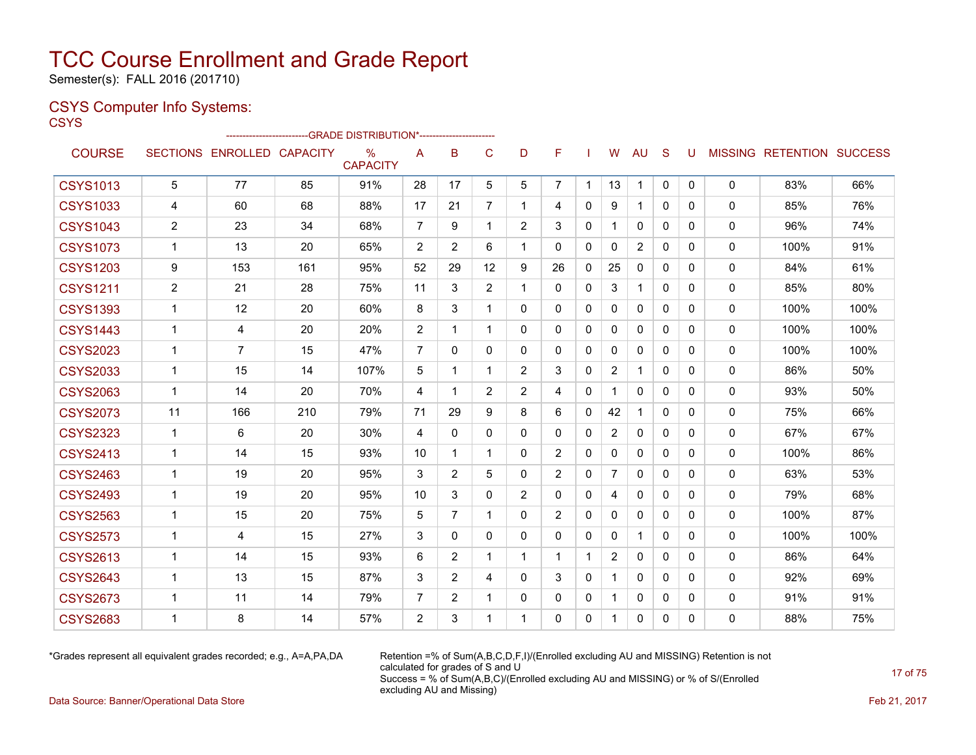Semester(s): FALL 2016 (201710)

### CSYS Computer Info Systems:

**CSYS** 

|                 |                |                            |     | ------------------------GRADE                DISTRIBUTION*---------------------- |                         |                |                |                |                |              |                |                |              |          |              |                           |      |
|-----------------|----------------|----------------------------|-----|----------------------------------------------------------------------------------|-------------------------|----------------|----------------|----------------|----------------|--------------|----------------|----------------|--------------|----------|--------------|---------------------------|------|
| <b>COURSE</b>   |                | SECTIONS ENROLLED CAPACITY |     | $\%$<br><b>CAPACITY</b>                                                          | A                       | B              | C              | D              | F              |              | W              | AU             | S            | U        |              | MISSING RETENTION SUCCESS |      |
| <b>CSYS1013</b> | 5              | 77                         | 85  | 91%                                                                              | 28                      | 17             | 5              | 5              | $\overline{7}$ | $\mathbf 1$  | 13             | $\mathbf 1$    | $\Omega$     | 0        | 0            | 83%                       | 66%  |
| <b>CSYS1033</b> | 4              | 60                         | 68  | 88%                                                                              | 17                      | 21             | $\overline{7}$ | 1              | 4              | $\Omega$     | 9              | $\mathbf 1$    | $\Omega$     | $\Omega$ | $\mathbf{0}$ | 85%                       | 76%  |
| <b>CSYS1043</b> | $\overline{2}$ | 23                         | 34  | 68%                                                                              | $\overline{7}$          | 9              |                | $\overline{2}$ | 3              | $\Omega$     | 1              | $\mathbf{0}$   | $\Omega$     | $\Omega$ | 0            | 96%                       | 74%  |
| <b>CSYS1073</b> | 1              | 13                         | 20  | 65%                                                                              | $\overline{2}$          | $\overline{2}$ | 6              | 1.             | 0              | 0            | $\mathbf 0$    | $\overline{2}$ | $\Omega$     | 0        | 0            | 100%                      | 91%  |
| <b>CSYS1203</b> | 9              | 153                        | 161 | 95%                                                                              | 52                      | 29             | 12             | 9              | 26             | 0            | 25             | 0              | $\mathbf{0}$ | 0        | 0            | 84%                       | 61%  |
| <b>CSYS1211</b> | $\overline{2}$ | 21                         | 28  | 75%                                                                              | 11                      | 3              | $\overline{2}$ | $\mathbf 1$    | $\Omega$       | $\Omega$     | 3              | $\mathbf 1$    | $\Omega$     | 0        | $\mathbf{0}$ | 85%                       | 80%  |
| <b>CSYS1393</b> | $\mathbf{1}$   | 12                         | 20  | 60%                                                                              | 8                       | 3              |                | 0              | $\Omega$       | $\mathbf{0}$ | 0              | 0              | $\mathbf{0}$ | 0        | 0            | 100%                      | 100% |
| <b>CSYS1443</b> | 1              | 4                          | 20  | 20%                                                                              | $\overline{2}$          | 1              | $\mathbf 1$    | 0              | $\Omega$       | $\mathbf{0}$ | $\mathbf{0}$   | $\mathbf{0}$   | $\Omega$     | 0        | 0            | 100%                      | 100% |
| <b>CSYS2023</b> | $\mathbf{1}$   | $\overline{7}$             | 15  | 47%                                                                              | $\overline{7}$          | $\Omega$       | $\Omega$       | 0              | $\Omega$       | $\Omega$     | $\Omega$       | $\mathbf{0}$   | $\Omega$     | $\Omega$ | 0            | 100%                      | 100% |
| <b>CSYS2033</b> | $\mathbf{1}$   | 15                         | 14  | 107%                                                                             | 5                       |                |                | $\overline{2}$ | 3              | $\Omega$     | $\overline{2}$ | 1              | $\Omega$     | $\Omega$ | $\mathbf{0}$ | 86%                       | 50%  |
| <b>CSYS2063</b> | 1              | 14                         | 20  | 70%                                                                              | 4                       | 1              | $\overline{2}$ | $\overline{2}$ | 4              | $\Omega$     | 1              | $\mathbf{0}$   | $\Omega$     | $\Omega$ | 0            | 93%                       | 50%  |
| <b>CSYS2073</b> | 11             | 166                        | 210 | 79%                                                                              | 71                      | 29             | 9              | 8              | 6              | 0            | 42             | 1              | $\Omega$     | 0        | $\mathbf{0}$ | 75%                       | 66%  |
| <b>CSYS2323</b> | $\mathbf{1}$   | 6                          | 20  | 30%                                                                              | $\overline{\mathbf{4}}$ | $\Omega$       | $\Omega$       | 0              | 0              | $\Omega$     | $\overline{2}$ | $\mathbf{0}$   | $\Omega$     | 0        | 0            | 67%                       | 67%  |
| <b>CSYS2413</b> | $\mathbf{1}$   | 14                         | 15  | 93%                                                                              | 10                      | 1              | $\mathbf 1$    | 0              | $\overline{2}$ | 0            | 0              | 0              | $\mathbf{0}$ | 0        | 0            | 100%                      | 86%  |
| <b>CSYS2463</b> | $\mathbf{1}$   | 19                         | 20  | 95%                                                                              | 3                       | $\overline{2}$ | 5              | 0              | $\overline{2}$ | $\mathbf{0}$ | $\overline{7}$ | $\mathbf{0}$   | $\Omega$     | $\Omega$ | 0            | 63%                       | 53%  |
| <b>CSYS2493</b> | $\mathbf{1}$   | 19                         | 20  | 95%                                                                              | 10                      | 3              | $\Omega$       | $\overline{2}$ | $\Omega$       | $\Omega$     | 4              | $\mathbf{0}$   | $\Omega$     | $\Omega$ | 0            | 79%                       | 68%  |
| <b>CSYS2563</b> | $\mathbf{1}$   | 15                         | 20  | 75%                                                                              | 5                       | $\overline{7}$ | $\mathbf 1$    | 0              | $\overline{2}$ | $\Omega$     | 0              | $\mathbf{0}$   | $\Omega$     | $\Omega$ | 0            | 100%                      | 87%  |
| <b>CSYS2573</b> | 1              | 4                          | 15  | 27%                                                                              | 3                       | 0              | $\mathbf{0}$   | 0              | 0              | $\Omega$     | 0              | $\mathbf 1$    | $\Omega$     | 0        | 0            | 100%                      | 100% |
| <b>CSYS2613</b> | $\mathbf{1}$   | 14                         | 15  | 93%                                                                              | 6                       | $\overline{2}$ |                | $\mathbf 1$    | $\mathbf{1}$   |              | $\overline{2}$ | $\mathbf{0}$   | $\Omega$     | 0        | $\mathbf{0}$ | 86%                       | 64%  |
| <b>CSYS2643</b> | $\mathbf{1}$   | 13                         | 15  | 87%                                                                              | 3                       | $\overline{2}$ | 4              | 0              | 3              | $\Omega$     | 1              | $\mathbf{0}$   | $\Omega$     | $\Omega$ | 0            | 92%                       | 69%  |
| <b>CSYS2673</b> | 1              | 11                         | 14  | 79%                                                                              | 7                       | $\overline{2}$ |                | 0              | 0              | 0            | 1              | 0              | $\mathbf{0}$ | 0        | 0            | 91%                       | 91%  |
| <b>CSYS2683</b> | 1              | 8                          | 14  | 57%                                                                              | $\overline{2}$          | 3              |                | 1              | 0              | 0            | $\mathbf 1$    | 0              | 0            | 0        | $\mathbf{0}$ | 88%                       | 75%  |

\*Grades represent all equivalent grades recorded; e.g., A=A,PA,DA Retention =% of Sum(A,B,C,D,F,I)/(Enrolled excluding AU and MISSING) Retention is not calculated for grades of S and U Success = % of Sum(A,B,C)/(Enrolled excluding AU and MISSING) or % of S/(Enrolled excluding AU and Missing)

Data Source: Banner/Operational Data Store Feb 21, 2017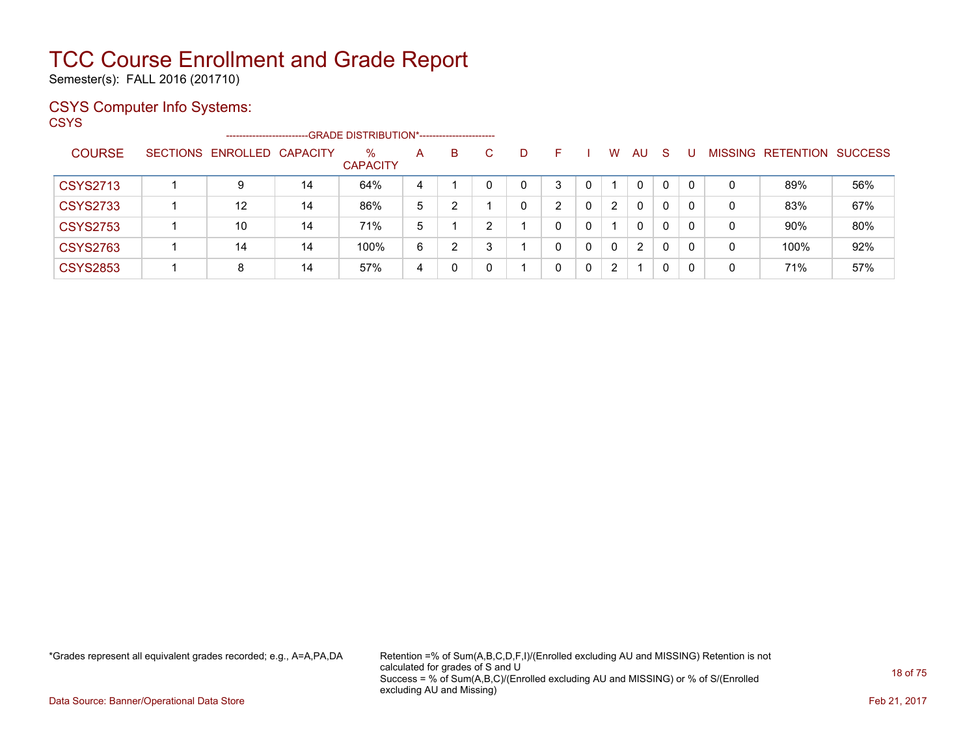Semester(s): FALL 2016 (201710)

### CSYS Computer Info Systems:

**CSYS** 

|                 | ----------------------     |    |                      |   |    |    |   |   |   |                       |              |              |          |   |                           |     |
|-----------------|----------------------------|----|----------------------|---|----|----|---|---|---|-----------------------|--------------|--------------|----------|---|---------------------------|-----|
| <b>COURSE</b>   | SECTIONS ENROLLED CAPACITY |    | %<br><b>CAPACITY</b> | A | B. | C. | D |   |   | W                     | AU           | -S           |          |   | MISSING RETENTION SUCCESS |     |
| <b>CSYS2713</b> | 9                          | 14 | 64%                  | 4 |    |    | 0 | 3 | 0 |                       | $\mathbf{0}$ | $\mathbf{0}$ | $\Omega$ | 0 | 89%                       | 56% |
| <b>CSYS2733</b> | 12                         | 14 | 86%                  | 5 |    |    | 0 | ົ | 0 | 2                     | $\mathbf{0}$ | $\Omega$     | 0        | 0 | 83%                       | 67% |
| <b>CSYS2753</b> | 10                         | 14 | 71%                  | 5 |    |    |   |   | 0 |                       | 0            | $\Omega$     | $\Omega$ | 0 | 90%                       | 80% |
| <b>CSYS2763</b> | 14                         | 14 | 100%                 | 6 | ົ  | ົ  |   | 0 | 0 | 0                     | 2            | $\mathbf{0}$ | $\Omega$ | 0 | 100%                      | 92% |
| <b>CSYS2853</b> | 8                          | 14 | 57%                  | 4 |    |    |   | 0 | 0 | $\mathbf{2}^{\prime}$ |              | $\mathbf{0}$ | 0        | 0 | 71%                       | 57% |

\*Grades represent all equivalent grades recorded; e.g., A=A,PA,DA Retention =% of Sum(A,B,C,D,F,I)/(Enrolled excluding AU and MISSING) Retention is not calculated for grades of S and U Success = % of Sum(A,B,C)/(Enrolled excluding AU and MISSING) or % of S/(Enrolled excluding AU and Missing)

Data Source: Banner/Operational Data Store Feb 21, 2017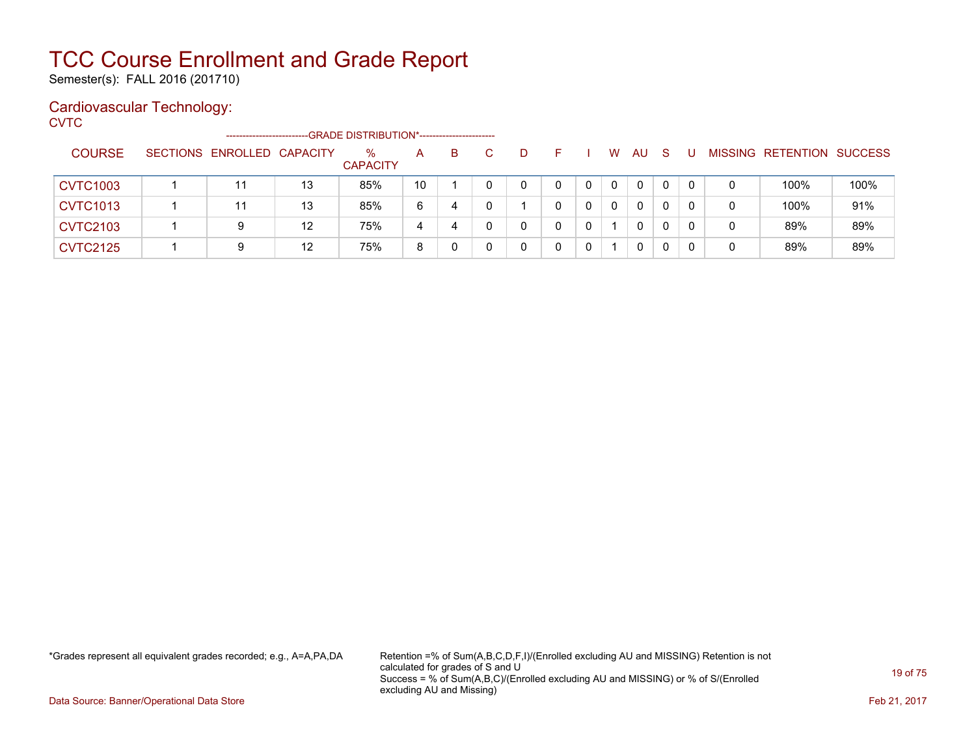Semester(s): FALL 2016 (201710)

### Cardiovascular Technology:

**CVTC** 

|                 | ---------------------      |    | --GRADE DISTRIBUTION*----------------------- |    |    |   |   |              |              |              |          |   |                           |      |
|-----------------|----------------------------|----|----------------------------------------------|----|----|---|---|--------------|--------------|--------------|----------|---|---------------------------|------|
| <b>COURSE</b>   | SECTIONS ENROLLED CAPACITY |    | %<br><b>CAPACITY</b>                         | A  | B. | D |   | W            | AU           | <sub>S</sub> |          |   | MISSING RETENTION SUCCESS |      |
| <b>CVTC1003</b> | 11                         | 13 | 85%                                          | 10 |    | 0 | 0 | $\mathbf{0}$ | 0            |              | $\Omega$ | 0 | 100%                      | 100% |
| <b>CVTC1013</b> | 11                         | 13 | 85%                                          | 6  | 4  |   | 0 | $\mathbf{0}$ | 0            |              | $\Omega$ | 0 | 100%                      | 91%  |
| <b>CVTC2103</b> |                            | 12 | 75%                                          | 4  | 4  |   | 0 |              | $\mathbf{0}$ |              | 0        | 0 | 89%                       | 89%  |
| <b>CVTC2125</b> |                            | 12 | 75%                                          | 8  |    |   | 0 |              |              |              |          | 0 | 89%                       | 89%  |

\*Grades represent all equivalent grades recorded; e.g., A=A,PA,DA Retention =% of Sum(A,B,C,D,F,I)/(Enrolled excluding AU and MISSING) Retention is not calculated for grades of S and U Success = % of Sum(A,B,C)/(Enrolled excluding AU and MISSING) or % of S/(Enrolled excluding AU and Missing)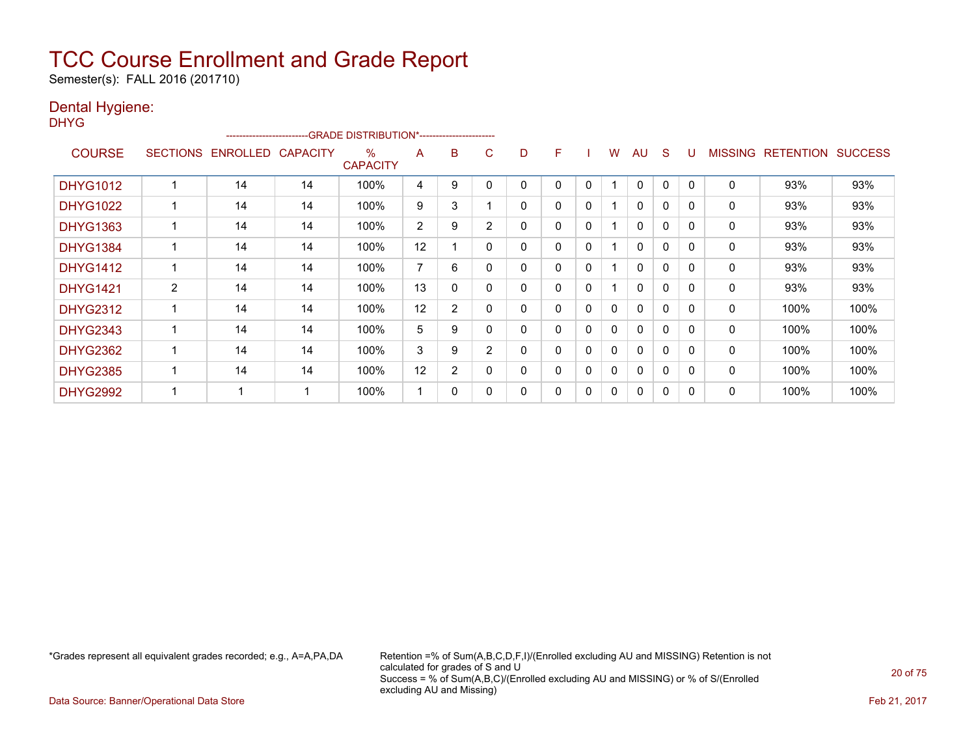Semester(s): FALL 2016 (201710)

#### Dental Hygiene: DH

| HYG             |                |                   |                 |                                                                                            |    |   |             |              |   |              |              |              |              |              |                |                  |                |
|-----------------|----------------|-------------------|-----------------|--------------------------------------------------------------------------------------------|----|---|-------------|--------------|---|--------------|--------------|--------------|--------------|--------------|----------------|------------------|----------------|
| <b>COURSE</b>   |                | SECTIONS ENROLLED | <b>CAPACITY</b> | ------------------------GRADE DISTRIBUTION*-----------------------<br>%<br><b>CAPACITY</b> | A  | B | C           | D            | F |              | W            | AU.          | <sub>S</sub> | U            | <b>MISSING</b> | <b>RETENTION</b> | <b>SUCCESS</b> |
| <b>DHYG1012</b> |                | 14                | 14              | 100%                                                                                       | 4  | 9 | 0           | 0            |   | $\Omega$     |              | $\Omega$     | $\mathbf 0$  | $\mathbf{0}$ | $\mathbf 0$    | 93%              | 93%            |
| <b>DHYG1022</b> |                | 14                | 14              | 100%                                                                                       | 9  | 3 |             | 0            | 0 | $\mathbf{0}$ |              | $\mathbf{0}$ | 0            | 0            | 0              | 93%              | 93%            |
| <b>DHYG1363</b> |                | 14                | 14              | 100%                                                                                       | 2  | 9 | 2           | 0            | 0 | $\mathbf{0}$ |              | $\mathbf{0}$ | 0            | 0            | 0              | 93%              | 93%            |
| <b>DHYG1384</b> |                | 14                | 14              | 100%                                                                                       | 12 |   | 0           | 0            | 0 | $\mathbf{0}$ |              | $\mathbf{0}$ | 0            | 0            | 0              | 93%              | 93%            |
| <b>DHYG1412</b> |                | 14                | 14              | 100%                                                                                       | 7  | 6 | $\mathbf 0$ | 0            | 0 | $\mathbf{0}$ |              | $\mathbf{0}$ | $\mathbf{0}$ | 0            | 0              | 93%              | 93%            |
| <b>DHYG1421</b> | $\overline{2}$ | 14                | 14              | 100%                                                                                       | 13 | 0 | 0           | $\mathbf{0}$ | 0 | $\mathbf{0}$ |              | $\mathbf{0}$ | $\mathbf{0}$ | 0            | 0              | 93%              | 93%            |
| <b>DHYG2312</b> |                | 14                | 14              | 100%                                                                                       | 12 | 2 | 0           | 0            | 0 | $\mathbf{0}$ | 0            | $\mathbf{0}$ | $\Omega$     | 0            | 0              | 100%             | 100%           |
| <b>DHYG2343</b> |                | 14                | 14              | 100%                                                                                       | 5  | 9 | $\mathbf 0$ | 0            | 0 | $\mathbf{0}$ | $\mathbf{0}$ | $\mathbf{0}$ | $\Omega$     | 0            | $\mathbf{0}$   | 100%             | 100%           |
| <b>DHYG2362</b> |                | 14                | 14              | 100%                                                                                       | 3  | 9 | 2           | 0            | 0 | $\Omega$     | 0            | $\mathbf{0}$ | $\Omega$     | $\Omega$     | $\mathbf{0}$   | 100%             | 100%           |
| <b>DHYG2385</b> |                | 14                | 14              | 100%                                                                                       | 12 | 2 | 0           | 0            |   | 0            | 0            | 0            | 0            | 0            | 0              | 100%             | 100%           |

DHYG2992 1 1 1 100% 1 0 0 0 0 0 0 0 0 0 0 100% 100%

\*Grades represent all equivalent grades recorded; e.g., A=A,PA,DA Retention =% of Sum(A,B,C,D,F,I)/(Enrolled excluding AU and MISSING) Retention is not calculated for grades of S and U Success = % of Sum(A,B,C)/(Enrolled excluding AU and MISSING) or % of S/(Enrolled excluding AU and Missing)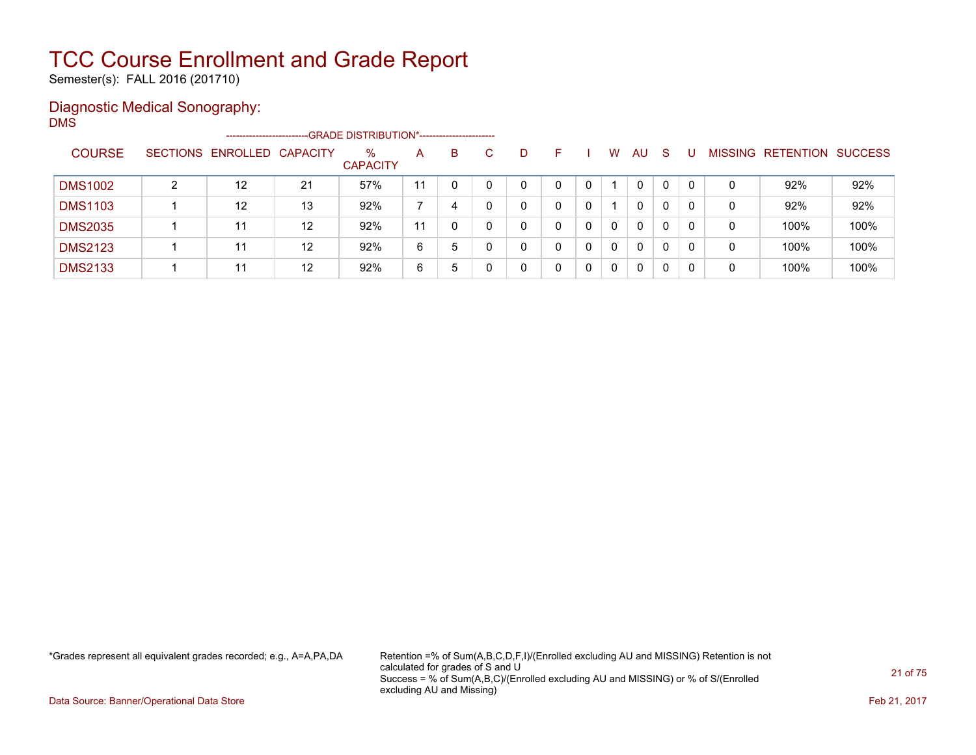Semester(s): FALL 2016 (201710)

#### Diagnostic Medical Sonography: DMS

|                |   | -----------------------    |    |                         |    |   |   |    |    |          |              |              |    |                |           |                |
|----------------|---|----------------------------|----|-------------------------|----|---|---|----|----|----------|--------------|--------------|----|----------------|-----------|----------------|
| <b>COURSE</b>  |   | SECTIONS ENROLLED CAPACITY |    | $\%$<br><b>CAPACITY</b> | A  | B | C | D. | н. | W        | AU           | <sub>S</sub> |    | <b>MISSING</b> | RETENTION | <b>SUCCESS</b> |
| <b>DMS1002</b> | າ | $12 \overline{ }$          | 21 | 57%                     | 11 |   |   | 0  |    |          | $\mathbf{0}$ | 0            | -0 | 0              | 92%       | 92%            |
| <b>DMS1103</b> |   | $12 \overline{ }$          | 13 | 92%                     |    | 4 |   |    |    |          | $\mathbf{0}$ | 0            |    | 0              | 92%       | 92%            |
| <b>DMS2035</b> |   | 11                         | 12 | 92%                     | 11 |   |   | 0  | 0  | $\Omega$ | 0            | 0            |    | 0              | 100%      | 100%           |
| <b>DMS2123</b> |   | 11                         | 12 | 92%                     | 6  | 5 |   | 0  | 0  | $\Omega$ | 0            | 0            | -0 | 0              | 100%      | 100%           |
| <b>DMS2133</b> |   | 11                         | 12 | 92%                     | 6  | 5 |   | 0  |    | $\Omega$ | 0            | 0            |    | 0              | 100%      | 100%           |

\*Grades represent all equivalent grades recorded; e.g., A=A,PA,DA Retention =% of Sum(A,B,C,D,F,I)/(Enrolled excluding AU and MISSING) Retention is not calculated for grades of S and U Success = % of Sum(A,B,C)/(Enrolled excluding AU and MISSING) or % of S/(Enrolled excluding AU and Missing)

Data Source: Banner/Operational Data Store Feb 21, 2017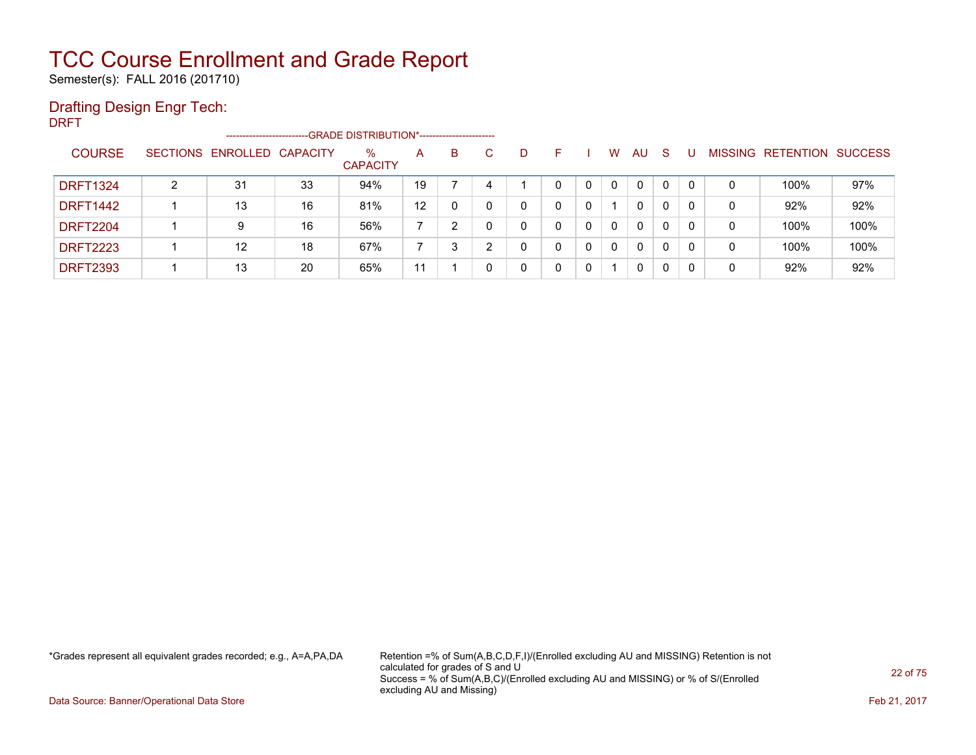Semester(s): FALL 2016 (201710)

### Drafting Design Engr Tech:

DRFT

|                 |   | ------------------------   |    | --GRADE DISTRIBUTION*----------------------- |                   |   |   |   |   |   |          |              |              |    |                |           |                |
|-----------------|---|----------------------------|----|----------------------------------------------|-------------------|---|---|---|---|---|----------|--------------|--------------|----|----------------|-----------|----------------|
| <b>COURSE</b>   |   | SECTIONS ENROLLED CAPACITY |    | %<br><b>CAPACITY</b>                         | A                 | B |   | D |   |   | W        | AU           | <sub>S</sub> |    | <b>MISSING</b> | RETENTION | <b>SUCCESS</b> |
| <b>DRFT1324</b> | ົ | 31                         | 33 | 94%                                          | 19                |   |   |   | 0 | 0 | $\Omega$ | $\mathbf{0}$ | 0            | 0  | 0              | 100%      | 97%            |
| <b>DRFT1442</b> |   | 13                         | 16 | 81%                                          | 12                |   |   | 0 |   | 0 |          | 0            | 0            |    | 0              | 92%       | 92%            |
| <b>DRFT2204</b> |   | 9                          | 16 | 56%                                          |                   |   |   | 0 |   | 0 | $\Omega$ | $\mathbf{0}$ | 0            | -0 | 0              | 100%      | 100%           |
| <b>DRFT2223</b> |   | $12 \overline{ }$          | 18 | 67%                                          |                   |   | ◠ | ∩ | 0 | 0 | $\Omega$ | $\mathbf{0}$ | 0            | -0 | 0              | 100%      | 100%           |
| <b>DRFT2393</b> |   | 13                         | 20 | 65%                                          | $\mathbf{1}$<br>1 |   |   | 0 |   | 0 |          | 0            | 0            | -0 | 0              | 92%       | 92%            |

\*Grades represent all equivalent grades recorded; e.g., A=A,PA,DA Retention =% of Sum(A,B,C,D,F,I)/(Enrolled excluding AU and MISSING) Retention is not calculated for grades of S and U Success = % of Sum(A,B,C)/(Enrolled excluding AU and MISSING) or % of S/(Enrolled excluding AU and Missing)

Data Source: Banner/Operational Data Store Feb 21, 2017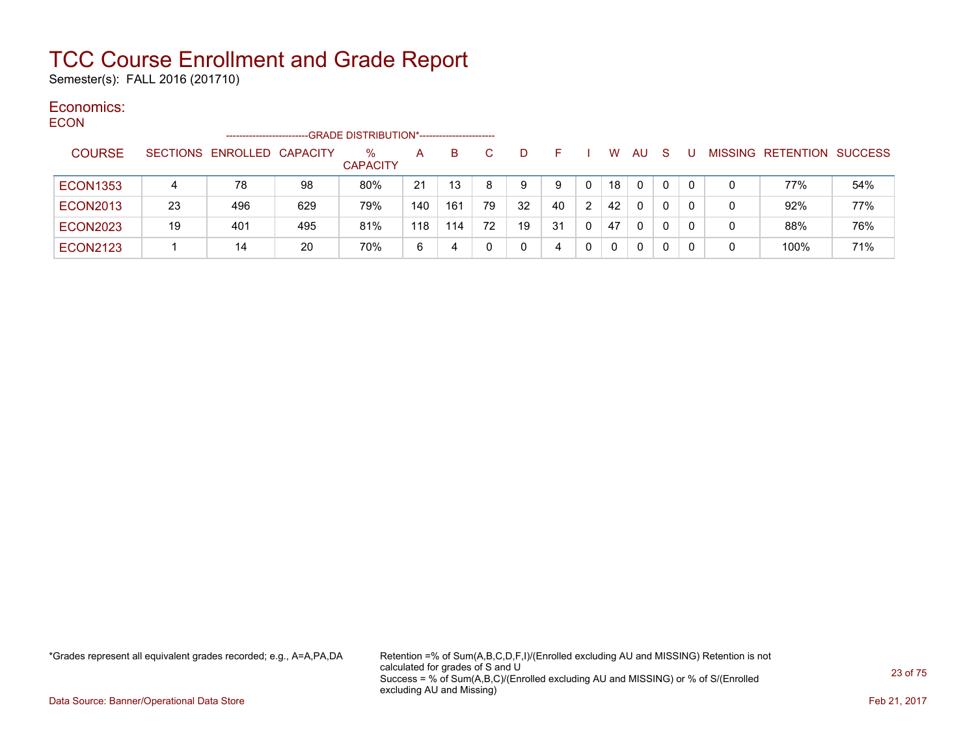Semester(s): FALL 2016 (201710)

#### Economics: ECON

| ECON.           |    | ----------------------     |     | -GRADE DISTRIBUTION*---------------------- |     |     |    |    |    |                |              |              |    |          |   |                           |     |
|-----------------|----|----------------------------|-----|--------------------------------------------|-----|-----|----|----|----|----------------|--------------|--------------|----|----------|---|---------------------------|-----|
| <b>COURSE</b>   |    | SECTIONS ENROLLED CAPACITY |     | $\%$<br><b>CAPACITY</b>                    | A   | B   |    |    | н. |                | W            | <b>AU</b>    | -S |          |   | MISSING RETENTION SUCCESS |     |
| <b>ECON1353</b> | 4  | 78                         | 98  | 80%                                        | 21  | 13  | 8  | 9  | 9  | $\mathbf{0}$   | 18           | $\Omega$     | 0  | $\Omega$ | 0 | 77%                       | 54% |
| <b>ECON2013</b> | 23 | 496                        | 629 | 79%                                        | 140 | 161 | 79 | 32 | 40 | $\overline{2}$ | 42           | $\mathbf{0}$ | 0  | 0        | 0 | 92%                       | 77% |
| <b>ECON2023</b> | 19 | 401                        | 495 | 81%                                        | 118 | 114 | 72 | 19 | 31 |                | 47           | $\mathbf{0}$ | 0  | 0        | 0 | 88%                       | 76% |
| <b>ECON2123</b> |    | 14                         | 20  | 70%                                        | 6   | 4   | 0  |    | 4  |                | $\mathbf{0}$ | 0            | 0  | 0        | 0 | 100%                      | 71% |

\*Grades represent all equivalent grades recorded; e.g., A=A,PA,DA Retention =% of Sum(A,B,C,D,F,I)/(Enrolled excluding AU and MISSING) Retention is not calculated for grades of S and U Success = % of Sum(A,B,C)/(Enrolled excluding AU and MISSING) or % of S/(Enrolled excluding AU and Missing)

Data Source: Banner/Operational Data Store Feb 21, 2017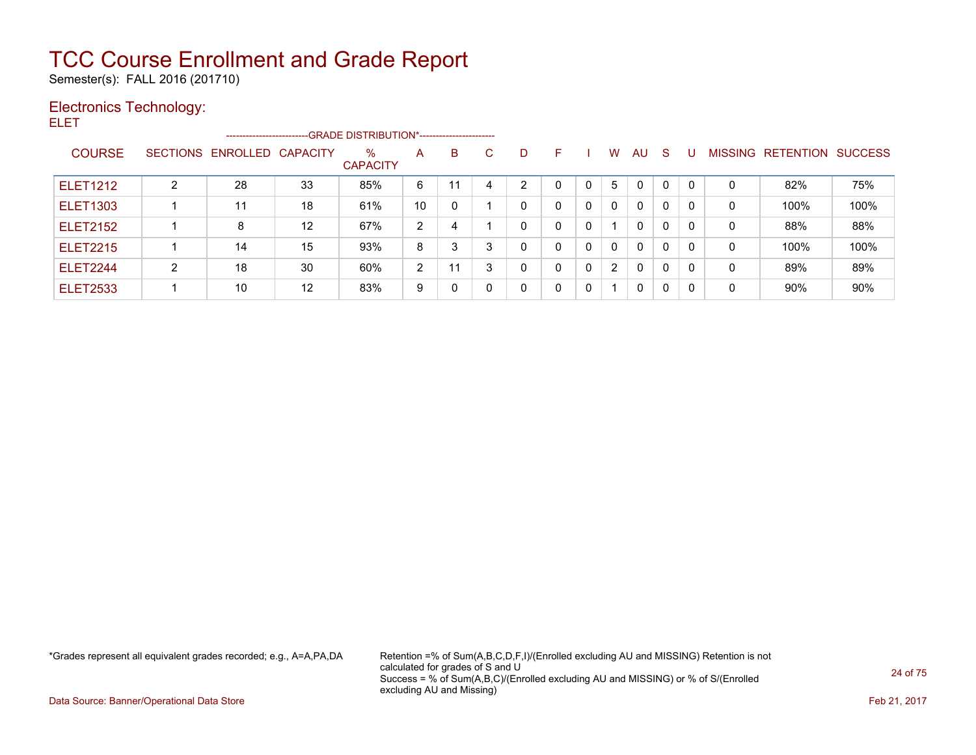Semester(s): FALL 2016 (201710)

#### Electronics Technology: ELET

|                 |   | -------------------------  |    | -GRADE DISTRIBUTION*----------------------- |    |          |              |   |              |          |          |              |   |              |   |                   |                |
|-----------------|---|----------------------------|----|---------------------------------------------|----|----------|--------------|---|--------------|----------|----------|--------------|---|--------------|---|-------------------|----------------|
| <b>COURSE</b>   |   | SECTIONS ENROLLED CAPACITY |    | $\%$<br><b>CAPACITY</b>                     | A  | B        | $\mathbf{C}$ | D | F.           |          | w        | AU           | S | U            |   | MISSING RETENTION | <b>SUCCESS</b> |
| <b>ELET1212</b> | 2 | 28                         | 33 | 85%                                         | 6  |          | 4            | っ | <sup>0</sup> | $\Omega$ | 5.       | 0            | 0 | $\mathbf{0}$ | 0 | 82%               | 75%            |
| <b>ELET1303</b> |   | 11                         | 18 | 61%                                         | 10 | $\Omega$ |              | 0 |              | 0        | $\Omega$ | $\mathbf{0}$ | 0 | 0            | 0 | 100%              | 100%           |
| <b>ELET2152</b> |   | 8                          | 12 | 67%                                         | 2  | 4        |              | 0 | 0            | 0        |          | $\mathbf{0}$ | 0 | 0            | 0 | 88%               | 88%            |
| <b>ELET2215</b> |   | 14                         | 15 | 93%                                         | 8  | 3        | 3            |   | 0            | 0        | $\Omega$ | $\mathbf{0}$ | 0 | $\mathbf{0}$ | 0 | 100%              | 100%           |
| <b>ELET2244</b> | 2 | 18                         | 30 | 60%                                         | 2  |          | 3            |   | 0            | 0        | 2        | 0            | 0 | 0            | 0 | 89%               | 89%            |
| <b>ELET2533</b> |   | 10                         | 12 | 83%                                         | 9  | 0        | 0            |   | 0            | 0        |          | $\mathbf{0}$ | 0 | 0            | 0 | 90%               | 90%            |

\*Grades represent all equivalent grades recorded; e.g., A=A,PA,DA Retention =% of Sum(A,B,C,D,F,I)/(Enrolled excluding AU and MISSING) Retention is not calculated for grades of S and U Success = % of Sum(A,B,C)/(Enrolled excluding AU and MISSING) or % of S/(Enrolled excluding AU and Missing)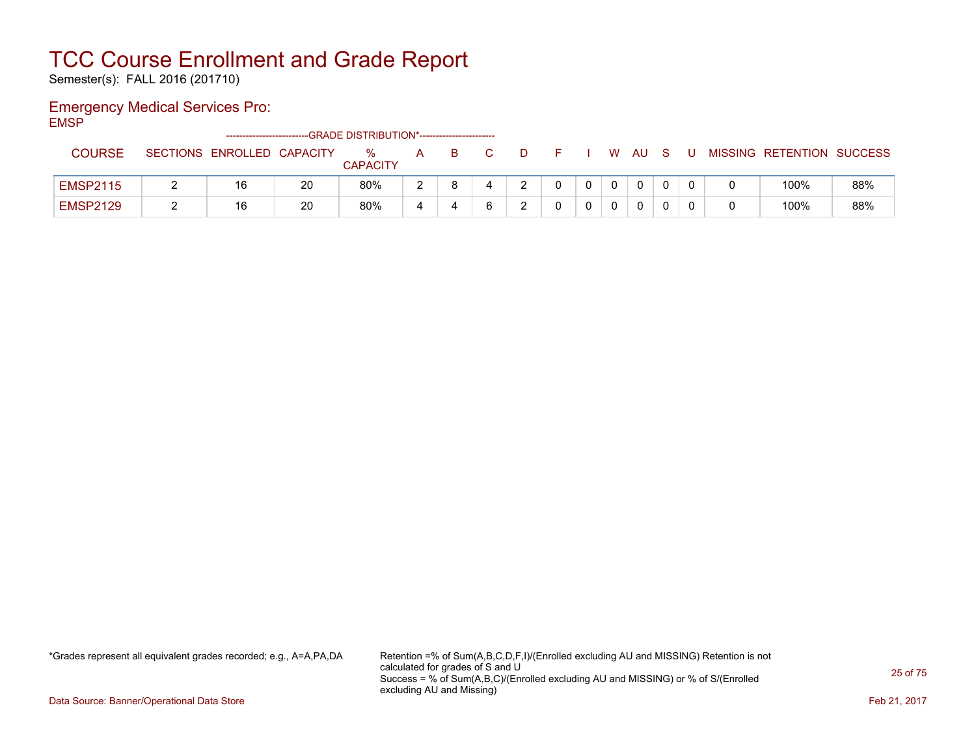Semester(s): FALL 2016 (201710)

### Emergency Medical Services Pro:

EMSP

|                 | -------------------------- |    | --GRADE DISTRIBUTION*----------------------- |   |    |              |  |      |  |                           |     |
|-----------------|----------------------------|----|----------------------------------------------|---|----|--------------|--|------|--|---------------------------|-----|
| <b>COURSE</b>   | SECTIONS ENROLLED CAPACITY |    | ℅                                            | A | B. | $\mathbf{D}$ |  | W AU |  | MISSING RETENTION SUCCESS |     |
|                 |                            |    | <b>CAPACITY</b>                              |   |    |              |  |      |  |                           |     |
| <b>EMSP2115</b> | 16                         | 20 | 80%                                          |   |    |              |  |      |  | 100%                      | 88% |
| <b>EMSP2129</b> | 16                         | 20 | 80%                                          |   |    |              |  | 0    |  | 100%                      | 88% |

\*Grades represent all equivalent grades recorded; e.g., A=A,PA,DA Retention =% of Sum(A,B,C,D,F,I)/(Enrolled excluding AU and MISSING) Retention is not calculated for grades of S and U Success = % of Sum(A,B,C)/(Enrolled excluding AU and MISSING) or % of S/(Enrolled excluding AU and Missing)

Data Source: Banner/Operational Data Store Feb 21, 2017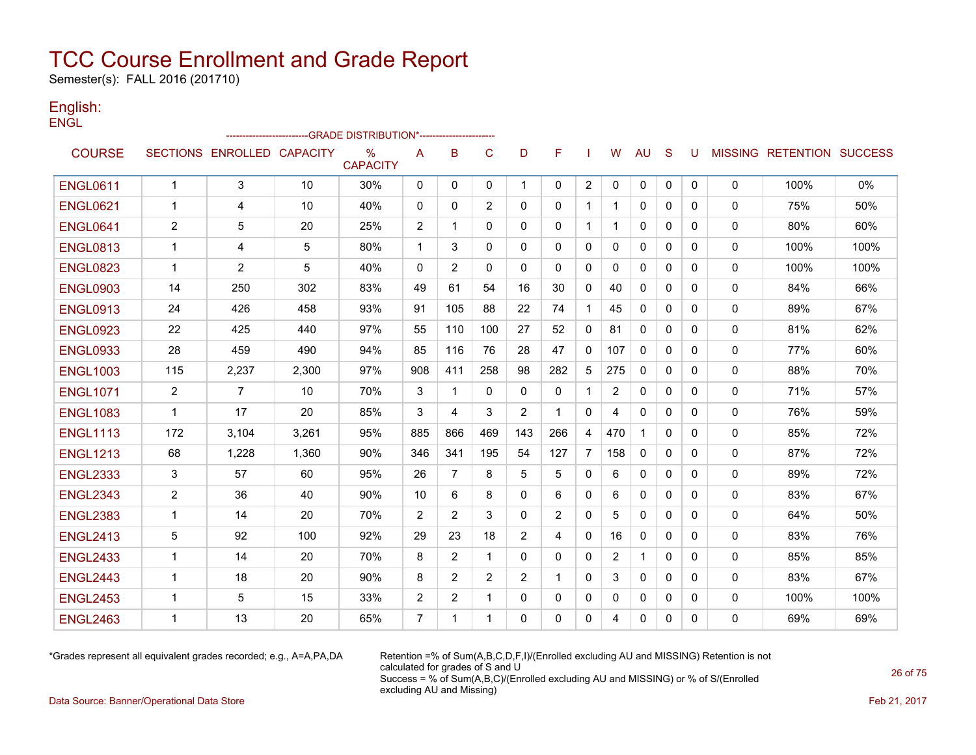Semester(s): FALL 2016 (201710)

#### English: **ENGL**

|                 |                |                            | ------------------GRADE                          DISTRIBUTION*---------------------- |                         |                |                |                |                |              |                |                |              |              |              |              |                           |      |
|-----------------|----------------|----------------------------|--------------------------------------------------------------------------------------|-------------------------|----------------|----------------|----------------|----------------|--------------|----------------|----------------|--------------|--------------|--------------|--------------|---------------------------|------|
| <b>COURSE</b>   |                | SECTIONS ENROLLED CAPACITY |                                                                                      | $\%$<br><b>CAPACITY</b> | A              | B              | C              | D              | F            |                | w              | <b>AU</b>    | S            | U            |              | MISSING RETENTION SUCCESS |      |
| <b>ENGL0611</b> | $\mathbf{1}$   | 3                          | 10                                                                                   | 30%                     | 0              | 0              | 0              | $\mathbf{1}$   | $\mathbf{0}$ | 2              | $\mathbf 0$    | 0            | 0            | 0            | 0            | 100%                      | 0%   |
| <b>ENGL0621</b> | -1             | 4                          | 10                                                                                   | 40%                     | $\mathbf{0}$   | $\mathbf{0}$   | 2              | 0              | $\mathbf{0}$ | 1              | 1              | 0            | $\mathbf{0}$ | 0            | $\mathbf{0}$ | 75%                       | 50%  |
| <b>ENGL0641</b> | $\overline{2}$ | 5                          | 20                                                                                   | 25%                     | 2              | 1              | $\Omega$       | $\mathbf{0}$   | $\mathbf{0}$ | 1              | 1              | 0            | $\mathbf{0}$ | $\mathbf{0}$ | 0            | 80%                       | 60%  |
| <b>ENGL0813</b> | $\mathbf{1}$   | 4                          | 5                                                                                    | 80%                     | $\mathbf{1}$   | 3              | $\Omega$       | $\Omega$       | $\Omega$     | $\mathbf{0}$   | 0              | $\mathbf{0}$ | $\Omega$     | $\Omega$     | 0            | 100%                      | 100% |
| <b>ENGL0823</b> | $\overline{1}$ | 2                          | 5                                                                                    | 40%                     | $\mathbf{0}$   | $\overline{2}$ | $\Omega$       | $\Omega$       | $\Omega$     | $\mathbf{0}$   | 0              | $\Omega$     | $\Omega$     | $\Omega$     | $\Omega$     | 100%                      | 100% |
| <b>ENGL0903</b> | 14             | 250                        | 302                                                                                  | 83%                     | 49             | 61             | 54             | 16             | 30           | $\mathbf{0}$   | 40             | $\mathbf{0}$ | $\mathbf{0}$ | 0            | 0            | 84%                       | 66%  |
| <b>ENGL0913</b> | 24             | 426                        | 458                                                                                  | 93%                     | 91             | 105            | 88             | 22             | 74           | 1              | 45             | $\mathbf{0}$ | $\mathbf{0}$ | 0            | 0            | 89%                       | 67%  |
| <b>ENGL0923</b> | 22             | 425                        | 440                                                                                  | 97%                     | 55             | 110            | 100            | 27             | 52           | 0              | 81             | $\Omega$     | $\mathbf{0}$ | $\Omega$     | 0            | 81%                       | 62%  |
| <b>ENGL0933</b> | 28             | 459                        | 490                                                                                  | 94%                     | 85             | 116            | 76             | 28             | 47           | $\mathbf{0}$   | 107            | $\mathbf{0}$ | 0            | 0            | 0            | 77%                       | 60%  |
| <b>ENGL1003</b> | 115            | 2,237                      | 2,300                                                                                | 97%                     | 908            | 411            | 258            | 98             | 282          | 5              | 275            | $\Omega$     | $\Omega$     | $\Omega$     | 0            | 88%                       | 70%  |
| <b>ENGL1071</b> | 2              | 7                          | 10                                                                                   | 70%                     | 3              | 1              | $\Omega$       | 0              | $\mathbf{0}$ | 1              | $\overline{2}$ | 0            | $\Omega$     | 0            | 0            | 71%                       | 57%  |
| <b>ENGL1083</b> | $\mathbf 1$    | 17                         | 20                                                                                   | 85%                     | 3              | 4              | 3              | 2              | 1            | $\mathbf{0}$   | 4              | 0            | 0            | 0            | 0            | 76%                       | 59%  |
| <b>ENGL1113</b> | 172            | 3,104                      | 3,261                                                                                | 95%                     | 885            | 866            | 469            | 143            | 266          | 4              | 470            |              | $\mathbf{0}$ | 0            | 0            | 85%                       | 72%  |
| <b>ENGL1213</b> | 68             | 1,228                      | 1,360                                                                                | 90%                     | 346            | 341            | 195            | 54             | 127          | $\overline{7}$ | 158            | $\mathbf{0}$ | 0            | 0            | 0            | 87%                       | 72%  |
| <b>ENGL2333</b> | 3              | 57                         | 60                                                                                   | 95%                     | 26             | $\overline{7}$ | 8              | 5              | 5            | $\mathbf{0}$   | 6              | $\mathbf{0}$ | $\Omega$     | 0            | 0            | 89%                       | 72%  |
| <b>ENGL2343</b> | $\overline{2}$ | 36                         | 40                                                                                   | 90%                     | 10             | 6              | 8              | $\mathbf{0}$   | 6            | 0              | 6              | 0            | $\mathbf{0}$ | $\mathbf{0}$ | 0            | 83%                       | 67%  |
| <b>ENGL2383</b> | $\mathbf{1}$   | 14                         | 20                                                                                   | 70%                     | 2              | 2              | 3              | $\Omega$       | 2            | $\Omega$       | 5              | $\mathbf{0}$ | $\Omega$     | $\Omega$     | 0            | 64%                       | 50%  |
| <b>ENGL2413</b> | 5              | 92                         | 100                                                                                  | 92%                     | 29             | 23             | 18             | $\overline{2}$ | 4            | 0              | 16             | 0            | $\mathbf{0}$ | $\mathbf{0}$ | 0            | 83%                       | 76%  |
| <b>ENGL2433</b> | $\mathbf{1}$   | 14                         | 20                                                                                   | 70%                     | 8              | 2              | $\mathbf 1$    | $\Omega$       | $\mathbf{0}$ | $\mathbf{0}$   | $\overline{2}$ | $\mathbf{1}$ | $\Omega$     | 0            | 0            | 85%                       | 85%  |
| <b>ENGL2443</b> | $\mathbf 1$    | 18                         | 20                                                                                   | 90%                     | 8              | $\overline{2}$ | $\overline{2}$ | 2              | $\mathbf{1}$ | $\mathbf{0}$   | 3              | $\mathbf{0}$ | $\mathbf{0}$ | $\mathbf{0}$ | 0            | 83%                       | 67%  |
| <b>ENGL2453</b> | -1             | 5                          | 15                                                                                   | 33%                     | 2              | 2              | $\mathbf 1$    | 0              | 0            | 0              | 0              | $\mathbf{0}$ | 0            | 0            | 0            | 100%                      | 100% |
| <b>ENGL2463</b> | 1              | 13                         | 20                                                                                   | 65%                     | $\overline{7}$ | 1              | $\mathbf 1$    | $\Omega$       | $\Omega$     | $\mathbf{0}$   | 4              | $\Omega$     | $\Omega$     | $\Omega$     | $\Omega$     | 69%                       | 69%  |

\*Grades represent all equivalent grades recorded; e.g., A=A,PA,DA Retention =% of Sum(A,B,C,D,F,I)/(Enrolled excluding AU and MISSING) Retention is not calculated for grades of S and U Success = % of Sum(A,B,C)/(Enrolled excluding AU and MISSING) or % of S/(Enrolled excluding AU and Missing)

Data Source: Banner/Operational Data Store Feb 21, 2017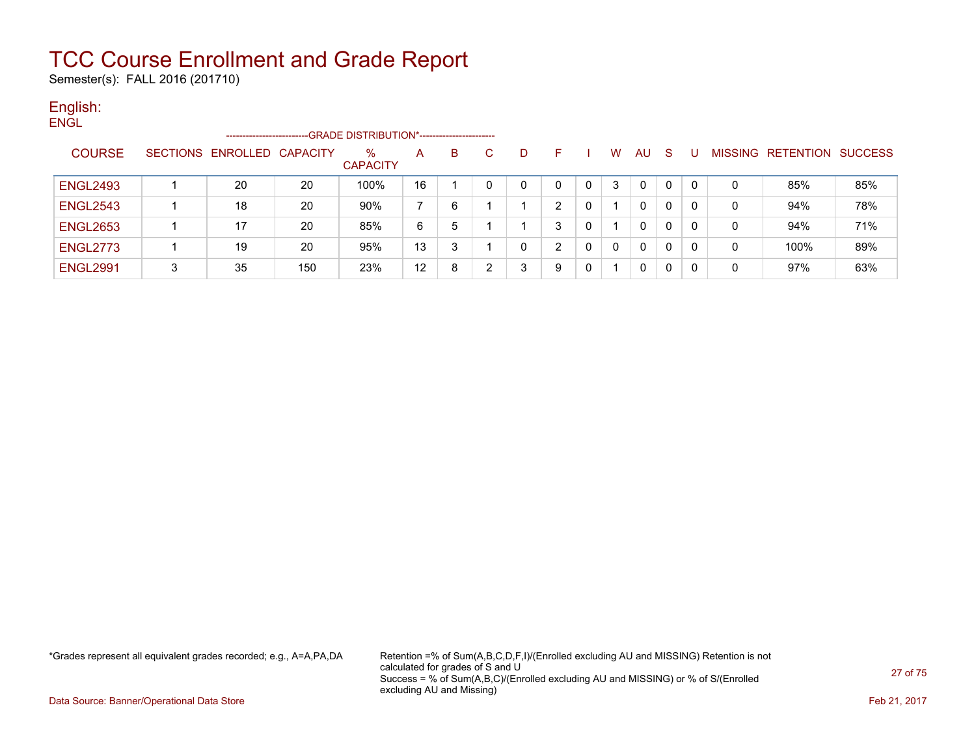Semester(s): FALL 2016 (201710)

### English:

| <b>ENGL</b>     |   |                            |     |                                             |    |   |              |   |    |   |   |              |              |          |   |                   |                |
|-----------------|---|----------------------------|-----|---------------------------------------------|----|---|--------------|---|----|---|---|--------------|--------------|----------|---|-------------------|----------------|
|                 |   | --------------------       |     | -GRADE DISTRIBUTION*----------------------- |    |   |              |   |    |   |   |              |              |          |   |                   |                |
| <b>COURSE</b>   |   | SECTIONS ENROLLED CAPACITY |     | $\%$<br><b>CAPACITY</b>                     | A  | B | $\mathbf{C}$ | D | F. |   | W | AU.          | -S           |          |   | MISSING RETENTION | <b>SUCCESS</b> |
| <b>ENGL2493</b> |   | 20                         | 20  | 100%                                        | 16 |   | 0            |   |    | 0 |   | 0            | 0            |          |   | 85%               | 85%            |
| <b>ENGL2543</b> |   | 18                         | 20  | 90%                                         |    | 6 |              |   | 2  | 0 |   | 0            | 0            | 0        | 0 | 94%               | 78%            |
| <b>ENGL2653</b> |   | 17                         | 20  | 85%                                         | 6  | 5 |              |   | 3  | 0 |   | 0            | 0            |          | 0 | 94%               | 71%            |
| <b>ENGL2773</b> |   | 19                         | 20  | 95%                                         | 13 | 3 |              | 0 | າ  | 0 |   | $\mathbf{0}$ | $\mathbf{0}$ | $\Omega$ | 0 | 100%              | 89%            |
| <b>ENGL2991</b> | 3 | 35                         | 150 | 23%                                         | 12 | 8 | ົ            | 3 | 9  | 0 |   | $\mathbf{0}$ | $\mathbf{0}$ | 0        | 0 | 97%               | 63%            |

\*Grades represent all equivalent grades recorded; e.g., A=A,PA,DA Retention =% of Sum(A,B,C,D,F,I)/(Enrolled excluding AU and MISSING) Retention is not calculated for grades of S and U Success = % of Sum(A,B,C)/(Enrolled excluding AU and MISSING) or % of S/(Enrolled excluding AU and Missing)

Data Source: Banner/Operational Data Store Feb 21, 2017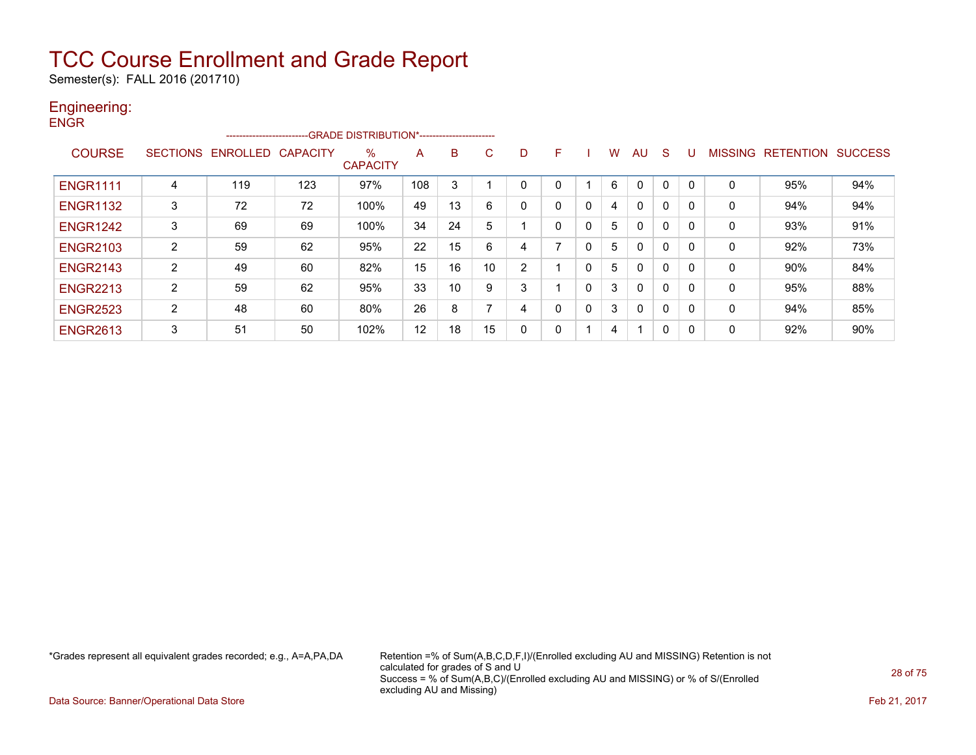Semester(s): FALL 2016 (201710)

#### Engineering: **ENGR**

| -----           |                 | ------------------------- |                 | -- GRADE DISTRIBUTION*------------------------ |     |    |    |   |   |   |   |                         |              |          |                |                  |                |
|-----------------|-----------------|---------------------------|-----------------|------------------------------------------------|-----|----|----|---|---|---|---|-------------------------|--------------|----------|----------------|------------------|----------------|
| <b>COURSE</b>   | <b>SECTIONS</b> | <b>ENROLLED</b>           | <b>CAPACITY</b> | %<br><b>CAPACITY</b>                           | A   | B  | C. | D | F |   | w | AU                      | S            |          | <b>MISSING</b> | <b>RETENTION</b> | <b>SUCCESS</b> |
| <b>ENGR1111</b> | 4               | 119                       | 123             | 97%                                            | 108 | 3  |    |   |   |   | 6 | $\Omega$                | 0            |          | 0              | 95%              | 94%            |
| <b>ENGR1132</b> | 3               | 72                        | 72              | 100%                                           | 49  | 13 | 6  |   | 0 | 0 | 4 | $\mathbf{0}$            | 0            |          | 0              | 94%              | 94%            |
| <b>ENGR1242</b> | 3               | 69                        | 69              | 100%                                           | 34  | 24 | 5  |   | 0 | 0 | 5 | $\mathbf{0}$            | $\mathbf{0}$ |          | 0              | 93%              | 91%            |
| <b>ENGR2103</b> | $\overline{2}$  | 59                        | 62              | 95%                                            | 22  | 15 | 6  |   | ⇁ | 0 | 5 | $\mathbf{0}$            | 0            | $\Omega$ | $\mathbf 0$    | 92%              | 73%            |
| <b>ENGR2143</b> | 2               | 49                        | 60              | 82%                                            | 15  | 16 | 10 | 2 |   | 0 | 5 | $\mathbf{0}$            | 0            |          | 0              | 90%              | 84%            |
| <b>ENGR2213</b> | $\overline{2}$  | 59                        | 62              | 95%                                            | 33  | 10 | 9  | 3 |   | 0 | 3 | $\mathbf{0}$            | 0            | $\Omega$ | 0              | 95%              | 88%            |
| <b>ENGR2523</b> | $\overline{2}$  | 48                        | 60              | 80%                                            | 26  | 8  |    | 4 | 0 | 0 | 3 | $\mathbf{0}$            | 0            |          | 0              | 94%              | 85%            |
| <b>ENGR2613</b> | 3               | 51                        | 50              | 102%                                           | 12  | 18 | 15 |   | 0 |   | 4 | $\overline{\mathbf{A}}$ | 0            | 0        | 0              | 92%              | 90%            |

\*Grades represent all equivalent grades recorded; e.g., A=A,PA,DA Retention =% of Sum(A,B,C,D,F,I)/(Enrolled excluding AU and MISSING) Retention is not calculated for grades of S and U Success = % of Sum(A,B,C)/(Enrolled excluding AU and MISSING) or % of S/(Enrolled excluding AU and Missing)

Data Source: Banner/Operational Data Store Feb 21, 2017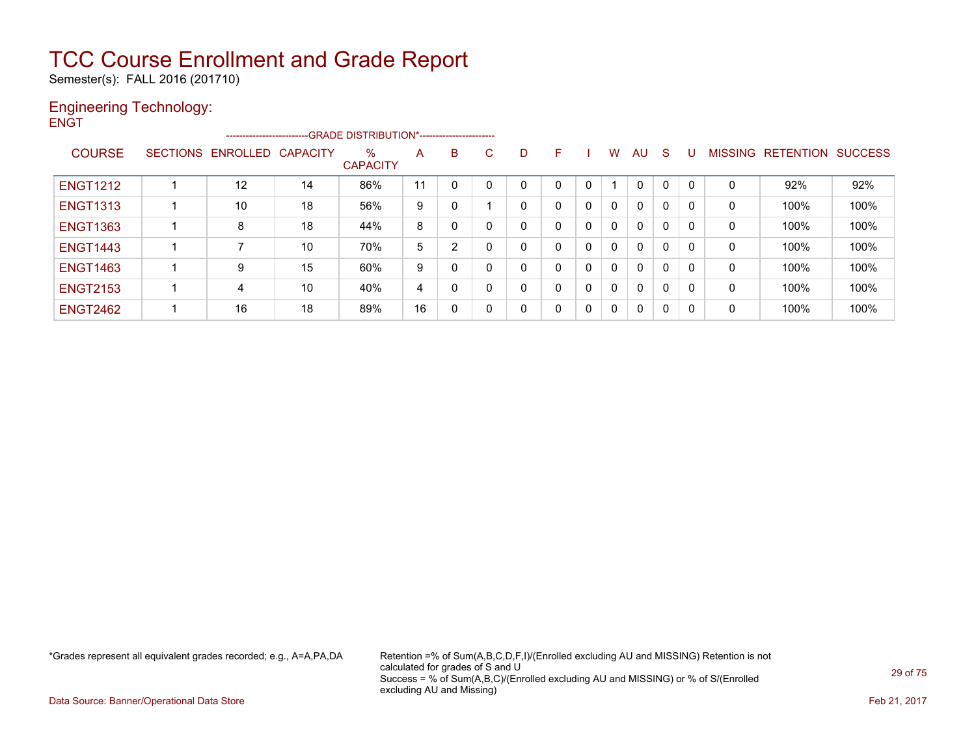Semester(s): FALL 2016 (201710)

#### Engineering Technology: **ENGT**

|                 |                            | ------------------------GRADE                DISTRIBUTION*---------------------- |                         |    |                |    |   |   |          |   |    |              |    |              |                   |                |
|-----------------|----------------------------|----------------------------------------------------------------------------------|-------------------------|----|----------------|----|---|---|----------|---|----|--------------|----|--------------|-------------------|----------------|
| <b>COURSE</b>   | SECTIONS ENROLLED CAPACITY |                                                                                  | $\%$<br><b>CAPACITY</b> | Α  | B              | C. | D | F |          | W | AU | <sub>S</sub> | -U |              | MISSING RETENTION | <b>SUCCESS</b> |
| <b>ENGT1212</b> | $12 \overline{ }$          | 14                                                                               | 86%                     | 11 | 0              | 0  |   |   |          |   | 0  | 0            |    |              | 92%               | 92%            |
| <b>ENGT1313</b> | 10                         | 18                                                                               | 56%                     | 9  | 0              |    |   |   | $\Omega$ | 0 | 0  | 0            | 0  | 0            | 100%              | 100%           |
| <b>ENGT1363</b> | 8                          | 18                                                                               | 44%                     | 8  | 0              | 0  |   |   | $\Omega$ | 0 | 0  | 0            |    | 0            | 100%              | 100%           |
| <b>ENGT1443</b> |                            | 10                                                                               | 70%                     | 5  | $\overline{2}$ | 0  |   |   | 0        | 0 | 0  | 0            | 0  | 0            | 100%              | 100%           |
| <b>ENGT1463</b> | 9                          | 15                                                                               | 60%                     | 9  | 0              | 0  |   |   | $\Omega$ | 0 | 0  | 0            | 0  | 0            | 100%              | 100%           |
| <b>ENGT2153</b> | 4                          | 10                                                                               | 40%                     | 4  | 0              | 0  |   |   | $\Omega$ | 0 | 0  | 0            |    | $\mathbf{0}$ | 100%              | 100%           |
| <b>ENGT2462</b> | 16                         | 18                                                                               | 89%                     | 16 | 0              | 0  |   |   | 0        | 0 | 0  | 0            | 0  | 0            | 100%              | 100%           |

\*Grades represent all equivalent grades recorded; e.g., A=A,PA,DA Retention =% of Sum(A,B,C,D,F,I)/(Enrolled excluding AU and MISSING) Retention is not calculated for grades of S and U Success = % of Sum(A,B,C)/(Enrolled excluding AU and MISSING) or % of S/(Enrolled excluding AU and Missing)

Data Source: Banner/Operational Data Store Feb 21, 2017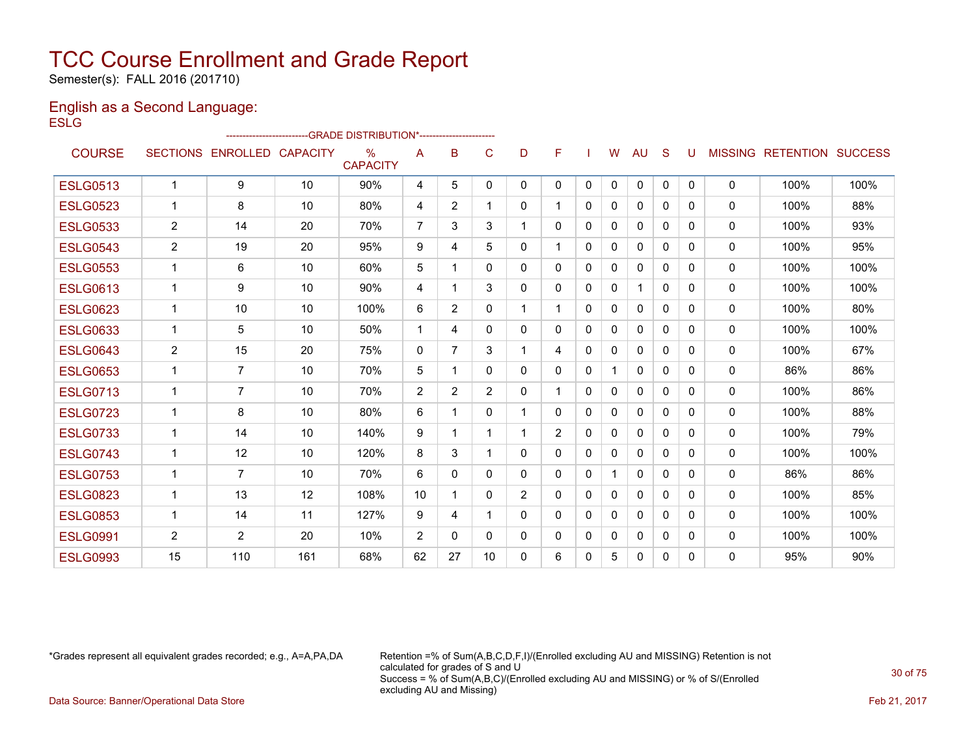Semester(s): FALL 2016 (201710)

#### English as a Second Language: **ESLG**

|                 |                       |                            |     | ------------------------GRADE                DISTRIBUTION*---------------------- |              |                |                |                |                |              |              |              |              |              |              |                                  |      |
|-----------------|-----------------------|----------------------------|-----|----------------------------------------------------------------------------------|--------------|----------------|----------------|----------------|----------------|--------------|--------------|--------------|--------------|--------------|--------------|----------------------------------|------|
| <b>COURSE</b>   |                       | SECTIONS ENROLLED CAPACITY |     | $\%$<br><b>CAPACITY</b>                                                          | A            | в              | C              | D              | F              |              | W            | AU           | S            | U            |              | <b>MISSING RETENTION SUCCESS</b> |      |
| <b>ESLG0513</b> | $\mathbf 1$           | 9                          | 10  | 90%                                                                              | 4            | 5              | 0              | 0              | 0              | $\mathbf{0}$ | 0            | $\mathbf 0$  | $\mathbf{0}$ | $\mathbf{0}$ | $\mathbf{0}$ | 100%                             | 100% |
| <b>ESLG0523</b> | $\mathbf 1$           | 8                          | 10  | 80%                                                                              | 4            | $\overline{2}$ |                | 0              | 1              | $\mathbf{0}$ | $\Omega$     | $\mathbf{0}$ | 0            | 0            | 0            | 100%                             | 88%  |
| <b>ESLG0533</b> | $\overline{2}$        | 14                         | 20  | 70%                                                                              | 7            | 3              | 3              |                | 0              | $\Omega$     | $\mathbf{0}$ | $\Omega$     | $\Omega$     | 0            | $\mathbf{0}$ | 100%                             | 93%  |
| <b>ESLG0543</b> | 2                     | 19                         | 20  | 95%                                                                              | 9            | 4              | 5              | 0              | 1              | $\Omega$     | $\Omega$     | $\mathbf{0}$ | $\Omega$     | 0            | 0            | 100%                             | 95%  |
| <b>ESLG0553</b> | $\mathbf{1}$          | 6                          | 10  | 60%                                                                              | 5            | 1              | $\Omega$       | 0              | 0              | $\Omega$     | $\Omega$     | $\mathbf{0}$ | $\Omega$     | 0            | $\mathbf{0}$ | 100%                             | 100% |
| <b>ESLG0613</b> | $\mathbf{1}$          | 9                          | 10  | 90%                                                                              | 4            | 1              | 3              | 0              | 0              | $\mathbf{0}$ | $\Omega$     | 1            | $\Omega$     | $\Omega$     | 0            | 100%                             | 100% |
| <b>ESLG0623</b> | 1                     | 10                         | 10  | 100%                                                                             | 6            | $\overline{2}$ | 0              | 1              | 1              | $\mathbf{0}$ | $\Omega$     | 0            | $\Omega$     | $\Omega$     | 0            | 100%                             | 80%  |
| <b>ESLG0633</b> | $\mathbf{1}$          | 5                          | 10  | 50%                                                                              | $\mathbf 1$  | 4              | 0              | 0              | 0              | $\Omega$     | $\Omega$     | 0            | $\Omega$     | $\Omega$     | $\mathbf{0}$ | 100%                             | 100% |
| <b>ESLG0643</b> | $\mathbf{2}^{\prime}$ | 15                         | 20  | 75%                                                                              | $\mathbf{0}$ | 7              | 3              | 1              | 4              | $\mathbf{0}$ | $\Omega$     | $\mathbf{0}$ | $\Omega$     | $\Omega$     | 0            | 100%                             | 67%  |
| <b>ESLG0653</b> | $\mathbf 1$           | $\overline{7}$             | 10  | 70%                                                                              | 5            | 1              | 0              | 0              | 0              | $\mathbf{0}$ |              | $\mathbf{0}$ | $\Omega$     | <sup>0</sup> | $\mathbf{0}$ | 86%                              | 86%  |
| <b>ESLG0713</b> | $\mathbf{1}$          | $\overline{7}$             | 10  | 70%                                                                              | 2            | $\overline{2}$ | $\overline{2}$ | 0              | 1              | $\mathbf{0}$ | $\Omega$     | $\mathbf{0}$ | $\Omega$     | $\Omega$     | 0            | 100%                             | 86%  |
| <b>ESLG0723</b> | 1                     | 8                          | 10  | 80%                                                                              | 6            | 1              | 0              | $\mathbf 1$    | 0              | $\mathbf{0}$ | $\mathbf{0}$ | $\mathbf{0}$ | $\Omega$     | 0            | 0            | 100%                             | 88%  |
| <b>ESLG0733</b> | $\mathbf{1}$          | 14                         | 10  | 140%                                                                             | 9            | 1              |                |                | $\overline{2}$ | $\mathbf{0}$ | $\Omega$     | $\Omega$     | $\mathbf{0}$ | 0            | 0            | 100%                             | 79%  |
| <b>ESLG0743</b> | 1                     | 12                         | 10  | 120%                                                                             | 8            | 3              |                | 0              | 0              | $\Omega$     | $\mathbf{0}$ | $\mathbf{0}$ | $\Omega$     | 0            | $\mathbf{0}$ | 100%                             | 100% |
| <b>ESLG0753</b> | $\mathbf{1}$          | $\overline{7}$             | 10  | 70%                                                                              | 6            | 0              | 0              | 0              | 0              | $\mathbf{0}$ |              | 0            | $\mathbf{0}$ | 0            | 0            | 86%                              | 86%  |
| <b>ESLG0823</b> | $\mathbf{1}$          | 13                         | 12  | 108%                                                                             | 10           | 1              | 0              | $\overline{2}$ | 0              | $\mathbf{0}$ | $\Omega$     | $\mathbf{0}$ | $\Omega$     | 0            | $\mathbf{0}$ | 100%                             | 85%  |
| <b>ESLG0853</b> | $\mathbf{1}$          | 14                         | 11  | 127%                                                                             | 9            | 4              |                | 0              | 0              | $\mathbf{0}$ | $\Omega$     | 0            | $\Omega$     | 0            | 0            | 100%                             | 100% |
| <b>ESLG0991</b> | $\mathbf{2}^{\prime}$ | $\overline{2}$             | 20  | 10%                                                                              | 2            | 0              | 0              | 0              | 0              | 0            | $\Omega$     | 0            | 0            | 0            | $\mathbf{0}$ | 100%                             | 100% |
| <b>ESLG0993</b> | 15                    | 110                        | 161 | 68%                                                                              | 62           | 27             | 10             | 0              | 6              | 0            | 5            | $\mathbf{0}$ | 0            | 0            | $\mathbf{0}$ | 95%                              | 90%  |

\*Grades represent all equivalent grades recorded; e.g., A=A,PA,DA Retention =% of Sum(A,B,C,D,F,I)/(Enrolled excluding AU and MISSING) Retention is not calculated for grades of S and U Success = % of Sum(A,B,C)/(Enrolled excluding AU and MISSING) or % of S/(Enrolled excluding AU and Missing)

Data Source: Banner/Operational Data Store Feb 21, 2017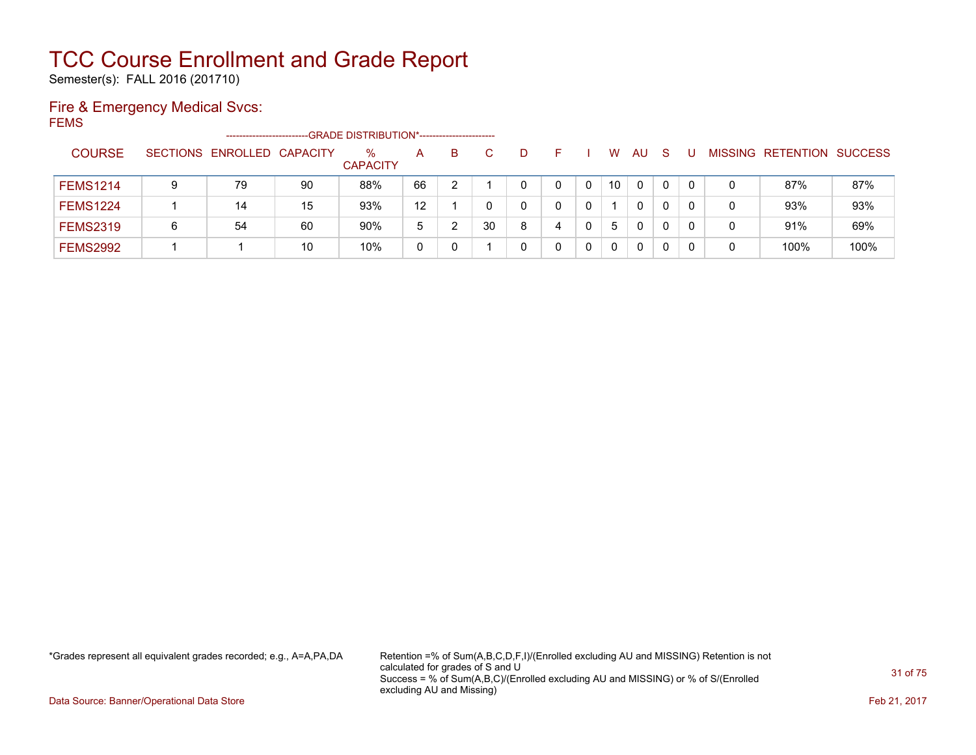Semester(s): FALL 2016 (201710)

### Fire & Emergency Medical Svcs:

FEMS

|                 |   | -----------------------    |    | -GRADE DISTRIBUTION*----------------------- |             |    |    |   |   |   |    |    |   |          |   |                          |                |
|-----------------|---|----------------------------|----|---------------------------------------------|-------------|----|----|---|---|---|----|----|---|----------|---|--------------------------|----------------|
| <b>COURSE</b>   |   | SECTIONS ENROLLED CAPACITY |    | %<br><b>CAPACITY</b>                        | A           | B. | C. | D |   |   | W  | AU | S |          |   | <b>MISSING RETENTION</b> | <b>SUCCESS</b> |
| <b>FEMS1214</b> | 9 | 79                         | 90 | 88%                                         | 66          |    |    |   |   |   | 10 | 0  |   | 0        | 0 | 87%                      | 87%            |
| <b>FEMS1224</b> |   | 14                         | 15 | 93%                                         | 12          |    |    | 0 |   | 0 |    | 0  | 0 | $\Omega$ | 0 | 93%                      | 93%            |
| <b>FEMS2319</b> | 6 | 54                         | 60 | 90%                                         | 5           |    | 30 | 8 | 4 | 0 | 5  | 0  |   | 0        | 0 | 91%                      | 69%            |
| <b>FEMS2992</b> |   |                            | 10 | 10%                                         | $\mathbf 0$ |    |    |   |   | 0 | 0  |    |   | 0        | 0 | 100%                     | 100%           |

\*Grades represent all equivalent grades recorded; e.g., A=A,PA,DA Retention =% of Sum(A,B,C,D,F,I)/(Enrolled excluding AU and MISSING) Retention is not calculated for grades of S and U Success = % of Sum(A,B,C)/(Enrolled excluding AU and MISSING) or % of S/(Enrolled excluding AU and Missing)

Data Source: Banner/Operational Data Store Feb 21, 2017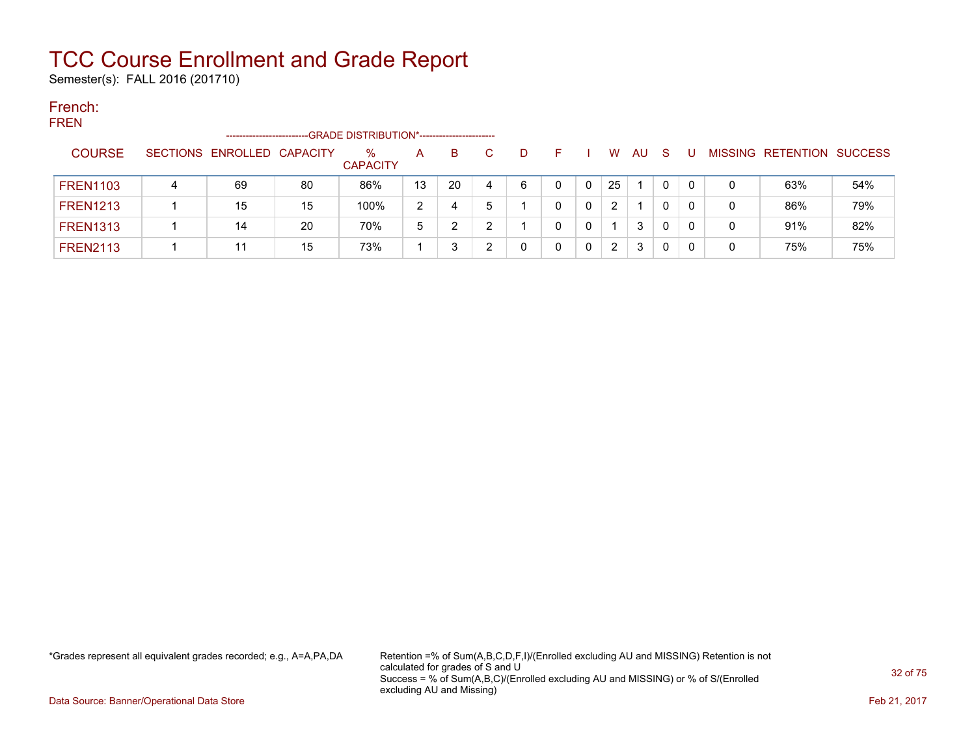Semester(s): FALL 2016 (201710)

#### French: FREN

| FREIV |                 | --------------------       |    | -GRADE DISTRIBUTION*----------------------- |    |    |   |   |   |   |                       |    |          |   |   |                           |     |
|-------|-----------------|----------------------------|----|---------------------------------------------|----|----|---|---|---|---|-----------------------|----|----------|---|---|---------------------------|-----|
|       | <b>COURSE</b>   | SECTIONS ENROLLED CAPACITY |    | $\%$<br><b>CAPACITY</b>                     | A  | B  |   | D |   |   | W                     | AU | -S       |   |   | MISSING RETENTION SUCCESS |     |
|       | <b>FREN1103</b> | 69                         | 80 | 86%                                         | 13 | 20 | 4 | 6 | 0 |   | 25                    |    | 0        | 0 |   | 63%                       | 54% |
|       | <b>FREN1213</b> | 15                         | 15 | 100%                                        | 2  | 4  |   |   |   |   | $\mathbf{2}^{\prime}$ |    | 0        |   |   | 86%                       | 79% |
|       | <b>FREN1313</b> | 14                         | 20 | 70%                                         | 5  |    |   |   | 0 | 0 |                       | 3  | $\Omega$ | 0 | 0 | 91%                       | 82% |
|       | <b>FREN2113</b> | 11                         | 15 | 73%                                         |    |    |   |   |   |   | $\mathbf{2}^{\prime}$ | 3  | 0        |   |   | 75%                       | 75% |

\*Grades represent all equivalent grades recorded; e.g., A=A,PA,DA Retention =% of Sum(A,B,C,D,F,I)/(Enrolled excluding AU and MISSING) Retention is not calculated for grades of S and U Success = % of Sum(A,B,C)/(Enrolled excluding AU and MISSING) or % of S/(Enrolled excluding AU and Missing)

Data Source: Banner/Operational Data Store Feb 21, 2017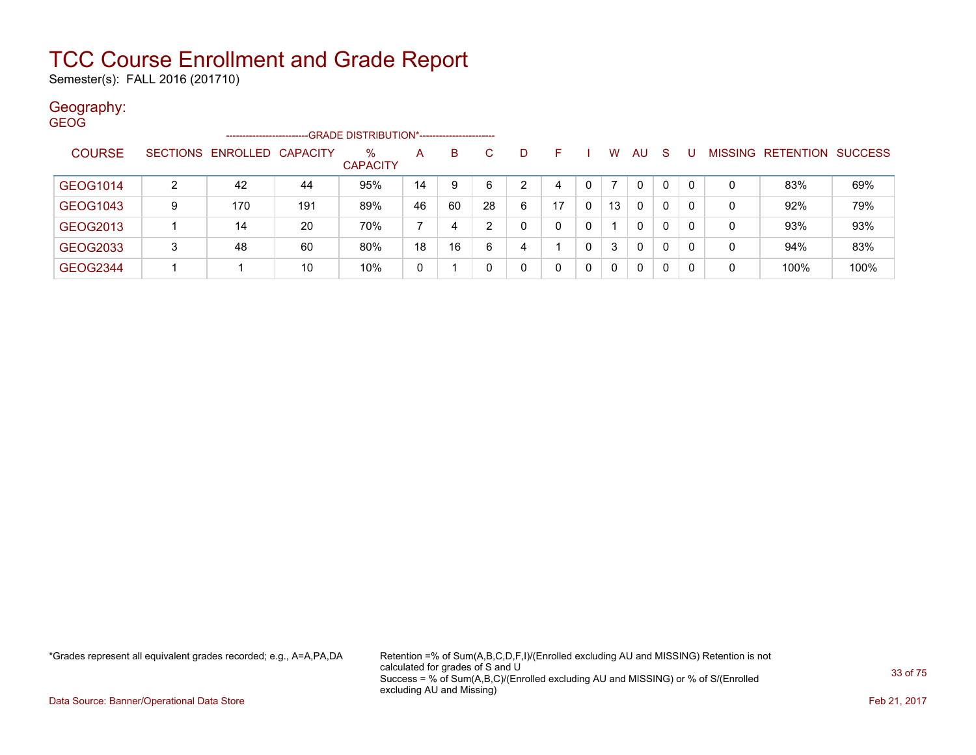Semester(s): FALL 2016 (201710)

### Geography:

| <b>GEOG</b>     |   |                            |     |                                             |    |    |    |   |    |   |          |              |              |          |   |                                  |      |
|-----------------|---|----------------------------|-----|---------------------------------------------|----|----|----|---|----|---|----------|--------------|--------------|----------|---|----------------------------------|------|
|                 |   | -------------------        |     | -GRADE DISTRIBUTION*----------------------- |    |    |    |   |    |   |          |              |              |          |   |                                  |      |
| <b>COURSE</b>   |   | SECTIONS ENROLLED CAPACITY |     | $\%$<br><b>CAPACITY</b>                     | A  | B  | C. | D | F  |   | W        | <b>AU</b>    | <sub>S</sub> |          |   | <b>MISSING RETENTION SUCCESS</b> |      |
| GEOG1014        | 2 | 42                         | 44  | 95%                                         | 14 | 9  | 6  | 2 | 4  |   |          | $\mathbf{0}$ | 0            | $\Omega$ | 0 | 83%                              | 69%  |
| GEOG1043        | 9 | 170                        | 191 | 89%                                         | 46 | 60 | 28 | 6 | 17 | 0 | 13       | $\mathbf{0}$ | 0            | 0        | 0 | 92%                              | 79%  |
| GEOG2013        |   | 14                         | 20  | 70%                                         |    | 4  | ົ  | 0 | 0  | 0 |          | $\mathbf{0}$ | 0            | 0        | 0 | 93%                              | 93%  |
| GEOG2033        | 3 | 48                         | 60  | 80%                                         | 18 | 16 | 6  | 4 |    | 0 | 3        | $\mathbf{0}$ | 0            | $\Omega$ | 0 | 94%                              | 83%  |
| <b>GEOG2344</b> |   |                            | 10  | 10%                                         | 0  |    |    | 0 | 0  | 0 | $\Omega$ | $\mathbf{0}$ | 0            | -0       | 0 | 100%                             | 100% |

\*Grades represent all equivalent grades recorded; e.g., A=A,PA,DA Retention =% of Sum(A,B,C,D,F,I)/(Enrolled excluding AU and MISSING) Retention is not calculated for grades of S and U Success = % of Sum(A,B,C)/(Enrolled excluding AU and MISSING) or % of S/(Enrolled excluding AU and Missing)

Data Source: Banner/Operational Data Store Feb 21, 2017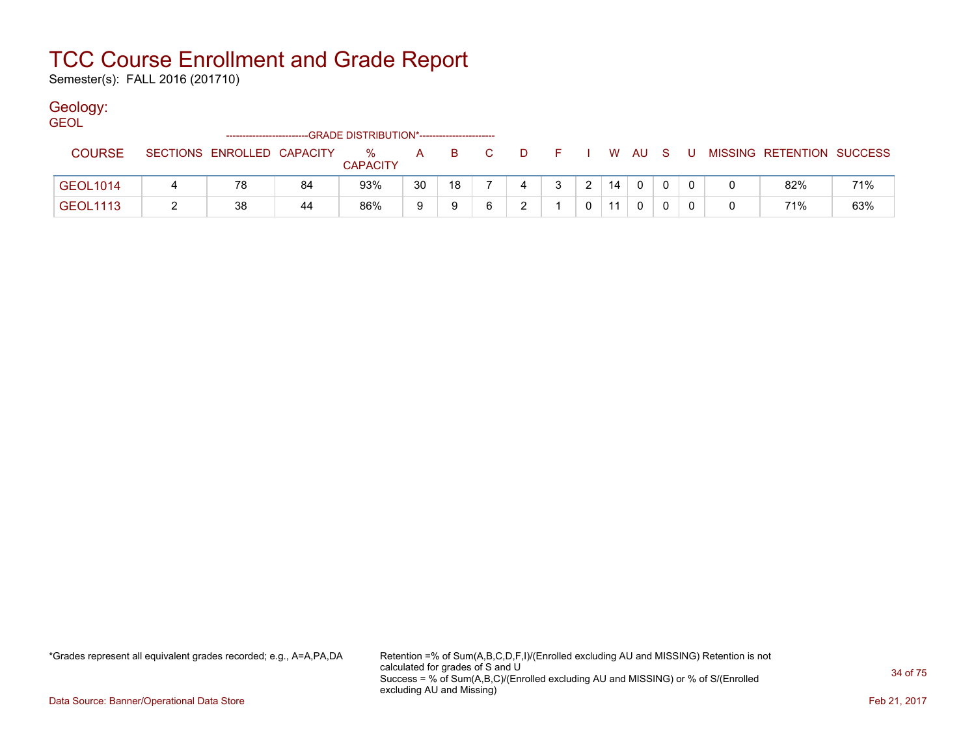Semester(s): FALL 2016 (201710)

### Geology:

**GEOL** 

| ------------------------GRADE DISTRIBUTION*----------------------- |                 |  |                            |    |                         |    |    |                |   |  |               |     |          |     |   |                           |     |
|--------------------------------------------------------------------|-----------------|--|----------------------------|----|-------------------------|----|----|----------------|---|--|---------------|-----|----------|-----|---|---------------------------|-----|
|                                                                    | <b>COURSE</b>   |  | SECTIONS ENROLLED CAPACITY |    | $\%$<br><b>CAPACITY</b> | A  | B. | $\mathbf{C}^-$ | D |  |               | W   | - AU     | - S |   | MISSING RETENTION SUCCESS |     |
|                                                                    | <b>GEOL1014</b> |  | 78                         | 84 | 93%                     | 30 | 18 |                |   |  | $\mathcal{P}$ | 14  | $\Omega$ |     |   | 82%                       | 71% |
|                                                                    | <b>GEOL1113</b> |  | 38                         | 44 | 86%                     |    |    |                |   |  |               | -11 |          |     | 0 | 71%                       | 63% |

\*Grades represent all equivalent grades recorded; e.g., A=A,PA,DA Retention =% of Sum(A,B,C,D,F,I)/(Enrolled excluding AU and MISSING) Retention is not calculated for grades of S and U Success = % of Sum(A,B,C)/(Enrolled excluding AU and MISSING) or % of S/(Enrolled excluding AU and Missing)

Data Source: Banner/Operational Data Store Feb 21, 2017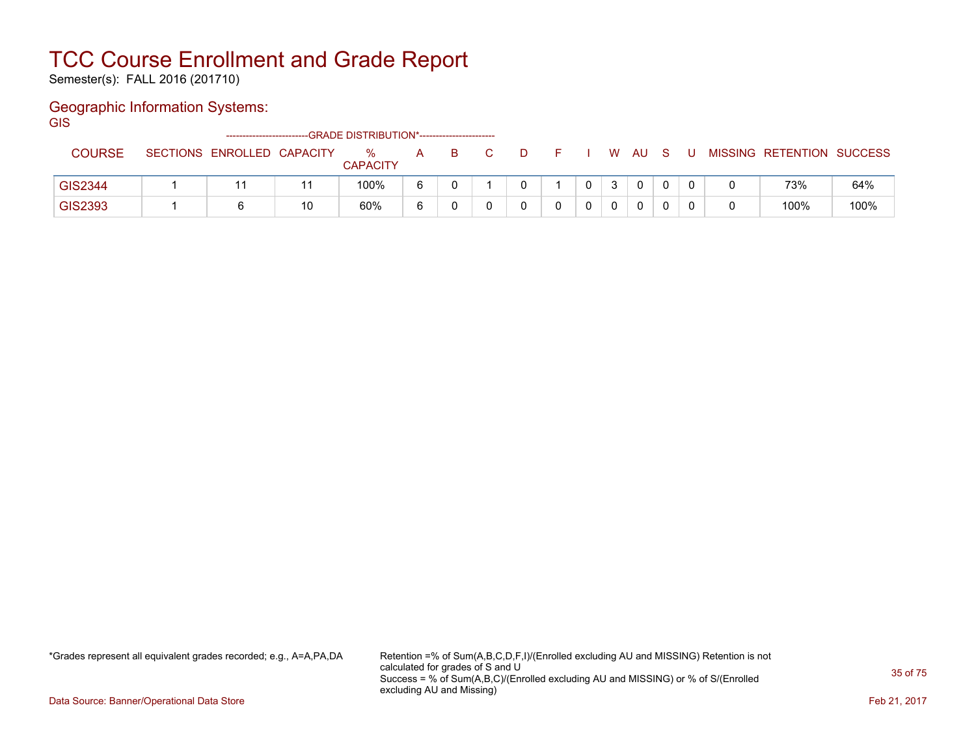Semester(s): FALL 2016 (201710)

### Geographic Information Systems:

**GIS** 

| --GRADE DISTRIBUTION*-----------------------<br>-------------------------- |  |                            |    |                      |   |  |  |  |  |  |              |              |  |                           |      |
|----------------------------------------------------------------------------|--|----------------------------|----|----------------------|---|--|--|--|--|--|--------------|--------------|--|---------------------------|------|
| <b>COURSE</b>                                                              |  | SECTIONS ENROLLED CAPACITY |    | %<br><b>CAPACITY</b> | A |  |  |  |  |  | W            | AU           |  | MISSING RETENTION SUCCESS |      |
|                                                                            |  |                            |    |                      |   |  |  |  |  |  |              |              |  |                           |      |
| GIS2344                                                                    |  |                            |    | 100%                 |   |  |  |  |  |  | $\mathbf{3}$ | $\mathbf{0}$ |  | 73%                       | 64%  |
| GIS2393                                                                    |  |                            | 10 | 60%                  |   |  |  |  |  |  | $\Omega$     | 0            |  | 100%                      | 100% |

\*Grades represent all equivalent grades recorded; e.g., A=A,PA,DA Retention =% of Sum(A,B,C,D,F,I)/(Enrolled excluding AU and MISSING) Retention is not calculated for grades of S and U Success = % of Sum(A,B,C)/(Enrolled excluding AU and MISSING) or % of S/(Enrolled excluding AU and Missing)

Data Source: Banner/Operational Data Store Feb 21, 2017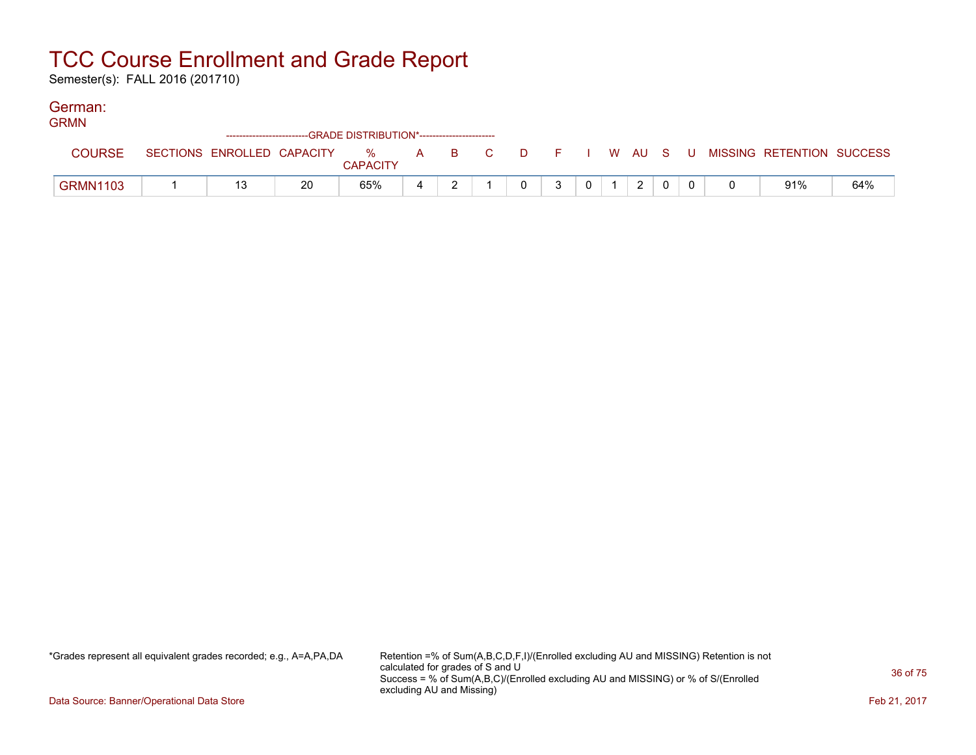Semester(s): FALL 2016 (201710)

### German:

| <b>GRMN</b>     |  |  |    |                 |  |  |  |   |   |  |  |               |  |  |  |                                                                             |     |
|-----------------|--|--|----|-----------------|--|--|--|---|---|--|--|---------------|--|--|--|-----------------------------------------------------------------------------|-----|
|                 |  |  |    |                 |  |  |  |   |   |  |  |               |  |  |  |                                                                             |     |
| <b>COURSE</b>   |  |  |    | <b>CAPACITY</b> |  |  |  |   |   |  |  |               |  |  |  | SECTIONS ENROLLED CAPACITY % A B C D F I W AU S U MISSING RETENTION SUCCESS |     |
| <b>GRMN1103</b> |  |  | 20 | 65%             |  |  |  | 0 | 2 |  |  | $\mathcal{D}$ |  |  |  | 91%                                                                         | 64% |

\*Grades represent all equivalent grades recorded; e.g., A=A,PA,DA Retention =% of Sum(A,B,C,D,F,I)/(Enrolled excluding AU and MISSING) Retention is not calculated for grades of S and U Success = % of Sum(A,B,C)/(Enrolled excluding AU and MISSING) or % of S/(Enrolled excluding AU and Missing)

Data Source: Banner/Operational Data Store Feb 21, 2017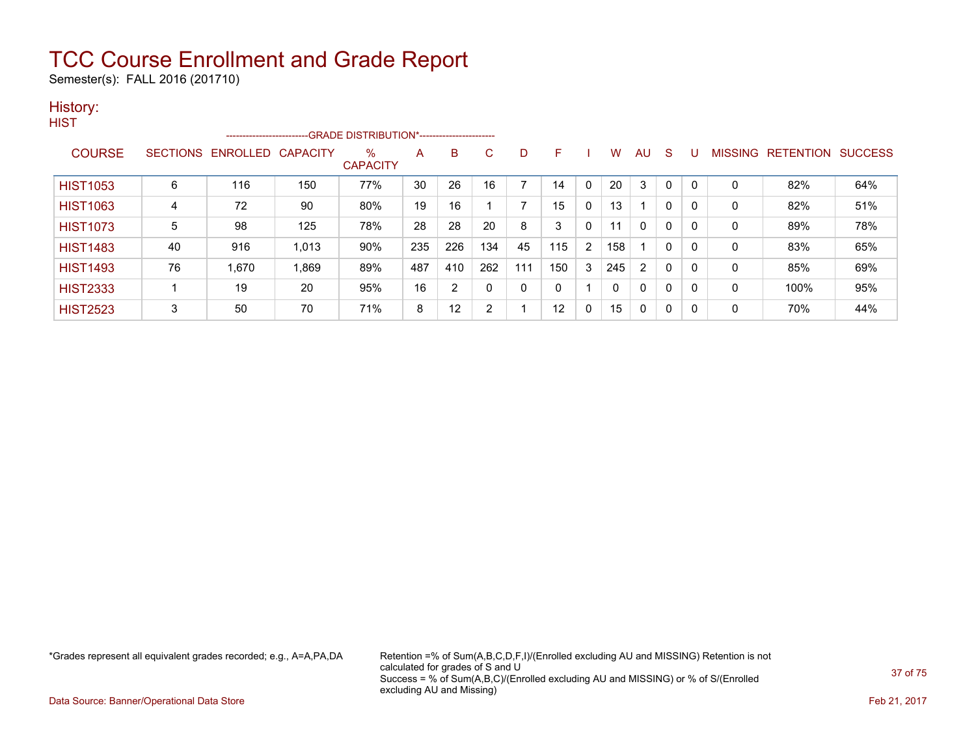Semester(s): FALL 2016 (201710)

### History:

| <b>HIST</b>     |    |                          |                 |                                            |     |                |              |     |     |              |     |              |          |              |                |                  |                |
|-----------------|----|--------------------------|-----------------|--------------------------------------------|-----|----------------|--------------|-----|-----|--------------|-----|--------------|----------|--------------|----------------|------------------|----------------|
|                 |    | ------------------------ |                 | -GRADE DISTRIBUTION*---------------------- |     |                |              |     |     |              |     |              |          |              |                |                  |                |
| <b>COURSE</b>   |    | SECTIONS ENROLLED        | <b>CAPACITY</b> | $\%$                                       | A   | B              | $\mathbf{C}$ | D   | F.  |              | w   | AU           | S        |              | <b>MISSING</b> | <b>RETENTION</b> | <b>SUCCESS</b> |
|                 |    |                          |                 | <b>CAPACITY</b>                            |     |                |              |     |     |              |     |              |          |              |                |                  |                |
| <b>HIST1053</b> | 6  | 116                      | 150             | 77%                                        | 30  | 26             | 16           |     | 14  | $\mathbf{0}$ | 20  | 3            | $\Omega$ | $\mathbf{0}$ | 0              | 82%              | 64%            |
| <b>HIST1063</b> | 4  | 72                       | 90              | 80%                                        | 19  | 16             |              |     | 15  | $\mathbf{0}$ | 13  | 1            | 0        | $\Omega$     | 0              | 82%              | 51%            |
| <b>HIST1073</b> | 5  | 98                       | 125             | 78%                                        | 28  | 28             | 20           | 8   | 3   | 0            | 11  | $\mathbf{0}$ | 0        | $\Omega$     | 0              | 89%              | 78%            |
| <b>HIST1483</b> | 40 | 916                      | 1,013           | 90%                                        | 235 | 226            | 134          | 45  | 115 | 2            | 158 |              | 0        | $\Omega$     | 0              | 83%              | 65%            |
| <b>HIST1493</b> | 76 | 1,670                    | 1,869           | 89%                                        | 487 | 410            | 262          | 111 | 150 | 3            | 245 | 2            | 0        | $\Omega$     | 0              | 85%              | 69%            |
| <b>HIST2333</b> |    | 19                       | 20              | 95%                                        | 16  | $\overline{2}$ | 0            | 0   |     |              |     | $\Omega$     | 0        | 0            | 0              | 100%             | 95%            |
| <b>HIST2523</b> | 3  | 50                       | 70              | 71%                                        | 8   | 12             | 2            |     | 12  | $\mathbf{0}$ | 15  | $\Omega$     | 0        | $\Omega$     | 0              | 70%              | 44%            |

\*Grades represent all equivalent grades recorded; e.g., A=A,PA,DA Retention =% of Sum(A,B,C,D,F,I)/(Enrolled excluding AU and MISSING) Retention is not calculated for grades of S and U Success = % of Sum(A,B,C)/(Enrolled excluding AU and MISSING) or % of S/(Enrolled excluding AU and Missing)

Data Source: Banner/Operational Data Store Feb 21, 2017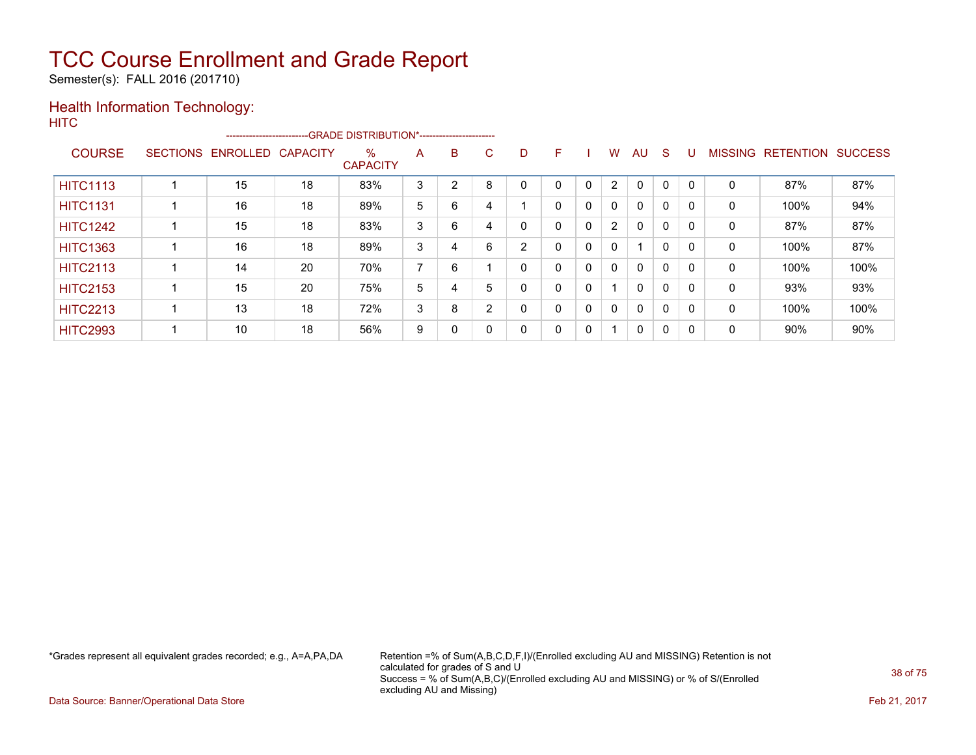Semester(s): FALL 2016 (201710)

### Health Information Technology:

| <b>HITC</b>     |                            |    |                                                                    |   |   |    |   |              |          |              |              |     |              |   |                   |                |
|-----------------|----------------------------|----|--------------------------------------------------------------------|---|---|----|---|--------------|----------|--------------|--------------|-----|--------------|---|-------------------|----------------|
|                 |                            |    | ------------------------GRADE DISTRIBUTION*----------------------- |   |   |    |   |              |          |              |              |     |              |   |                   |                |
| <b>COURSE</b>   | SECTIONS ENROLLED CAPACITY |    | $\%$<br><b>CAPACITY</b>                                            | A | B | C. | D | F.           |          | W            | AU           | - S | U            |   | MISSING RETENTION | <b>SUCCESS</b> |
| <b>HITC1113</b> | 15                         | 18 | 83%                                                                | 3 | 2 | 8  | 0 | 0            | 0        | 2            | $\mathbf{0}$ | 0   | $\mathbf{0}$ | 0 | 87%               | 87%            |
| <b>HITC1131</b> | 16                         | 18 | 89%                                                                | 5 | 6 | 4  |   | 0            | 0        | $\mathbf{0}$ | 0            | 0   | $\mathbf{0}$ | 0 | 100%              | 94%            |
| <b>HITC1242</b> | 15                         | 18 | 83%                                                                | 3 | 6 | 4  | 0 | $\mathbf{0}$ | $\Omega$ | 2            | $\mathbf{0}$ | 0   | 0            | 0 | 87%               | 87%            |
| <b>HITC1363</b> | 16                         | 18 | 89%                                                                | 3 | 4 | 6  | 2 | $\mathbf{0}$ | 0        | 0            |              | 0   | 0            | 0 | 100%              | 87%            |
| <b>HITC2113</b> | 14                         | 20 | 70%                                                                | ⇁ | 6 |    | 0 | 0            | 0        | $\mathbf{0}$ | 0            | 0   | 0            | 0 | 100%              | 100%           |
| <b>HITC2153</b> | 15                         | 20 | 75%                                                                | 5 | 4 | 5  | 0 | 0            | 0        | -1           | $\mathbf{0}$ | 0   | $\mathbf{0}$ | 0 | 93%               | 93%            |
|                 |                            |    |                                                                    |   |   |    |   |              |          |              |              |     |              |   |                   |                |

HITC2213 | 1 | 13 | 18 | 72% | 3 | 8 | 2 | 0 | 0 | 0 | 0 | 0 | 0 | 0 | 100% | 100% HITC2993 | 1 | 10 | 18 | 56% | 9 | 0 | 0 | 0 | 0 | 1 | 0 | 0 | 0 | 0 | 90% | 90%

\*Grades represent all equivalent grades recorded; e.g., A=A,PA,DA Retention =% of Sum(A,B,C,D,F,I)/(Enrolled excluding AU and MISSING) Retention is not calculated for grades of S and U Success = % of Sum(A,B,C)/(Enrolled excluding AU and MISSING) or % of S/(Enrolled excluding AU and Missing)

Data Source: Banner/Operational Data Store **Feb 21, 2017 Contract Store Feb 21, 2017**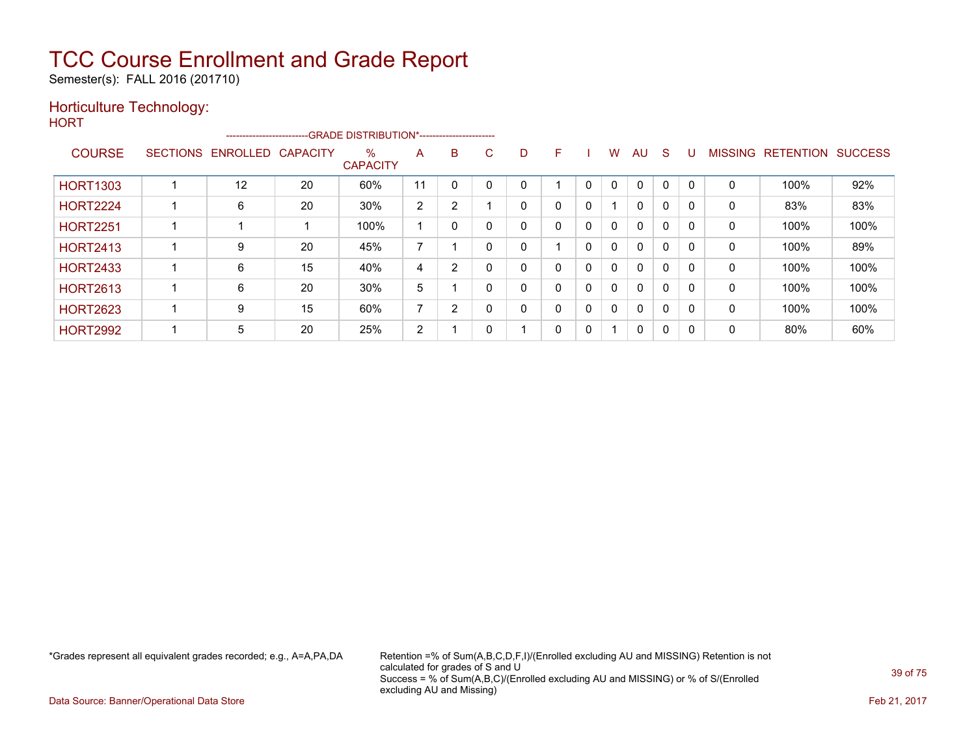Semester(s): FALL 2016 (201710)

### Horticulture Technology:

| M.<br>۰. |  |
|----------|--|
|----------|--|

|                 |                   |                 | --------------------------GRADE DISTRIBUTION*----------------------- |                          |                |    |    |   |              |          |              |              |   |              |                   |                |
|-----------------|-------------------|-----------------|----------------------------------------------------------------------|--------------------------|----------------|----|----|---|--------------|----------|--------------|--------------|---|--------------|-------------------|----------------|
| <b>COURSE</b>   | SECTIONS ENROLLED | <b>CAPACITY</b> | $\%$<br><b>CAPACITY</b>                                              | A                        | B              | C. | D. | F |              | w        | AU           | S            | U |              | MISSING RETENTION | <b>SUCCESS</b> |
| <b>HORT1303</b> | 12                | 20              | 60%                                                                  | 11                       |                |    |    |   | 0            |          | $\Omega$     | 0            |   | 0            | 100%              | 92%            |
| <b>HORT2224</b> | 6                 | 20              | 30%                                                                  | 2                        | 2              |    |    | 0 | 0            |          | 0            | 0            | 0 | $\mathbf{0}$ | 83%               | 83%            |
| <b>HORT2251</b> |                   |                 | 100%                                                                 |                          | 0              |    |    | 0 | 0            | 0        | $\mathbf{0}$ | 0            | 0 | 0            | 100%              | 100%           |
| <b>HORT2413</b> | 9                 | 20              | 45%                                                                  | $\overline{\phantom{a}}$ |                |    |    |   | $\Omega$     | 0        | 0            | $\mathbf{0}$ |   | 0            | 100%              | 89%            |
| <b>HORT2433</b> | 6                 | 15              | 40%                                                                  | 4                        | 2              |    |    | 0 | $\mathbf{0}$ | 0        | $\mathbf{0}$ | 0            | 0 | $\mathbf{0}$ | 100%              | 100%           |
| <b>HORT2613</b> | 6                 | 20              | 30%                                                                  | 5                        |                |    |    | 0 | 0            | $\Omega$ | $\mathbf{0}$ | 0            | 0 | 0            | 100%              | 100%           |
| <b>HORT2623</b> | 9                 | 15              | 60%                                                                  | $\overline{ }$           | $\overline{2}$ |    | 0  | 0 | 0            | 0        | $\mathbf 0$  | 0            |   | $\mathbf{0}$ | 100%              | 100%           |
| <b>HORT2992</b> | 5                 | 20              | 25%                                                                  | $\overline{2}$           |                |    |    | 0 | 0            |          | 0            | 0            | 0 | $\mathbf{0}$ | 80%               | 60%            |

\*Grades represent all equivalent grades recorded; e.g., A=A,PA,DA Retention =% of Sum(A,B,C,D,F,I)/(Enrolled excluding AU and MISSING) Retention is not calculated for grades of S and U Success = % of Sum(A,B,C)/(Enrolled excluding AU and MISSING) or % of S/(Enrolled excluding AU and Missing)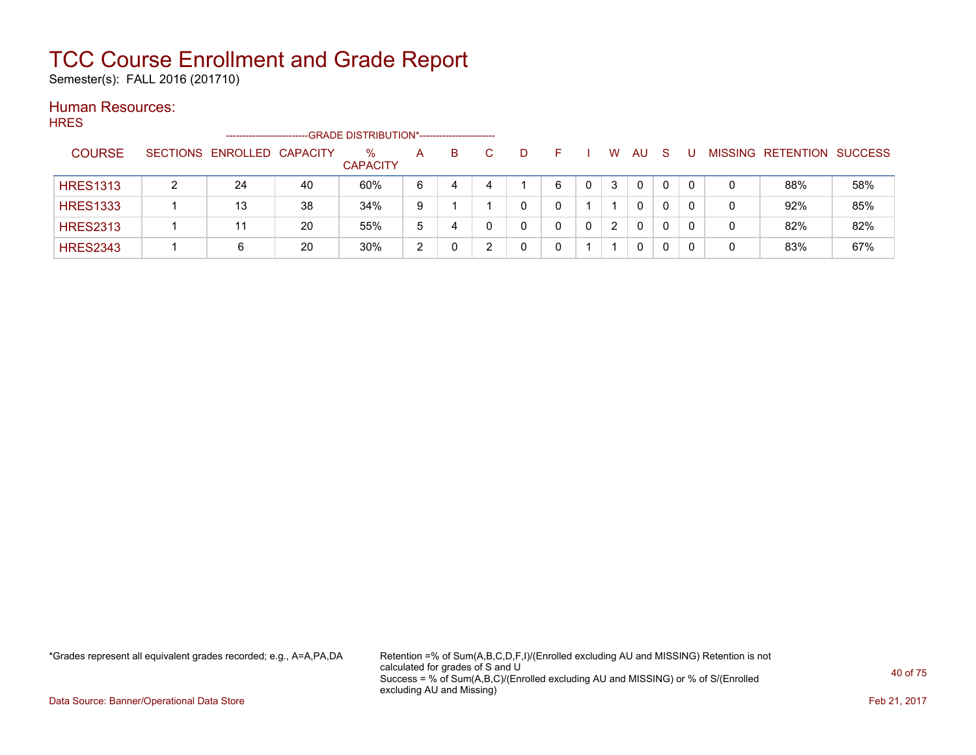Semester(s): FALL 2016 (201710)

### Human Resources:

**HRES** -------------------------GRADE DISTRIBUTION\*----------------------- COURSE SECTIONS ENROLLED CAPACITY % **CAPACITY** A B C D F I W AU S U MISSING RETENTION SUCCESS HRES1313 | 2 | 24 | 40 | 60% | 6 | 4 | 4 | 1 | 6 | 0 | 3 | 0 | 0 | 0 | 0 | 88% | 58% HRES1333 1 13 38 34% 9 1 1 0 0 1 1 0 0 0 0 92% 85% HRES2313 | 1 | 11 | 20 | 55% | 5 | 4 | 0 | 0 | 0 | 0 | 2 | 0 | 0 | 0 | 0 | 82% | 82% HRES2343 1 6 20 30% 2 0 2 0 0 1 1 0 0 0 0 83% 67%

\*Grades represent all equivalent grades recorded; e.g., A=A,PA,DA Retention =% of Sum(A,B,C,D,F,I)/(Enrolled excluding AU and MISSING) Retention is not calculated for grades of S and U Success = % of Sum(A,B,C)/(Enrolled excluding AU and MISSING) or % of S/(Enrolled excluding AU and Missing)

Data Source: Banner/Operational Data Store **Feb 21, 2017 Contract Store Feb 21, 2017**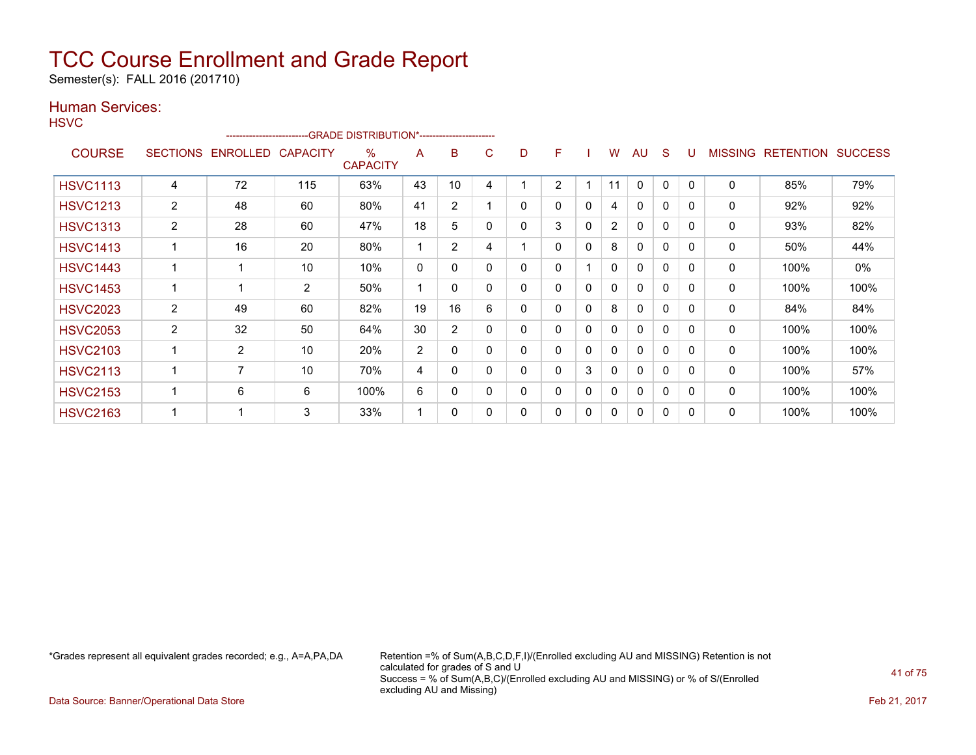Semester(s): FALL 2016 (201710)

### Human Services:

| <b>HSVC</b>     |                 | ----------------------- |                 | -- GRADE DISTRIBUTION*------------------------ |              |                |   |   |                |   |                |              |              |              |                |                  |                |
|-----------------|-----------------|-------------------------|-----------------|------------------------------------------------|--------------|----------------|---|---|----------------|---|----------------|--------------|--------------|--------------|----------------|------------------|----------------|
| <b>COURSE</b>   | <b>SECTIONS</b> | ENROLLED                | <b>CAPACITY</b> | $\%$<br><b>CAPACITY</b>                        | A            | B              | C | D | F              |   | W              | <b>AU</b>    | S            | U            | <b>MISSING</b> | <b>RETENTION</b> | <b>SUCCESS</b> |
| <b>HSVC1113</b> | 4               | 72                      | 115             | 63%                                            | 43           | 10             | 4 |   | $\overline{2}$ |   | 11             | 0            | $\mathbf{0}$ | $\mathbf{0}$ | 0              | 85%              | 79%            |
| <b>HSVC1213</b> | $\overline{2}$  | 48                      | 60              | 80%                                            | 41           | $\overline{2}$ |   | 0 | $\mathbf{0}$   | 0 | 4              | 0            | 0            | $\mathbf{0}$ | 0              | 92%              | 92%            |
| <b>HSVC1313</b> | $\overline{2}$  | 28                      | 60              | 47%                                            | 18           | 5              | 0 | 0 | 3              | 0 | $\overline{2}$ | 0            | 0            | 0            | 0              | 93%              | 82%            |
| <b>HSVC1413</b> |                 | 16                      | 20              | 80%                                            |              | $\overline{2}$ | 4 |   | $\mathbf{0}$   | 0 | 8              | $\mathbf{0}$ | $\mathbf{0}$ | 0            | $\mathbf{0}$   | 50%              | 44%            |
| <b>HSVC1443</b> |                 |                         | 10              | 10%                                            | $\mathbf{0}$ | 0              | 0 | 0 | 0              |   | 0              | $\mathbf{0}$ | 0            | $\Omega$     | 0              | 100%             | $0\%$          |
| <b>HSVC1453</b> |                 |                         | $\overline{2}$  | 50%                                            |              | 0              | 0 | 0 | $\mathbf{0}$   | 0 | 0              | $\mathbf{0}$ | $\mathbf{0}$ | $\Omega$     | $\Omega$       | 100%             | 100%           |
| <b>HSVC2023</b> | $\overline{2}$  | 49                      | 60              | 82%                                            | 19           | 16             | 6 | 0 | 0              | 0 | 8              | 0            | $\mathbf{0}$ | 0            | 0              | 84%              | 84%            |
| <b>HSVC2053</b> | $\overline{2}$  | 32                      | 50              | 64%                                            | 30           | $\overline{2}$ | 0 | 0 | $\mathbf{0}$   | 0 | 0              | $\mathbf{0}$ | $\Omega$     | $\Omega$     | $\Omega$       | 100%             | 100%           |
| <b>HSVC2103</b> |                 | 2                       | 10              | 20%                                            | 2            | 0              | 0 | 0 | 0              | 0 | 0              | 0            | $\mathbf{0}$ | $\Omega$     | 0              | 100%             | 100%           |
| <b>HSVC2113</b> |                 | 7                       | 10              | 70%                                            | 4            | 0              | 0 | 0 | $\mathbf{0}$   | 3 | 0              | $\mathbf{0}$ | 0            | $\Omega$     | $\Omega$       | 100%             | 57%            |
| <b>HSVC2153</b> |                 | 6                       | 6               | 100%                                           | 6            | 0              | 0 | 0 | 0              | 0 | 0              | 0            | $\Omega$     | $\Omega$     | 0              | 100%             | 100%           |
| <b>HSVC2163</b> |                 |                         | 3               | 33%                                            |              | 0              | 0 | 0 | 0              | 0 | 0              | 0            | 0            | 0            | 0              | 100%             | 100%           |

\*Grades represent all equivalent grades recorded; e.g., A=A,PA,DA Retention =% of Sum(A,B,C,D,F,I)/(Enrolled excluding AU and MISSING) Retention is not calculated for grades of S and U Success = % of Sum(A,B,C)/(Enrolled excluding AU and MISSING) or % of S/(Enrolled excluding AU and Missing)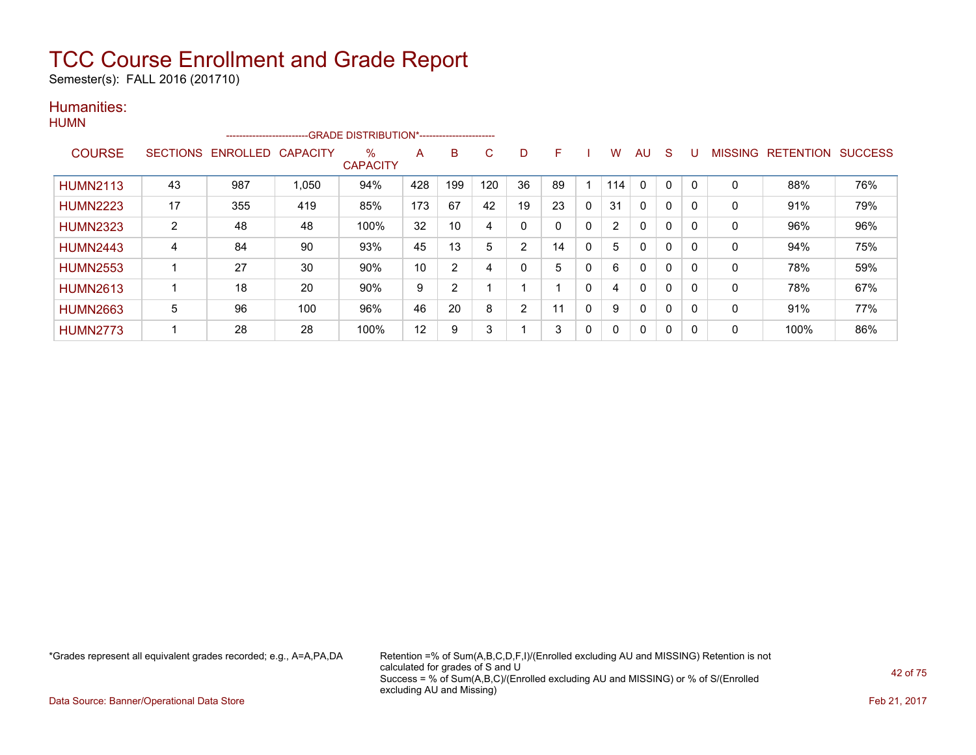Semester(s): FALL 2016 (201710)

#### Humanities: HUM<sub>N</sub>

| .               |                 | ------------------------ |                 | -GRADE DISTRIBUTION*----------------------- |     |                |     |                |    |              |     |              |   |          |                |                  |                |
|-----------------|-----------------|--------------------------|-----------------|---------------------------------------------|-----|----------------|-----|----------------|----|--------------|-----|--------------|---|----------|----------------|------------------|----------------|
| <b>COURSE</b>   | <b>SECTIONS</b> | ENROLLED                 | <b>CAPACITY</b> | %<br><b>CAPACITY</b>                        | A   | B              | C   | D              | F  |              | w   | AU           | S |          | <b>MISSING</b> | <b>RETENTION</b> | <b>SUCCESS</b> |
| <b>HUMN2113</b> | 43              | 987                      | 1,050           | 94%                                         | 428 | 199            | 120 | 36             | 89 |              | 114 | $\Omega$     | 0 |          | $\mathbf 0$    | 88%              | 76%            |
| <b>HUMN2223</b> | 17              | 355                      | 419             | 85%                                         | 173 | 67             | 42  | 19             | 23 | 0            | 31  | $\mathbf{0}$ | 0 | $\Omega$ | $\Omega$       | 91%              | 79%            |
| <b>HUMN2323</b> | $\overline{2}$  | 48                       | 48              | 100%                                        | 32  | 10             | 4   | 0              |    | 0            | ົ   | $\mathbf{0}$ | 0 |          | 0              | 96%              | 96%            |
| <b>HUMN2443</b> | 4               | 84                       | 90              | 93%                                         | 45  | 13             | 5   | $\overline{2}$ | 14 | 0            | 5.  | 0            | 0 |          | 0              | 94%              | 75%            |
| <b>HUMN2553</b> |                 | 27                       | 30              | 90%                                         | 10  | $\overline{2}$ | 4   | 0              | 5  | 0            | 6   | $\mathbf{0}$ | 0 |          | 0              | 78%              | 59%            |
| <b>HUMN2613</b> |                 | 18                       | 20              | 90%                                         | 9   | $\overline{2}$ |     |                |    | $\mathbf{0}$ | 4   | $\mathbf{0}$ | 0 | $\Omega$ | $\Omega$       | 78%              | 67%            |
| <b>HUMN2663</b> | 5               | 96                       | 100             | 96%                                         | 46  | 20             | 8   | 2              | 11 | $\mathbf{0}$ | 9   | $\mathbf{0}$ | 0 | $\Omega$ | $\Omega$       | 91%              | 77%            |
| <b>HUMN2773</b> |                 | 28                       | 28              | 100%                                        | 12  | 9              | 3   |                | 3  | 0            |     | $\mathbf{0}$ | 0 |          | 0              | 100%             | 86%            |

\*Grades represent all equivalent grades recorded; e.g., A=A,PA,DA Retention =% of Sum(A,B,C,D,F,I)/(Enrolled excluding AU and MISSING) Retention is not calculated for grades of S and U Success = % of Sum(A,B,C)/(Enrolled excluding AU and MISSING) or % of S/(Enrolled excluding AU and Missing)

Data Source: Banner/Operational Data Store Feb 21, 2017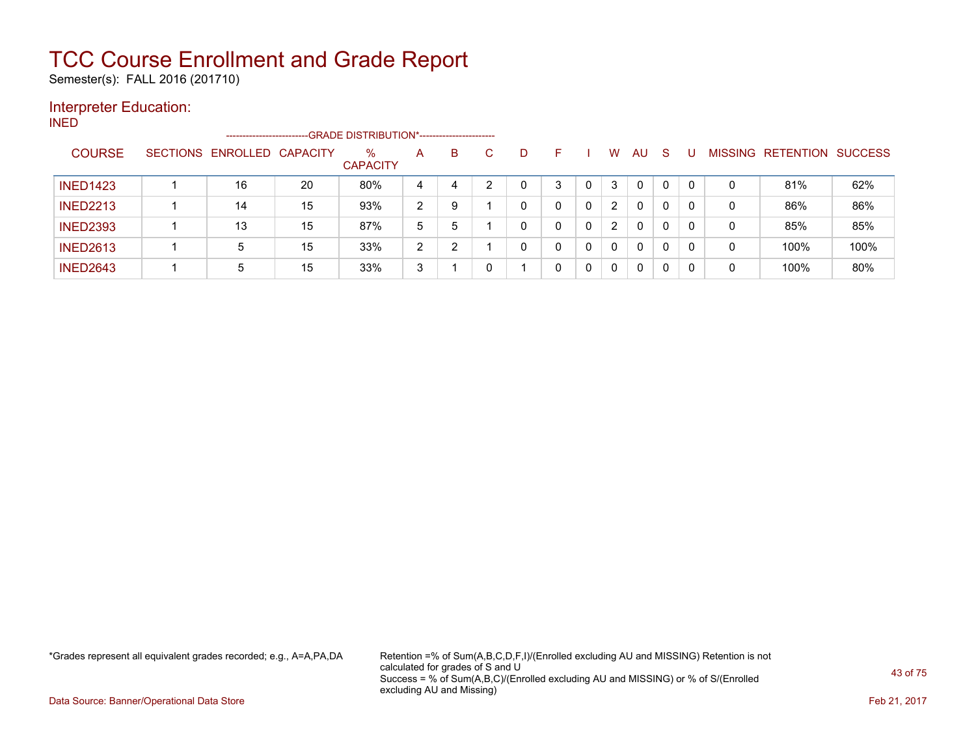Semester(s): FALL 2016 (201710)

### Interpreter Education:

INED

|                 |                 | ----------------------- |    | --GRADE DISTRIBUTION*----------------------- |   |   |   |   |              |   |   |          |              |              |                |           |                |
|-----------------|-----------------|-------------------------|----|----------------------------------------------|---|---|---|---|--------------|---|---|----------|--------------|--------------|----------------|-----------|----------------|
| <b>COURSE</b>   | <b>SECTIONS</b> | ENROLLED CAPACITY       |    | $\%$<br><b>CAPACITY</b>                      | A | B | С | D |              |   | W | AU.      | -S           |              | <b>MISSING</b> | RETENTION | <b>SUCCESS</b> |
| <b>INED1423</b> |                 | 16                      | 20 | 80%                                          | 4 | 4 |   |   | 3            |   | 3 | 0        | $\Omega$     | $\Omega$     | 0              | 81%       | 62%            |
| <b>INED2213</b> |                 | 14                      | 15 | 93%                                          | 2 |   |   | 0 |              | 0 | 2 | 0        | 0            | 0            | 0              | 86%       | 86%            |
| <b>INED2393</b> |                 | 13                      | 15 | 87%                                          | 5 | 5 |   | 0 |              | 0 | 2 | $\Omega$ | $\mathbf{0}$ | $\mathbf{0}$ | 0              | 85%       | 85%            |
| <b>INED2613</b> |                 | 5                       | 15 | 33%                                          | 2 |   |   | 0 | <sup>n</sup> |   | 0 | 0        | 0            | 0            | 0              | 100%      | 100%           |
| <b>INED2643</b> |                 | 5                       | 15 | 33%                                          | 3 |   |   |   |              | 0 | 0 | 0        |              | $\mathbf{0}$ | 0              | 100%      | 80%            |

\*Grades represent all equivalent grades recorded; e.g., A=A,PA,DA Retention =% of Sum(A,B,C,D,F,I)/(Enrolled excluding AU and MISSING) Retention is not calculated for grades of S and U Success = % of Sum(A,B,C)/(Enrolled excluding AU and MISSING) or % of S/(Enrolled excluding AU and Missing)

Data Source: Banner/Operational Data Store Feb 21, 2017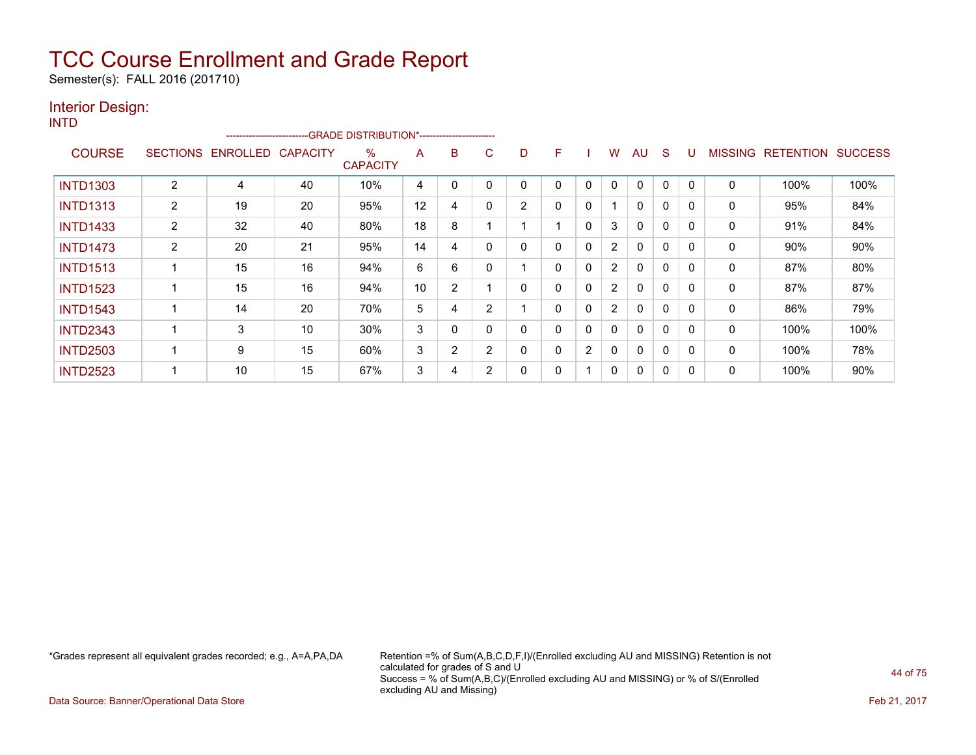Semester(s): FALL 2016 (201710)

#### Interior Design: INTD

|                 |                |                   | ------------------------GRADE DISTRIBUTION*----------------------- |                         |    |             |                |                |          |              |                |              |              |             |                |                          |      |
|-----------------|----------------|-------------------|--------------------------------------------------------------------|-------------------------|----|-------------|----------------|----------------|----------|--------------|----------------|--------------|--------------|-------------|----------------|--------------------------|------|
| <b>COURSE</b>   |                | SECTIONS ENROLLED | <b>CAPACITY</b>                                                    | $\%$<br><b>CAPACITY</b> | A  | B           | C              | D              | F.       |              | W              | AU           | S            | U           | <b>MISSING</b> | <b>RETENTION SUCCESS</b> |      |
| <b>INTD1303</b> | 2              | 4                 | 40                                                                 | 10%                     | 4  | $\mathbf 0$ | $\mathbf{0}$   | $\Omega$       | $\Omega$ | $\mathbf{0}$ | $\Omega$       | $\mathbf{0}$ | $\mathbf{0}$ | 0           | $\mathbf{0}$   | 100%                     | 100% |
| <b>INTD1313</b> | $\overline{2}$ | 19                | 20                                                                 | 95%                     | 12 | 4           | $\mathbf{0}$   | $\overline{2}$ | $\Omega$ | $\mathbf{0}$ |                | $\mathbf{0}$ | $\mathbf{0}$ | 0           | $\mathbf{0}$   | 95%                      | 84%  |
| <b>INTD1433</b> | $\overline{2}$ | 32                | 40                                                                 | 80%                     | 18 | 8           |                |                |          | $\Omega$     | 3              | $\mathbf{0}$ | $\mathbf{0}$ | $\mathbf 0$ | 0              | 91%                      | 84%  |
| <b>INTD1473</b> | $\overline{2}$ | 20                | 21                                                                 | 95%                     | 14 | 4           | $\mathbf{0}$   | 0              |          | 0            | 2              | 0            | $\mathbf{0}$ | 0           | 0              | 90%                      | 90%  |
| <b>INTD1513</b> |                | 15                | 16                                                                 | 94%                     | 6  | 6           | 0              |                | $\Omega$ | $\mathbf{0}$ | 2              | 0            | $\mathbf{0}$ | 0           | $\mathbf{0}$   | 87%                      | 80%  |
| <b>INTD1523</b> |                | 15                | 16                                                                 | 94%                     | 10 | 2           |                | 0              |          | $\mathbf{0}$ | $\overline{2}$ | 0            | $\mathbf{0}$ | 0           | 0              | 87%                      | 87%  |
| <b>INTD1543</b> |                | 14                | 20                                                                 | 70%                     | 5  | 4           | $\overline{2}$ |                | 0        | $\mathbf{0}$ | $\overline{2}$ | 0            | $\mathbf{0}$ | 0           | 0              | 86%                      | 79%  |
| <b>INTD2343</b> | 1              | 3                 | 10                                                                 | 30%                     | 3  | 0           | 0              | 0              | 0        | $\mathbf{0}$ | $\Omega$       | 0            | $\mathbf{0}$ | 0           | 0              | 100%                     | 100% |
| <b>INTD2503</b> |                | 9                 | 15                                                                 | 60%                     | 3  | 2           | 2              | $\Omega$       |          | 2            | 0              | $\mathbf{0}$ | $\mathbf{0}$ | 0           | 0              | 100%                     | 78%  |
| <b>INTD2523</b> | ٠              | 10                | 15                                                                 | 67%                     | 3  | 4           | 2              | 0              |          |              | $\Omega$       | $\mathbf{0}$ | 0            | 0           | 0              | 100%                     | 90%  |

\*Grades represent all equivalent grades recorded; e.g., A=A,PA,DA Retention =% of Sum(A,B,C,D,F,I)/(Enrolled excluding AU and MISSING) Retention is not calculated for grades of S and U Success = % of Sum(A,B,C)/(Enrolled excluding AU and MISSING) or % of S/(Enrolled excluding AU and Missing)

Data Source: Banner/Operational Data Store Feb 21, 2017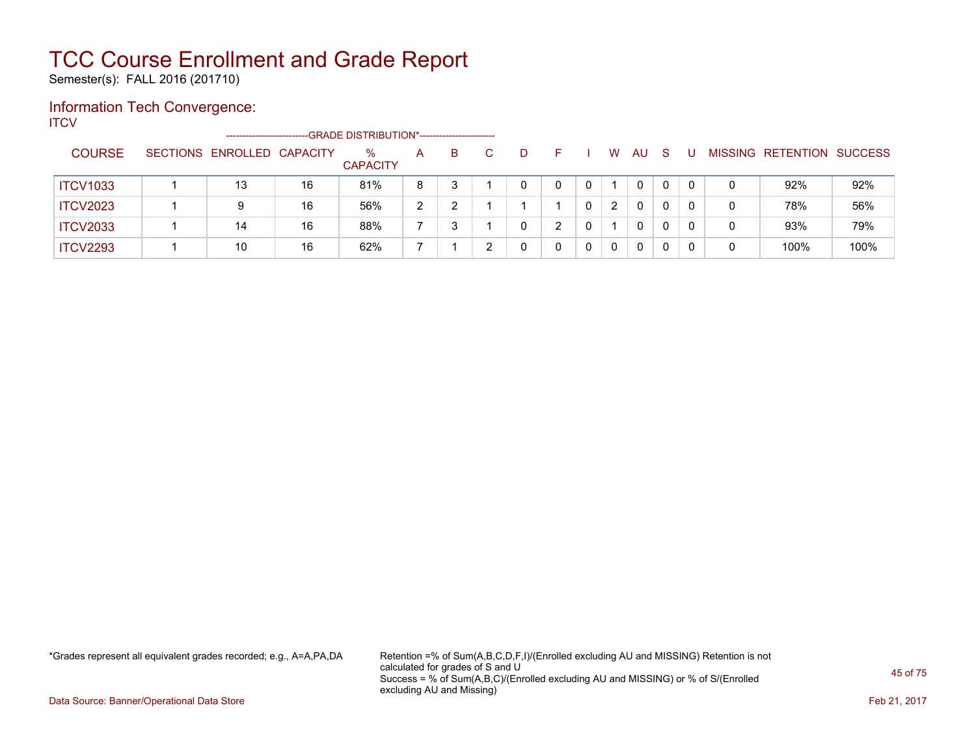Semester(s): FALL 2016 (201710)

### Information Tech Convergence:

**ITCV** 

|                 | -----------------------    |    | --GRADE DISTRIBUTION*----------------------- |   |    |   |   |   |   |              |    |   |   |                          |                |
|-----------------|----------------------------|----|----------------------------------------------|---|----|---|---|---|---|--------------|----|---|---|--------------------------|----------------|
| <b>COURSE</b>   | SECTIONS ENROLLED CAPACITY |    | $\%$<br><b>CAPACITY</b>                      | A | B. | D |   |   | W | AU           | -S | U |   | <b>MISSING RETENTION</b> | <b>SUCCESS</b> |
| <b>ITCV1033</b> | 13                         | 16 | 81%                                          | 8 |    |   |   | 0 |   | 0            |    |   | 0 | 92%                      | 92%            |
| <b>ITCV2023</b> |                            | 16 | 56%                                          | າ |    |   |   |   | 2 | $\mathbf{0}$ |    |   | 0 | 78%                      | 56%            |
| <b>ITCV2033</b> | 14                         | 16 | 88%                                          |   |    |   | C |   |   | $\Omega$     |    |   | 0 | 93%                      | 79%            |
| <b>ITCV2293</b> | 10                         | 16 | 62%                                          |   |    |   |   |   | 0 | 0            |    |   | 0 | 100%                     | 100%           |

\*Grades represent all equivalent grades recorded; e.g., A=A,PA,DA Retention =% of Sum(A,B,C,D,F,I)/(Enrolled excluding AU and MISSING) Retention is not calculated for grades of S and U Success = % of Sum(A,B,C)/(Enrolled excluding AU and MISSING) or % of S/(Enrolled excluding AU and Missing)

Data Source: Banner/Operational Data Store Feb 21, 2017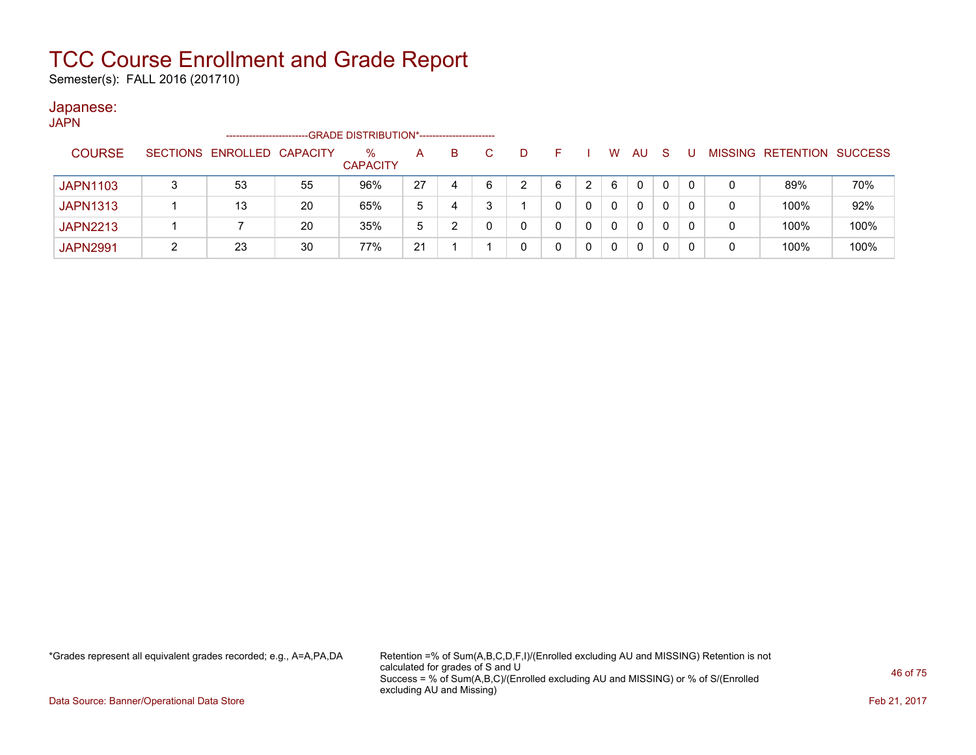Semester(s): FALL 2016 (201710)

#### Japanese:

| JAPN            |   |                            |    |                                             |    |   |   |    |          |          |              |    |   |   |                           |      |
|-----------------|---|----------------------------|----|---------------------------------------------|----|---|---|----|----------|----------|--------------|----|---|---|---------------------------|------|
|                 |   | -----------------------    |    | -GRADE DISTRIBUTION*----------------------- |    |   |   |    |          |          |              |    |   |   |                           |      |
| <b>COURSE</b>   |   | SECTIONS ENROLLED CAPACITY |    | $\%$<br><b>CAPACITY</b>                     | A  | B |   | F. |          | W        | AU           | -S | U |   | MISSING RETENTION SUCCESS |      |
| <b>JAPN1103</b> | 3 | 53                         | 55 | 96%                                         | 27 | 4 | 6 | 6  |          | 6        | $\mathbf{0}$ | 0  | 0 | 0 | 89%                       | 70%  |
| <b>JAPN1313</b> |   | 13                         | 20 | 65%                                         | 5  | 4 |   |    | $\Omega$ | $\Omega$ | 0            | 0  | 0 | 0 | 100%                      | 92%  |
| <b>JAPN2213</b> |   |                            | 20 | 35%                                         | 5  | າ | 0 |    |          | $\Omega$ | 0            | 0  |   | 0 | 100%                      | 100% |
| <b>JAPN2991</b> |   | 23                         | 30 | 77%                                         | 21 |   |   |    |          | 0        | 0            |    | 0 | 0 | 100%                      | 100% |

\*Grades represent all equivalent grades recorded; e.g., A=A,PA,DA Retention =% of Sum(A,B,C,D,F,I)/(Enrolled excluding AU and MISSING) Retention is not calculated for grades of S and U Success = % of Sum(A,B,C)/(Enrolled excluding AU and MISSING) or % of S/(Enrolled excluding AU and Missing)

Data Source: Banner/Operational Data Store Feb 21, 2017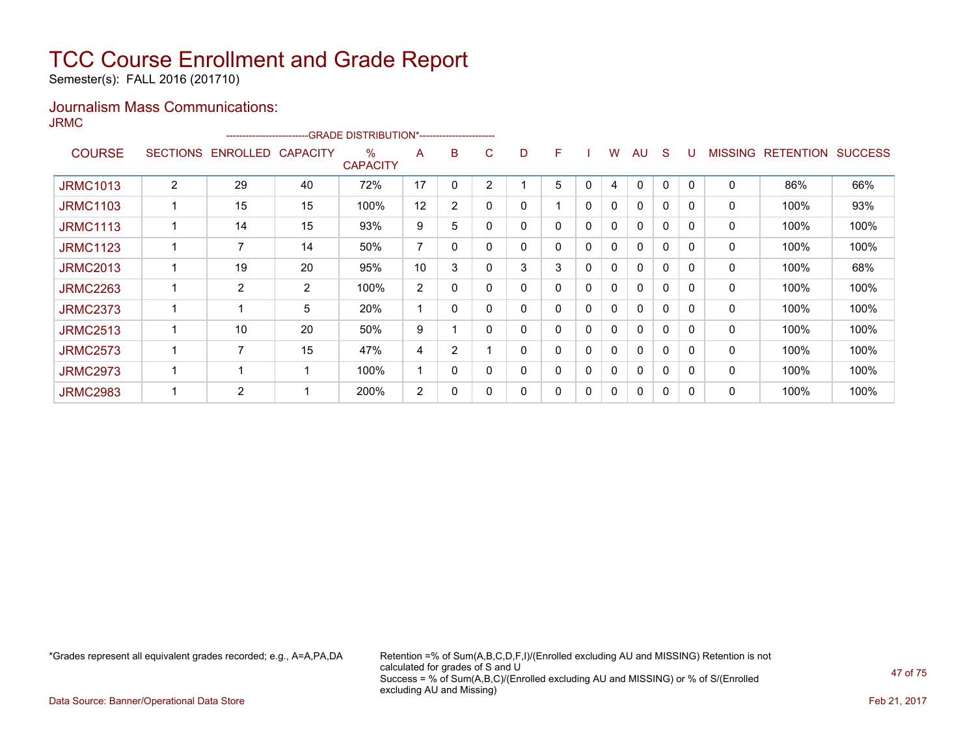Semester(s): FALL 2016 (201710)

### Journalism Mass Communications:

JRMC

|                 |                 | ------------------------ |                 | -GRADE DISTRIBUTION*---------------------- |    |                |   |   |   |   |   |              |              |          |                |                  |                |
|-----------------|-----------------|--------------------------|-----------------|--------------------------------------------|----|----------------|---|---|---|---|---|--------------|--------------|----------|----------------|------------------|----------------|
| <b>COURSE</b>   | <b>SECTIONS</b> | <b>ENROLLED</b>          | <b>CAPACITY</b> | %<br><b>CAPACITY</b>                       | A  | B              | C | D | F |   | W | AU           | S            |          | <b>MISSING</b> | <b>RETENTION</b> | <b>SUCCESS</b> |
| <b>JRMC1013</b> | $\overline{2}$  | 29                       | 40              | 72%                                        | 17 | 0              | 2 |   | 5 | 0 | 4 | 0            | 0            | $\Omega$ | 0              | 86%              | 66%            |
| <b>JRMC1103</b> |                 | 15                       | 15              | 100%                                       | 12 | $\overline{2}$ | 0 | 0 |   | 0 | 0 | $\Omega$     | 0            | 0        | 0              | 100%             | 93%            |
| <b>JRMC1113</b> |                 | 14                       | 15              | 93%                                        | 9  | 5              |   | 0 | 0 | 0 | 0 | $\mathbf{0}$ | 0            | $\Omega$ | 0              | 100%             | 100%           |
| <b>JRMC1123</b> |                 | 7                        | 14              | 50%                                        | 7  | $\mathbf{0}$   |   | 0 | 0 | 0 | 0 | $\Omega$     | $\Omega$     | $\Omega$ | 0              | 100%             | 100%           |
| <b>JRMC2013</b> |                 | 19                       | 20              | 95%                                        | 10 | 3              |   | 3 | 3 | 0 | 0 | $\Omega$     | $\Omega$     | $\Omega$ | 0              | 100%             | 68%            |
| <b>JRMC2263</b> |                 | 2                        | $\overline{2}$  | 100%                                       | 2  | 0              |   | 0 | 0 | 0 | 0 | $\mathbf{0}$ | $\mathbf{0}$ | $\Omega$ | 0              | 100%             | 100%           |
| <b>JRMC2373</b> |                 |                          | 5               | 20%                                        |    | 0              |   | 0 | 0 | 0 | 0 | 0            | 0            | 0        | 0              | 100%             | 100%           |
| <b>JRMC2513</b> |                 | 10                       | 20              | 50%                                        | 9  |                | 0 | 0 | 0 | 0 | 0 | $\mathbf{0}$ | 0            | 0        | 0              | 100%             | 100%           |
| <b>JRMC2573</b> |                 | 7                        | 15              | 47%                                        | 4  | $\overline{2}$ |   | 0 | 0 | 0 | 0 | $\Omega$     | $\Omega$     | 0        | 0              | 100%             | 100%           |
| <b>JRMC2973</b> |                 |                          |                 | 100%                                       | -4 | 0              |   | 0 | 0 | 0 | 0 | $\mathbf{0}$ | 0            | $\Omega$ | 0              | 100%             | 100%           |
| <b>JRMC2983</b> |                 | 2                        |                 | 200%                                       | 2  | $\mathbf{0}$   |   | 0 | 0 | 0 | 0 | 0            | 0            | $\Omega$ | 0              | 100%             | 100%           |

\*Grades represent all equivalent grades recorded; e.g., A=A,PA,DA Retention =% of Sum(A,B,C,D,F,I)/(Enrolled excluding AU and MISSING) Retention is not calculated for grades of S and U Success = % of Sum(A,B,C)/(Enrolled excluding AU and MISSING) or % of S/(Enrolled excluding AU and Missing)

Data Source: Banner/Operational Data Store Feb 21, 2017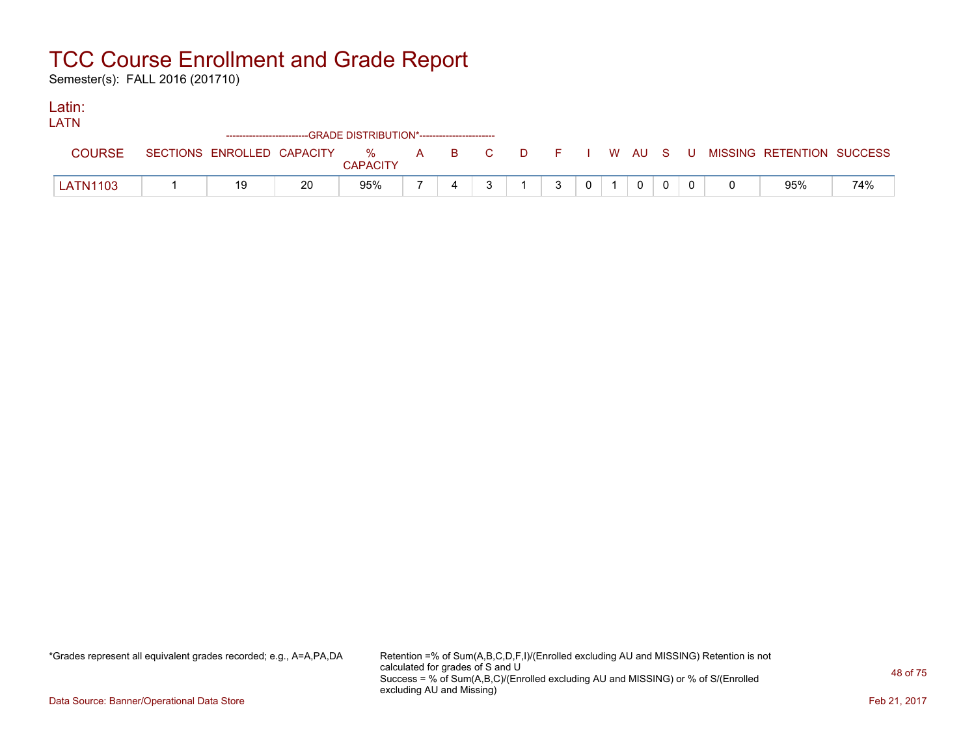Semester(s): FALL 2016 (201710)

### Latin:

| <b>LATN</b>     |    |    |                                                                    |  |  |    |                |  |  |                                                                               |     |
|-----------------|----|----|--------------------------------------------------------------------|--|--|----|----------------|--|--|-------------------------------------------------------------------------------|-----|
|                 |    |    | ------------------------GRADE DISTRIBUTION*----------------------- |  |  |    |                |  |  |                                                                               |     |
| <b>COURSE</b>   |    |    | <b>CAPACITY</b>                                                    |  |  |    |                |  |  | SECTIONS ENROLLED CAPACITY 3 % A B C D F I W AU S U MISSING RETENTION SUCCESS |     |
| <b>LATN1103</b> | 19 | 20 | 95%                                                                |  |  | ્ર | 0 <sup>1</sup> |  |  | 95%                                                                           | 74% |

\*Grades represent all equivalent grades recorded; e.g., A=A,PA,DA Retention =% of Sum(A,B,C,D,F,I)/(Enrolled excluding AU and MISSING) Retention is not calculated for grades of S and U Success = % of Sum(A,B,C)/(Enrolled excluding AU and MISSING) or % of S/(Enrolled excluding AU and Missing)

Data Source: Banner/Operational Data Store Feb 21, 2017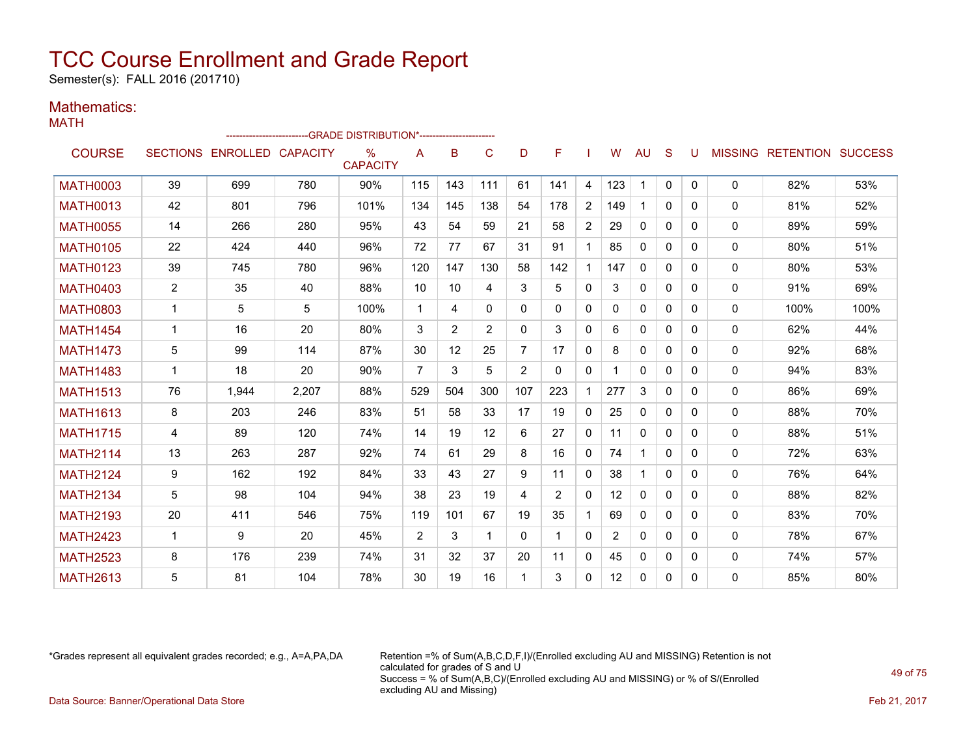Semester(s): FALL 2016 (201710)

#### Mathematics: MATH

|                 |                |                            |       | -GRADE DISTRIBUTION*----------------------- |                |     |                |          |              |                |                 |              |              |   |              |                                  |      |
|-----------------|----------------|----------------------------|-------|---------------------------------------------|----------------|-----|----------------|----------|--------------|----------------|-----------------|--------------|--------------|---|--------------|----------------------------------|------|
| <b>COURSE</b>   |                | SECTIONS ENROLLED CAPACITY |       | $\%$<br><b>CAPACITY</b>                     | A              | B   | C              | D        | F            |                | W               | <b>AU</b>    | S            | U |              | <b>MISSING RETENTION SUCCESS</b> |      |
| <b>MATH0003</b> | 39             | 699                        | 780   | 90%                                         | 115            | 143 | 111            | 61       | 141          | 4              | 123             | $\mathbf 1$  | $\mathbf 0$  | 0 | 0            | 82%                              | 53%  |
| <b>MATH0013</b> | 42             | 801                        | 796   | 101%                                        | 134            | 145 | 138            | 54       | 178          | $\overline{2}$ | 149             | 1            | $\mathbf{0}$ | 0 | 0            | 81%                              | 52%  |
| <b>MATH0055</b> | 14             | 266                        | 280   | 95%                                         | 43             | 54  | 59             | 21       | 58           | $\overline{2}$ | 29              | $\mathbf{0}$ | $\mathbf{0}$ | 0 | $\mathbf{0}$ | 89%                              | 59%  |
| <b>MATH0105</b> | 22             | 424                        | 440   | 96%                                         | 72             | 77  | 67             | 31       | 91           | $\mathbf{1}$   | 85              | $\mathbf{0}$ | $\Omega$     | 0 | 0            | 80%                              | 51%  |
| <b>MATH0123</b> | 39             | 745                        | 780   | 96%                                         | 120            | 147 | 130            | 58       | 142          | $\mathbf{1}$   | 147             | 0            | $\Omega$     | 0 | 0            | 80%                              | 53%  |
| <b>MATH0403</b> | $\overline{2}$ | 35                         | 40    | 88%                                         | 10             | 10  | 4              | 3        | 5            | $\mathbf{0}$   | 3               | $\mathbf{0}$ | $\Omega$     | 0 | 0            | 91%                              | 69%  |
| <b>MATH0803</b> | 1              | 5                          | 5     | 100%                                        | $\mathbf 1$    | 4   | $\mathbf{0}$   | $\Omega$ | $\mathbf{0}$ | 0              | 0               | $\mathbf{0}$ | $\mathbf{0}$ | 0 | 0            | 100%                             | 100% |
| <b>MATH1454</b> | $\mathbf 1$    | 16                         | 20    | 80%                                         | 3              | 2   | $\overline{2}$ | $\Omega$ | 3            | 0              | 6               | 0            | 0            | 0 | 0            | 62%                              | 44%  |
| <b>MATH1473</b> | 5              | 99                         | 114   | 87%                                         | 30             | 12  | 25             | 7        | 17           | $\mathbf{0}$   | 8               | 0            | $\Omega$     | 0 | 0            | 92%                              | 68%  |
| <b>MATH1483</b> | 1              | 18                         | 20    | 90%                                         | $\overline{7}$ | 3   | 5              | 2        | $\mathbf{0}$ | $\mathbf{0}$   |                 | $\mathbf{0}$ | $\mathbf{0}$ | 0 | $\mathbf{0}$ | 94%                              | 83%  |
| <b>MATH1513</b> | 76             | 1,944                      | 2,207 | 88%                                         | 529            | 504 | 300            | 107      | 223          | 1              | 277             | 3            | 0            | 0 | $\mathbf{0}$ | 86%                              | 69%  |
| <b>MATH1613</b> | 8              | 203                        | 246   | 83%                                         | 51             | 58  | 33             | 17       | 19           | $\mathbf{0}$   | 25              | $\mathbf{0}$ | $\Omega$     | 0 | 0            | 88%                              | 70%  |
| <b>MATH1715</b> | 4              | 89                         | 120   | 74%                                         | 14             | 19  | 12             | 6        | 27           | 0              | 11              | 0            | $\Omega$     | 0 | 0            | 88%                              | 51%  |
| <b>MATH2114</b> | 13             | 263                        | 287   | 92%                                         | 74             | 61  | 29             | 8        | 16           | 0              | 74              | $\mathbf{1}$ | $\Omega$     | 0 | 0            | 72%                              | 63%  |
| <b>MATH2124</b> | 9              | 162                        | 192   | 84%                                         | 33             | 43  | 27             | 9        | 11           | 0              | 38              | 1            | $\mathbf{0}$ | 0 | 0            | 76%                              | 64%  |
| <b>MATH2134</b> | 5              | 98                         | 104   | 94%                                         | 38             | 23  | 19             | 4        | 2            | $\mathbf{0}$   | 12 <sup>2</sup> | $\mathbf{0}$ | $\mathbf{0}$ | 0 | $\mathbf{0}$ | 88%                              | 82%  |
| <b>MATH2193</b> | 20             | 411                        | 546   | 75%                                         | 119            | 101 | 67             | 19       | 35           | $\mathbf{1}$   | 69              | $\mathbf{0}$ | 0            | 0 | 0            | 83%                              | 70%  |
| <b>MATH2423</b> | 1              | 9                          | 20    | 45%                                         | 2              | 3   | 1              | $\Omega$ |              | $\mathbf{0}$   | $\overline{2}$  | $\mathbf{0}$ | $\Omega$     | 0 | 0            | 78%                              | 67%  |
| <b>MATH2523</b> | 8              | 176                        | 239   | 74%                                         | 31             | 32  | 37             | 20       | 11           | 0              | 45              | 0            | 0            | 0 | 0            | 74%                              | 57%  |
| <b>MATH2613</b> | 5              | 81                         | 104   | 78%                                         | 30             | 19  | 16             | 1        | 3            | $\mathbf{0}$   | 12              | $\mathbf{0}$ | $\Omega$     | 0 | 0            | 85%                              | 80%  |

\*Grades represent all equivalent grades recorded; e.g., A=A,PA,DA Retention =% of Sum(A,B,C,D,F,I)/(Enrolled excluding AU and MISSING) Retention is not calculated for grades of S and U Success = % of Sum(A,B,C)/(Enrolled excluding AU and MISSING) or % of S/(Enrolled excluding AU and Missing) Data Source: Banner/Operational Data Store Feb 21, 2017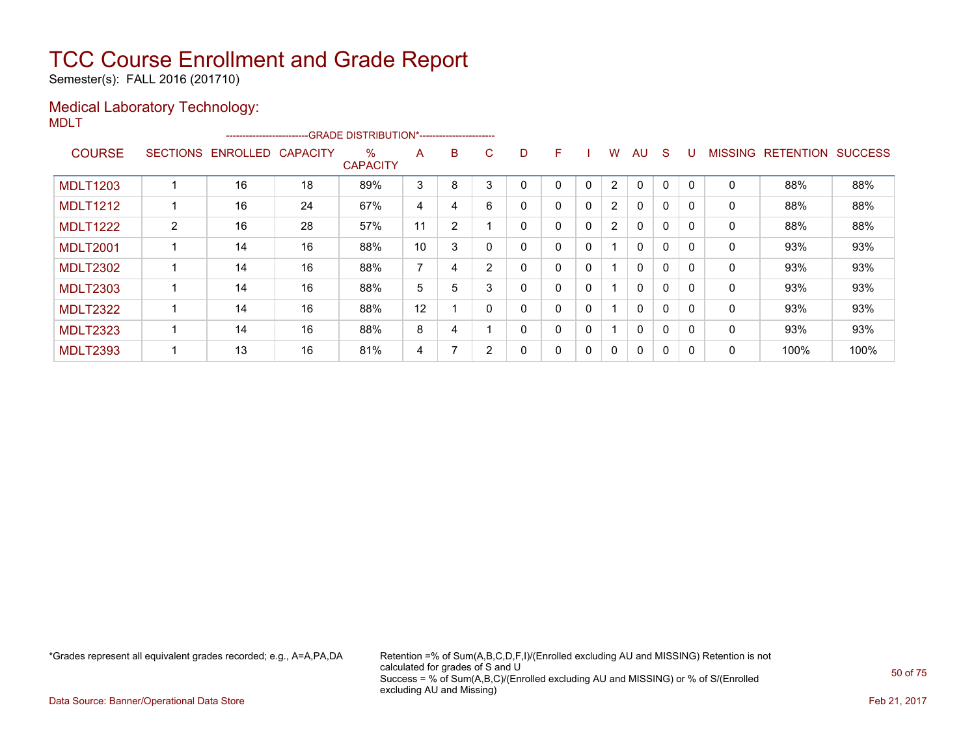Semester(s): FALL 2016 (201710)

### Medical Laboratory Technology:

MDLT

|                 |                 | ------------------------ |                 | --GRADE DISTRIBUTION*------------------------ |    |                |   |   |   |          |                |              |             |          |                |                  |                |
|-----------------|-----------------|--------------------------|-----------------|-----------------------------------------------|----|----------------|---|---|---|----------|----------------|--------------|-------------|----------|----------------|------------------|----------------|
| <b>COURSE</b>   | <b>SECTIONS</b> | <b>ENROLLED</b>          | <b>CAPACITY</b> | $\%$<br><b>CAPACITY</b>                       | A  | B              | C | D | F |          | W              | AU           | S           |          | <b>MISSING</b> | <b>RETENTION</b> | <b>SUCCESS</b> |
| <b>MDLT1203</b> |                 | 16                       | 18              | 89%                                           | 3  | 8              | 3 | 0 | 0 | 0        | $\overline{2}$ | 0            | 0           | $\Omega$ | 0              | 88%              | 88%            |
| <b>MDLT1212</b> |                 | 16                       | 24              | 67%                                           | 4  | 4              | 6 | 0 | 0 | 0        | $\overline{2}$ | $\Omega$     | $\mathbf 0$ | $\Omega$ | 0              | 88%              | 88%            |
| <b>MDLT1222</b> | $\overline{2}$  | 16                       | 28              | 57%                                           | 11 | $\overline{2}$ |   | 0 | 0 | $\Omega$ | $\overline{2}$ | 0            | 0           | $\Omega$ | 0              | 88%              | 88%            |
| <b>MDLT2001</b> |                 | 14                       | 16              | 88%                                           | 10 | 3              |   | 0 | 0 | 0        |                | 0            | 0           | $\Omega$ | 0              | 93%              | 93%            |
| <b>MDLT2302</b> |                 | 14                       | 16              | 88%                                           | ⇁  | 4              | 2 | 0 | 0 | 0        |                | 0            | $\Omega$    | 0        | 0              | 93%              | 93%            |
| <b>MDLT2303</b> |                 | 14                       | 16              | 88%                                           | 5  | 5              | 3 | 0 | 0 | 0        |                | 0            | 0           |          | 0              | 93%              | 93%            |
| <b>MDLT2322</b> |                 | 14                       | 16              | 88%                                           | 12 |                |   | 0 | 0 | 0        |                | $\Omega$     | $\mathbf 0$ | $\Omega$ | 0              | 93%              | 93%            |
| <b>MDLT2323</b> |                 | 14                       | 16              | 88%                                           | 8  | 4              |   | 0 | 0 | 0        | ◢              | $\mathbf{0}$ | $\Omega$    | $\Omega$ | 0              | 93%              | 93%            |
| <b>MDLT2393</b> |                 | 13                       | 16              | 81%                                           | 4  | 7              | 2 | 0 | 0 | 0        | $\Omega$       | 0            | 0           |          | 0              | 100%             | 100%           |

\*Grades represent all equivalent grades recorded; e.g., A=A,PA,DA Retention =% of Sum(A,B,C,D,F,I)/(Enrolled excluding AU and MISSING) Retention is not calculated for grades of S and U Success = % of Sum(A,B,C)/(Enrolled excluding AU and MISSING) or % of S/(Enrolled excluding AU and Missing)

Data Source: Banner/Operational Data Store Feb 21, 2017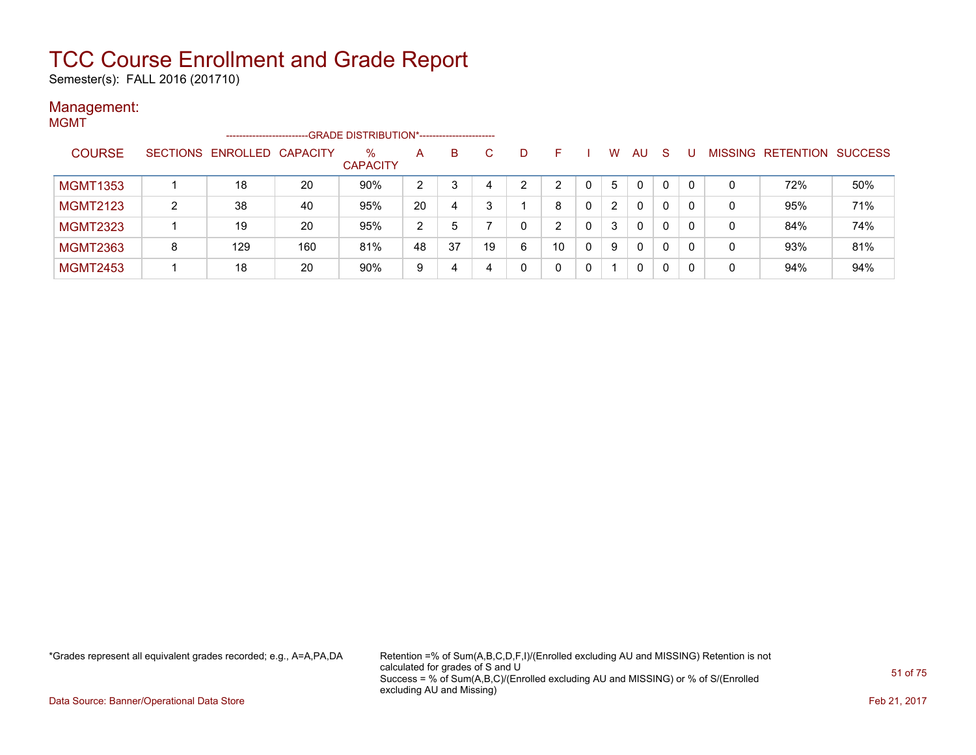Semester(s): FALL 2016 (201710)

#### Management: MGMT

| . |                 |                 | -------------------- |     | -GRADE DISTRIBUTION*----------------------- |               |    |    |   |    |                      |              |              |                |                          |     |
|---|-----------------|-----------------|----------------------|-----|---------------------------------------------|---------------|----|----|---|----|----------------------|--------------|--------------|----------------|--------------------------|-----|
|   | <b>COURSE</b>   | <b>SECTIONS</b> | ENROLLED CAPACITY    |     | $\%$<br><b>CAPACITY</b>                     | A             | B  | C. | D | н  | W                    | AU.          | <sub>S</sub> | <b>MISSING</b> | <b>RETENTION SUCCESS</b> |     |
|   | <b>MGMT1353</b> |                 | 18                   | 20  | 90%                                         | 2             |    |    | າ | ົ  | 5                    | 0            | 0            | 0              | 72%                      | 50% |
|   | <b>MGMT2123</b> | C.              | 38                   | 40  | 95%                                         | 20            | 4  |    |   | 8  | $\mathbf{2}^{\circ}$ | $\mathbf{0}$ | 0            | 0              | 95%                      | 71% |
|   | <b>MGMT2323</b> |                 | 19                   | 20  | 95%                                         | $\mathcal{P}$ | 5  |    |   | ົ  | 3                    | 0            | 0            | 0              | 84%                      | 74% |
|   | <b>MGMT2363</b> | 8               | 129                  | 160 | 81%                                         | 48            | 37 | 19 | 6 | 10 | 9                    | $\mathbf{0}$ | 0            | 0              | 93%                      | 81% |
|   | <b>MGMT2453</b> |                 | 18                   | 20  | 90%                                         | 9             | 4  |    |   |    |                      | 0            | 0            | 0              | 94%                      | 94% |

\*Grades represent all equivalent grades recorded; e.g., A=A,PA,DA Retention =% of Sum(A,B,C,D,F,I)/(Enrolled excluding AU and MISSING) Retention is not calculated for grades of S and U Success = % of Sum(A,B,C)/(Enrolled excluding AU and MISSING) or % of S/(Enrolled excluding AU and Missing)

Data Source: Banner/Operational Data Store Feb 21, 2017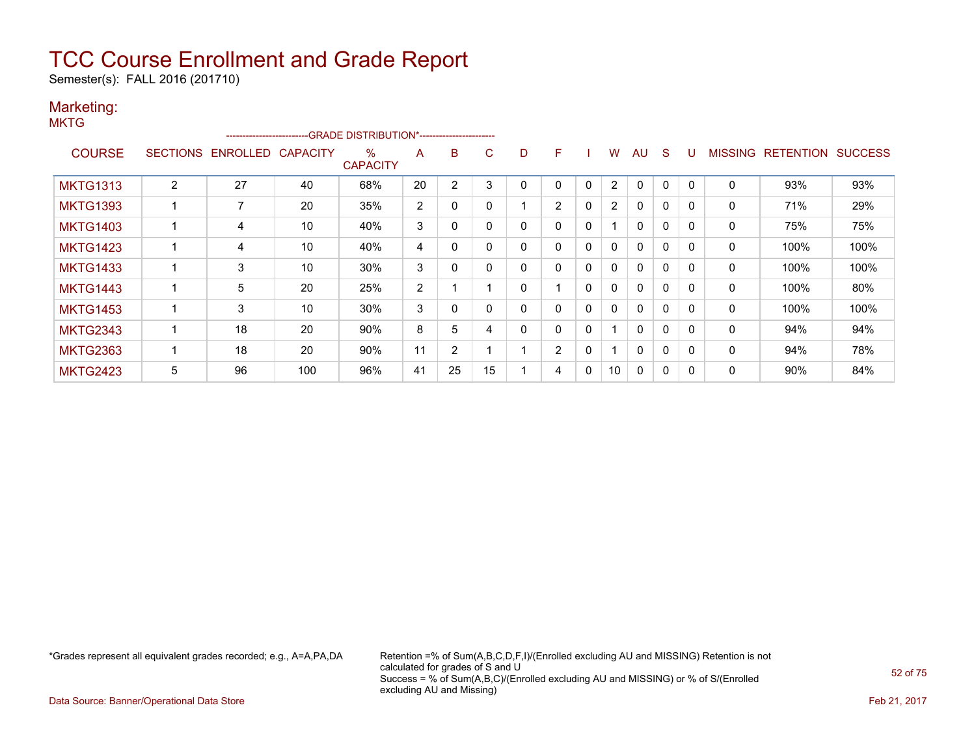Semester(s): FALL 2016 (201710)

#### Marketing: **MKTG**

|                 |   | ------------------------- |                 | -- GRADE DISTRIBUTION*------------------------ |    |                |    |   |                |              |                |              |              |              |                |                  |                |
|-----------------|---|---------------------------|-----------------|------------------------------------------------|----|----------------|----|---|----------------|--------------|----------------|--------------|--------------|--------------|----------------|------------------|----------------|
| <b>COURSE</b>   |   | SECTIONS ENROLLED         | <b>CAPACITY</b> | %<br><b>CAPACITY</b>                           | A  | B              | C  | D | F              |              | W              | AU           | <sub>S</sub> |              | <b>MISSING</b> | <b>RETENTION</b> | <b>SUCCESS</b> |
| <b>MKTG1313</b> | 2 | 27                        | 40              | 68%                                            | 20 | 2              | 3  |   | 0              | 0            | 2              | $\Omega$     | 0            |              | 0              | 93%              | 93%            |
| <b>MKTG1393</b> |   | 7                         | 20              | 35%                                            | 2  | $\Omega$       |    |   | $\overline{2}$ | $\mathbf{0}$ | $\overline{2}$ | $\mathbf{0}$ | 0            |              | 0              | 71%              | 29%            |
| <b>MKTG1403</b> |   | 4                         | 10              | 40%                                            | 3  | 0              |    | 0 | 0              | $\mathbf{0}$ |                | $\mathbf{0}$ | $\mathbf{0}$ | $\Omega$     | $\mathbf{0}$   | 75%              | 75%            |
| <b>MKTG1423</b> |   | 4                         | 10              | 40%                                            | 4  | 0              |    | 0 | 0              | $\mathbf{0}$ | $\mathbf{0}$   | $\mathbf{0}$ | $\mathbf{0}$ |              | 0              | 100%             | 100%           |
| <b>MKTG1433</b> |   | 3                         | 10              | 30%                                            | 3  | 0              |    | 0 | 0              | 0            | $\mathbf{0}$   | $\mathbf{0}$ | 0            |              | 0              | 100%             | 100%           |
| <b>MKTG1443</b> |   | 5                         | 20              | 25%                                            | 2  |                |    | 0 |                | $\mathbf{0}$ | $\mathbf{0}$   | $\mathbf{0}$ | $\mathbf{0}$ | $\Omega$     | $\mathbf{0}$   | 100%             | 80%            |
| <b>MKTG1453</b> |   | 3                         | 10              | 30%                                            | 3  | 0              |    | 0 | 0              | 0            | 0              | $\Omega$     | 0            |              | 0              | 100%             | 100%           |
| <b>MKTG2343</b> |   | 18                        | 20              | 90%                                            | 8  | 5              | 4  |   | 0              | 0            |                | $\Omega$     | $\Omega$     | <sup>0</sup> | $\Omega$       | 94%              | 94%            |
| <b>MKTG2363</b> |   | 18                        | 20              | 90%                                            | 11 | $\overline{2}$ |    |   | $\overline{2}$ | $\mathbf{0}$ |                | $\mathbf{0}$ | $\Omega$     | $\Omega$     | 0              | 94%              | 78%            |
| <b>MKTG2423</b> | 5 | 96                        | 100             | 96%                                            | 41 | 25             | 15 |   | 4              | 0            | 10             | $\mathbf{0}$ | 0            | $\Omega$     | 0              | 90%              | 84%            |

\*Grades represent all equivalent grades recorded; e.g., A=A,PA,DA Retention =% of Sum(A,B,C,D,F,I)/(Enrolled excluding AU and MISSING) Retention is not calculated for grades of S and U Success = % of Sum(A,B,C)/(Enrolled excluding AU and MISSING) or % of S/(Enrolled excluding AU and Missing)

Data Source: Banner/Operational Data Store Feb 21, 2017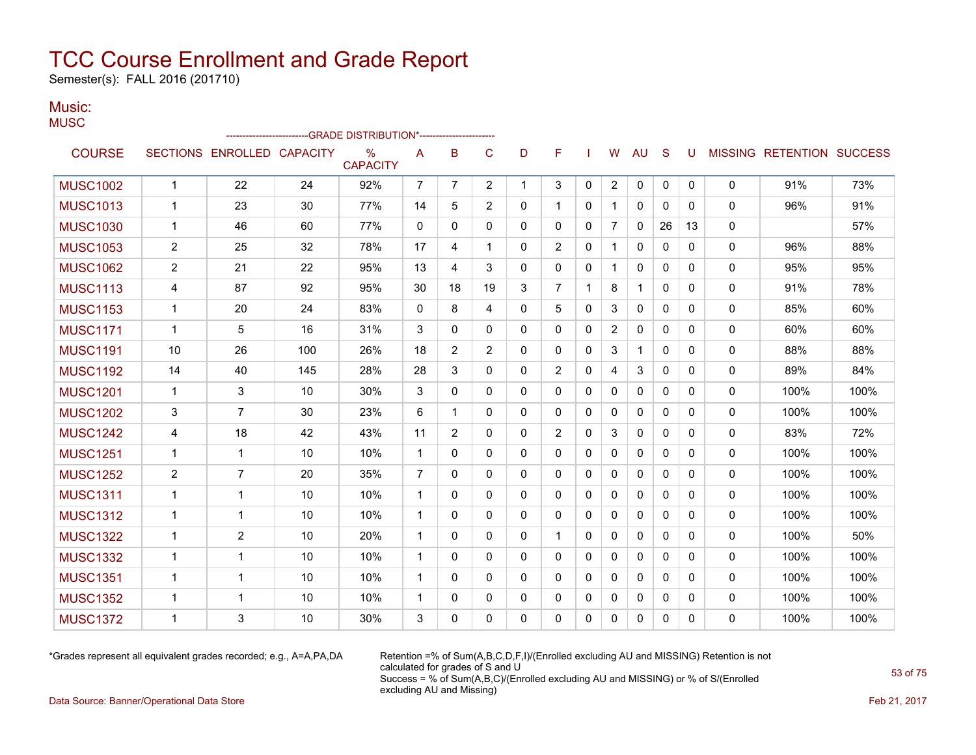Semester(s): FALL 2016 (201710)

#### Music: **MUSC**

|                 |                |                            |     | -GRADE DISTRIBUTION*---------------------- |                |                |                |              |                |              |                |              |              |              |              |                           |      |
|-----------------|----------------|----------------------------|-----|--------------------------------------------|----------------|----------------|----------------|--------------|----------------|--------------|----------------|--------------|--------------|--------------|--------------|---------------------------|------|
| <b>COURSE</b>   |                | SECTIONS ENROLLED CAPACITY |     | $\%$<br><b>CAPACITY</b>                    | A              | B              | C              | D            | F              |              | W              | <b>AU</b>    | S            | U            |              | MISSING RETENTION SUCCESS |      |
| <b>MUSC1002</b> | $\mathbf{1}$   | 22                         | 24  | 92%                                        | 7              | $\overline{7}$ | $\overline{2}$ | $\mathbf{1}$ | 3              | 0            | $\overline{2}$ | 0            | 0            | 0            | 0            | 91%                       | 73%  |
| <b>MUSC1013</b> | $\mathbf{1}$   | 23                         | 30  | 77%                                        | 14             | 5              | $\overline{2}$ | 0            | 1              | $\mathbf{0}$ | $\mathbf{1}$   | 0            | $\mathbf{0}$ | 0            | $\mathbf{0}$ | 96%                       | 91%  |
| <b>MUSC1030</b> | $\mathbf{1}$   | 46                         | 60  | 77%                                        | $\mathbf{0}$   | $\mathbf{0}$   | 0              | 0            | 0              | $\mathbf{0}$ | $\overline{7}$ | $\mathbf{0}$ | 26           | 13           | 0            |                           | 57%  |
| <b>MUSC1053</b> | $\overline{2}$ | 25                         | 32  | 78%                                        | 17             | 4              | 1              | 0            | $\overline{2}$ | $\Omega$     | $\mathbf{1}$   | 0            | $\Omega$     | $\Omega$     | 0            | 96%                       | 88%  |
| <b>MUSC1062</b> | 2              | 21                         | 22  | 95%                                        | 13             | 4              | 3              | 0            | 0              | $\mathbf{0}$ | $\mathbf{1}$   | $\mathbf{0}$ | $\mathbf{0}$ | 0            | 0            | 95%                       | 95%  |
| <b>MUSC1113</b> | 4              | 87                         | 92  | 95%                                        | 30             | 18             | 19             | 3            | $\overline{7}$ | 1            | 8              | $\mathbf{1}$ | $\Omega$     | $\Omega$     | 0            | 91%                       | 78%  |
| <b>MUSC1153</b> | $\mathbf{1}$   | 20                         | 24  | 83%                                        | $\mathbf{0}$   | 8              | 4              | 0            | 5              | $\Omega$     | 3              | $\mathbf{0}$ | $\Omega$     | 0            | $\mathbf{0}$ | 85%                       | 60%  |
| <b>MUSC1171</b> | $\mathbf{1}$   | 5                          | 16  | 31%                                        | 3              | $\mathbf{0}$   | 0              | 0            | 0              | $\mathbf{0}$ | $\overline{2}$ | $\Omega$     | $\mathbf{0}$ | 0            | $\mathbf{0}$ | 60%                       | 60%  |
| <b>MUSC1191</b> | 10             | 26                         | 100 | 26%                                        | 18             | $\overline{2}$ | $\overline{2}$ | 0            | 0              | $\mathbf{0}$ | 3              | 1            | $\mathbf{0}$ | 0            | $\mathbf{0}$ | 88%                       | 88%  |
| <b>MUSC1192</b> | 14             | 40                         | 145 | 28%                                        | 28             | 3              | 0              | 0            | $\overline{2}$ | $\mathbf{0}$ | 4              | 3            | $\mathbf{0}$ | 0            | $\mathbf{0}$ | 89%                       | 84%  |
| <b>MUSC1201</b> | $\mathbf 1$    | 3                          | 10  | 30%                                        | 3              | 0              | 0              | 0            | 0              | $\mathbf{0}$ | 0              | 0            | $\mathbf{0}$ | 0            | 0            | 100%                      | 100% |
| <b>MUSC1202</b> | 3              | $\overline{7}$             | 30  | 23%                                        | 6              | 1              | 0              | 0            | 0              | 0            | 0              | 0            | $\mathbf{0}$ | 0            | 0            | 100%                      | 100% |
| <b>MUSC1242</b> | 4              | 18                         | 42  | 43%                                        | 11             | $\overline{2}$ | 0              | 0            | $\overline{2}$ | $\mathbf{0}$ | 3              | $\mathbf{0}$ | $\Omega$     | $\Omega$     | 0            | 83%                       | 72%  |
| <b>MUSC1251</b> | $\mathbf{1}$   | 1                          | 10  | 10%                                        | $\mathbf{1}$   | $\mathbf{0}$   | 0              | 0            | 0              | $\mathbf{0}$ | $\mathbf{0}$   | 0            | $\mathbf{0}$ | 0            | 0            | 100%                      | 100% |
| <b>MUSC1252</b> | 2              | $\overline{7}$             | 20  | 35%                                        | $\overline{7}$ | $\Omega$       | 0              | 0            | 0              | $\Omega$     | $\Omega$       | $\Omega$     | $\mathbf{0}$ | 0            | 0            | 100%                      | 100% |
| <b>MUSC1311</b> | $\mathbf 1$    | 1                          | 10  | 10%                                        | $\mathbf 1$    | $\mathbf{0}$   | $\mathbf{0}$   | 0            | 0              | $\mathbf{0}$ | $\mathbf{0}$   | $\mathbf{0}$ | $\Omega$     | $\Omega$     | 0            | 100%                      | 100% |
| <b>MUSC1312</b> | $\mathbf{1}$   | $\mathbf{1}$               | 10  | 10%                                        | $\mathbf{1}$   | $\Omega$       | 0              | 0            | 0              | $\Omega$     | $\mathbf{0}$   | $\mathbf{0}$ | $\Omega$     | $\Omega$     | 0            | 100%                      | 100% |
| <b>MUSC1322</b> | $\mathbf{1}$   | $\overline{2}$             | 10  | 20%                                        | $\mathbf{1}$   | $\Omega$       | $\Omega$       | 0            | $\mathbf 1$    | $\Omega$     | $\mathbf{0}$   | $\mathbf{0}$ | $\Omega$     | 0            | $\mathbf{0}$ | 100%                      | 50%  |
| <b>MUSC1332</b> | $\mathbf{1}$   | 1                          | 10  | 10%                                        | $\mathbf 1$    | $\mathbf{0}$   | 0              | 0            | 0              | $\mathbf{0}$ | 0              | $\mathbf{0}$ | $\mathbf{0}$ | 0            | 0            | 100%                      | 100% |
| <b>MUSC1351</b> | $\mathbf 1$    | 1                          | 10  | 10%                                        | $\mathbf 1$    | 0              | 0              | 0            | 0              | $\mathbf{0}$ | $\mathbf{0}$   | $\mathbf{0}$ | $\mathbf{0}$ | 0            | $\mathbf{0}$ | 100%                      | 100% |
| <b>MUSC1352</b> | $\mathbf{1}$   | 1                          | 10  | 10%                                        | $\mathbf 1$    | 0              | 0              | 0            | 0              | $\mathbf{0}$ | $\Omega$       | $\mathbf{0}$ | $\mathbf{0}$ | $\mathbf{0}$ | 0            | 100%                      | 100% |
| <b>MUSC1372</b> | $\mathbf 1$    | 3                          | 10  | 30%                                        | 3              | 0              | 0              | 0            | 0              | $\mathbf{0}$ | 0              | 0            | 0            | 0            | $\mathbf{0}$ | 100%                      | 100% |

\*Grades represent all equivalent grades recorded; e.g., A=A,PA,DA Retention =% of Sum(A,B,C,D,F,I)/(Enrolled excluding AU and MISSING) Retention is not calculated for grades of S and U Success = % of Sum(A,B,C)/(Enrolled excluding AU and MISSING) or % of S/(Enrolled excluding AU and Missing)

Data Source: Banner/Operational Data Store Feb 21, 2017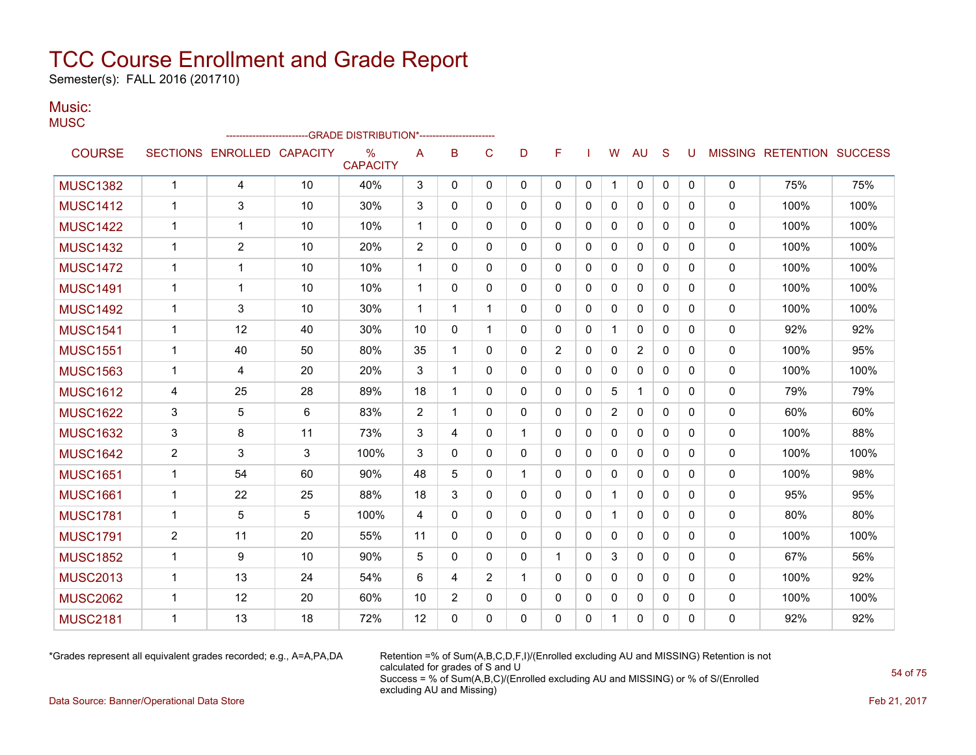Semester(s): FALL 2016 (201710)

#### Music: **MUSC**

|                 |                |                            |    | -GRADE DISTRIBUTION*----------------------- |              |                |                |              |                |              |                |                |              |              |              |                           |      |
|-----------------|----------------|----------------------------|----|---------------------------------------------|--------------|----------------|----------------|--------------|----------------|--------------|----------------|----------------|--------------|--------------|--------------|---------------------------|------|
| <b>COURSE</b>   |                | SECTIONS ENROLLED CAPACITY |    | $\%$<br><b>CAPACITY</b>                     | A            | в              | C              | D            | F              |              | W              | <b>AU</b>      | S            | U            |              | MISSING RETENTION SUCCESS |      |
| <b>MUSC1382</b> | $\mathbf{1}$   | 4                          | 10 | 40%                                         | 3            | $\mathbf{0}$   | 0              | $\Omega$     | 0              | $\mathbf{0}$ | $\mathbf{1}$   | $\mathbf 0$    | 0            | $\mathbf 0$  | $\mathbf{0}$ | 75%                       | 75%  |
| <b>MUSC1412</b> | 1              | 3                          | 10 | 30%                                         | 3            | 0              | 0              | $\mathbf{0}$ | $\Omega$       | 0            | 0              | $\mathbf 0$    | $\mathbf{0}$ | $\Omega$     | $\mathbf{0}$ | 100%                      | 100% |
| <b>MUSC1422</b> | $\mathbf{1}$   | 1                          | 10 | 10%                                         | $\mathbf{1}$ | 0              | 0              | $\mathbf{0}$ | 0              | $\mathbf{0}$ | 0              | 0              | $\mathbf{0}$ | $\mathbf{0}$ | $\mathbf{0}$ | 100%                      | 100% |
| <b>MUSC1432</b> | 1              | $\overline{2}$             | 10 | 20%                                         | 2            | 0              | $\Omega$       | $\mathbf{0}$ | $\Omega$       | $\Omega$     | $\mathbf{0}$   | $\mathbf{0}$   | $\Omega$     | $\Omega$     | $\mathbf{0}$ | 100%                      | 100% |
| <b>MUSC1472</b> | 1              | 1                          | 10 | 10%                                         | $\mathbf{1}$ | $\Omega$       | $\Omega$       | $\mathbf{0}$ | $\Omega$       | $\Omega$     | $\Omega$       | $\mathbf{0}$   | $\Omega$     | $\Omega$     | $\mathbf{0}$ | 100%                      | 100% |
| <b>MUSC1491</b> | $\mathbf{1}$   | 1                          | 10 | 10%                                         | $\mathbf{1}$ | $\Omega$       | $\Omega$       | $\Omega$     | 0              | $\Omega$     | $\mathbf{0}$   | $\mathbf{0}$   | $\Omega$     | $\Omega$     | $\mathbf 0$  | 100%                      | 100% |
| <b>MUSC1492</b> | 1              | 3                          | 10 | 30%                                         | $\mathbf{1}$ | 1              | 1              | 0            | 0              | 0            | 0              | 0              | 0            | $\mathbf{0}$ | 0            | 100%                      | 100% |
| <b>MUSC1541</b> | 1              | 12                         | 40 | 30%                                         | 10           | $\mathbf{0}$   | $\mathbf{1}$   | $\mathbf{0}$ | 0              | $\mathbf{0}$ | $\mathbf 1$    | $\mathbf{0}$   | $\Omega$     | $\Omega$     | $\mathbf{0}$ | 92%                       | 92%  |
| <b>MUSC1551</b> | $\mathbf 1$    | 40                         | 50 | 80%                                         | 35           | 1              | $\Omega$       | $\Omega$     | $\overline{2}$ | $\Omega$     | 0              | $\overline{2}$ | $\Omega$     | $\Omega$     | $\mathbf{0}$ | 100%                      | 95%  |
| <b>MUSC1563</b> | 1              | 4                          | 20 | 20%                                         | 3            | 1              | 0              | 0            | 0              | 0            | 0              | 0              | 0            | $\mathbf{0}$ | 0            | 100%                      | 100% |
| <b>MUSC1612</b> | 4              | 25                         | 28 | 89%                                         | 18           | 1              | 0              | 0            | 0              | 0            | 5              | 1              | 0            | $\mathbf{0}$ | $\mathbf{0}$ | 79%                       | 79%  |
| <b>MUSC1622</b> | 3              | 5                          | 6  | 83%                                         | 2            | 1              | 0              | $\mathbf{0}$ | 0              | 0            | $\overline{2}$ | 0              | 0            | $\mathbf{0}$ | $\mathbf{0}$ | 60%                       | 60%  |
| <b>MUSC1632</b> | 3              | 8                          | 11 | 73%                                         | 3            | 4              | $\Omega$       | 1            | $\Omega$       | $\Omega$     | $\mathbf{0}$   | $\mathbf{0}$   | $\Omega$     | $\Omega$     | $\mathbf{0}$ | 100%                      | 88%  |
| <b>MUSC1642</b> | $\overline{2}$ | 3                          | 3  | 100%                                        | 3            | 0              | 0              | $\mathbf{0}$ | 0              | 0            | 0              | 0              | 0            | 0            | $\mathbf{0}$ | 100%                      | 100% |
| <b>MUSC1651</b> | 1              | 54                         | 60 | 90%                                         | 48           | 5              | $\Omega$       | 1            | $\Omega$       | $\mathbf{0}$ | $\Omega$       | 0              | $\Omega$     | $\Omega$     | $\Omega$     | 100%                      | 98%  |
| <b>MUSC1661</b> | $\mathbf 1$    | 22                         | 25 | 88%                                         | 18           | 3              | 0              | $\mathbf{0}$ | 0              | 0            | $\mathbf 1$    | $\mathbf{0}$   | $\Omega$     | $\Omega$     | $\Omega$     | 95%                       | 95%  |
| <b>MUSC1781</b> | 1              | 5                          | 5  | 100%                                        | 4            | 0              | $\Omega$       | $\Omega$     | 0              | $\mathbf{0}$ | $\mathbf{1}$   | $\Omega$       | $\mathbf{0}$ | $\Omega$     | $\mathbf 0$  | 80%                       | 80%  |
| <b>MUSC1791</b> | $\overline{2}$ | 11                         | 20 | 55%                                         | 11           | $\mathbf{0}$   | 0              | $\mathbf{0}$ | 0              | 0            | $\mathbf{0}$   | 0              | 0            | $\mathbf{0}$ | 0            | 100%                      | 100% |
| <b>MUSC1852</b> | 1              | 9                          | 10 | 90%                                         | 5            | 0              | 0              | $\mathbf{0}$ | 1              | $\mathbf{0}$ | 3              | $\mathbf{0}$   | $\Omega$     | $\Omega$     | $\mathbf{0}$ | 67%                       | 56%  |
| <b>MUSC2013</b> | 1              | 13                         | 24 | 54%                                         | 6            | 4              | $\overline{2}$ | 1            | $\Omega$       | $\Omega$     | 0              | $\mathbf{0}$   | $\Omega$     | $\Omega$     | $\mathbf{0}$ | 100%                      | 92%  |
| <b>MUSC2062</b> | 1              | 12                         | 20 | 60%                                         | 10           | $\overline{2}$ | 0              | 0            | 0              | 0            | 0              | 0              | 0            | 0            | 0            | 100%                      | 100% |
| <b>MUSC2181</b> | 1              | 13                         | 18 | 72%                                         | 12           | 0              | 0              | 0            | 0              | 0            | 1.             | $\Omega$       | 0            | $\mathbf{0}$ | 0            | 92%                       | 92%  |

\*Grades represent all equivalent grades recorded; e.g., A=A,PA,DA Retention =% of Sum(A,B,C,D,F,I)/(Enrolled excluding AU and MISSING) Retention is not calculated for grades of S and U Success = % of Sum(A,B,C)/(Enrolled excluding AU and MISSING) or % of S/(Enrolled excluding AU and Missing)

Data Source: Banner/Operational Data Store Feb 21, 2017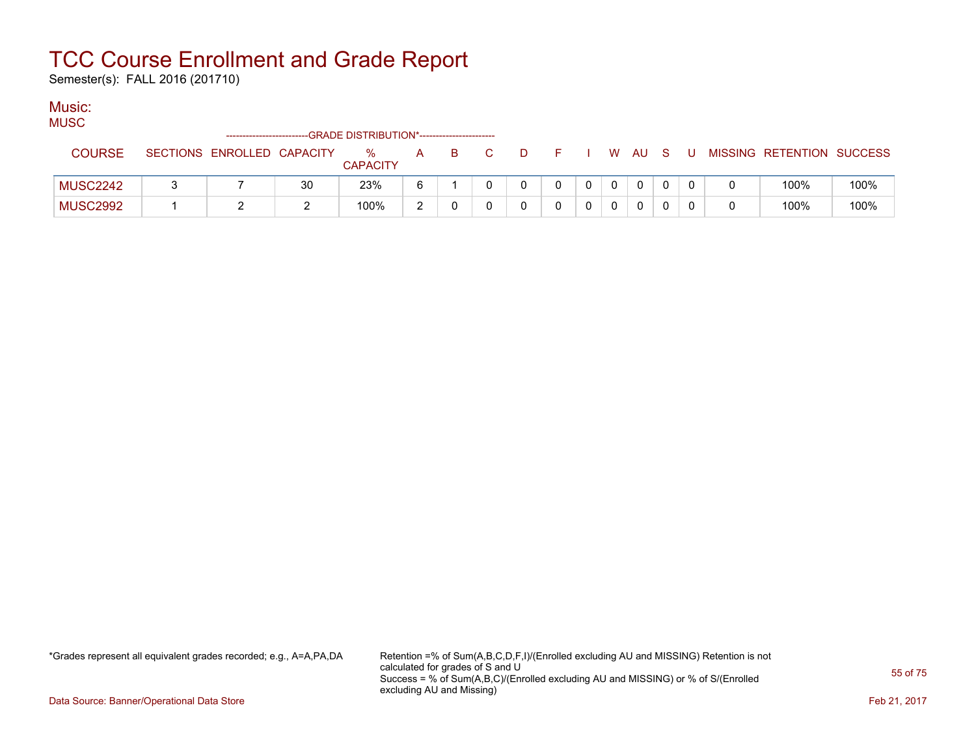Semester(s): FALL 2016 (201710)

### Music:

**MUSC** 

| -----           |                            |          | -GRADE DISTRIBUTION*----------------------- |            |    |  |  |   |              |     |   |                           |      |
|-----------------|----------------------------|----------|---------------------------------------------|------------|----|--|--|---|--------------|-----|---|---------------------------|------|
| COURSE          | SECTIONS ENROLLED CAPACITY |          | %<br><b>CAPACITY</b>                        | A          | B. |  |  | W | AU.          | - S | U | MISSING RETENTION SUCCESS |      |
| <b>MUSC2242</b> |                            | 30       | 23%                                         |            |    |  |  |   | $\mathbf{0}$ |     |   | 100%                      | 100% |
| <b>MUSC2992</b> |                            | <u>_</u> | 100%                                        | $\sqrt{2}$ |    |  |  |   |              |     |   | 100%                      | 100% |

\*Grades represent all equivalent grades recorded; e.g., A=A,PA,DA Retention =% of Sum(A,B,C,D,F,I)/(Enrolled excluding AU and MISSING) Retention is not calculated for grades of S and U Success = % of Sum(A,B,C)/(Enrolled excluding AU and MISSING) or % of S/(Enrolled excluding AU and Missing)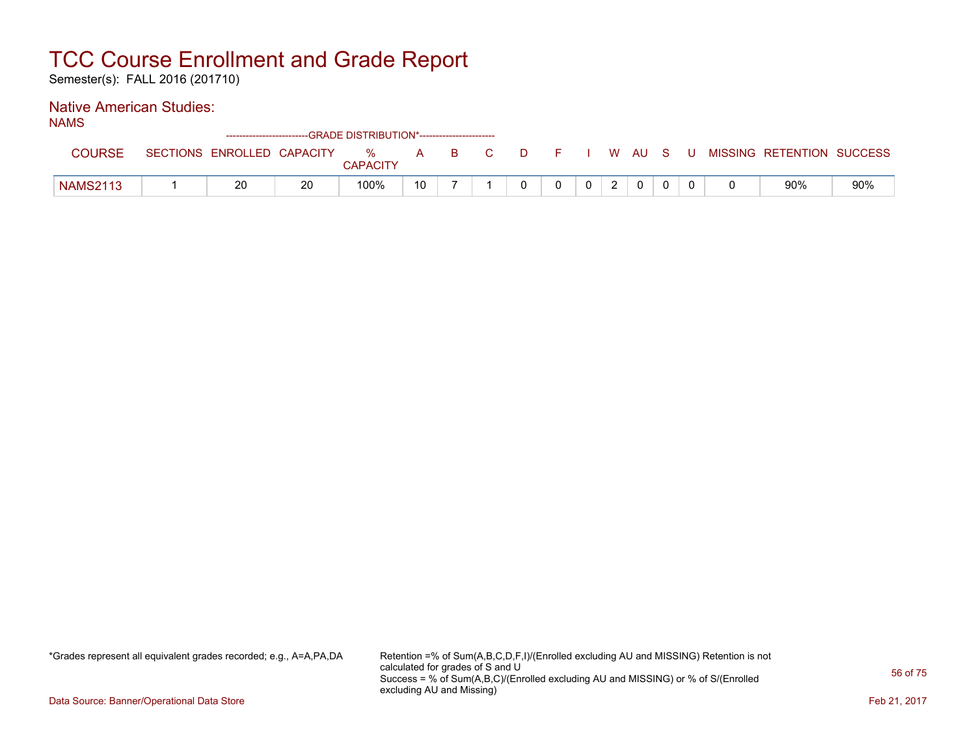Semester(s): FALL 2016 (201710)

### Native American Studies:

| AN.<br>м. |  |
|-----------|--|
|-----------|--|

|                 |                            | ------------------------GRADE DISTRIBUTION*----------------------- |                      |    |          |    |  |      |   |  |                           |     |
|-----------------|----------------------------|--------------------------------------------------------------------|----------------------|----|----------|----|--|------|---|--|---------------------------|-----|
| COURSE          | SECTIONS ENROLLED CAPACITY |                                                                    | %<br><b>CAPACITY</b> | A  | <b>B</b> | DF |  | W AU | S |  | MISSING RETENTION SUCCESS |     |
| <b>NAMS2113</b> | 20                         | 20                                                                 | 100%                 | 10 |          |    |  |      |   |  | 90%                       | 90% |

\*Grades represent all equivalent grades recorded; e.g., A=A,PA,DA Retention =% of Sum(A,B,C,D,F,I)/(Enrolled excluding AU and MISSING) Retention is not calculated for grades of S and U Success = % of Sum(A,B,C)/(Enrolled excluding AU and MISSING) or % of S/(Enrolled excluding AU and Missing)

Data Source: Banner/Operational Data Store Feb 21, 2017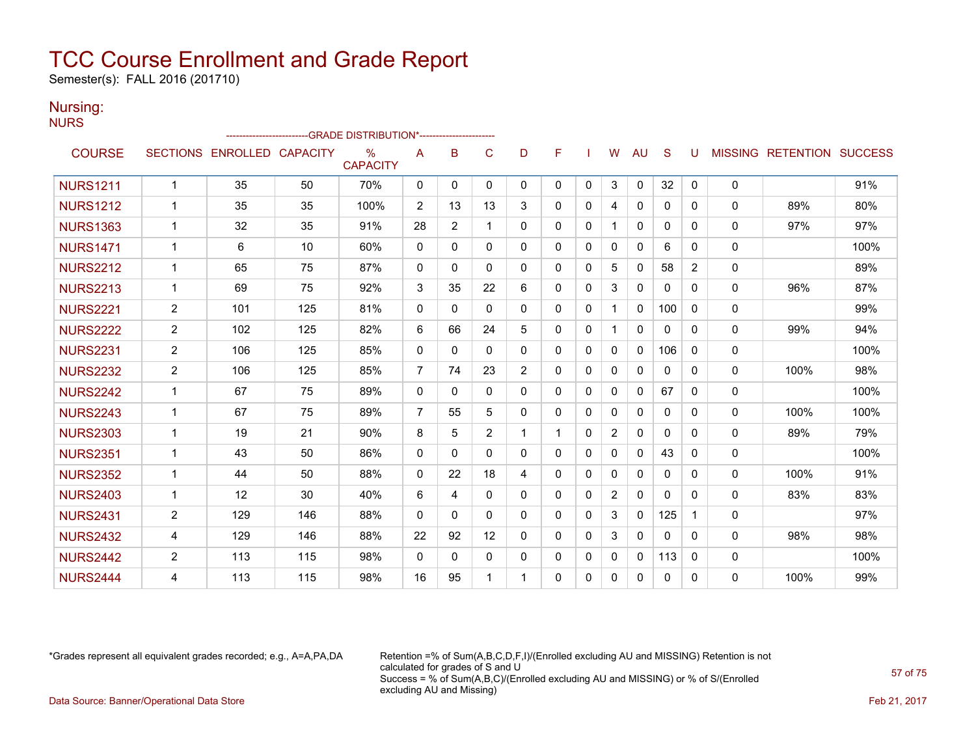Semester(s): FALL 2016 (201710)

#### Nursing: **NURS**

|                 |                |                            | ------------------------GRADE                DISTRIBUTION*---------------------- |                         |                |              |                |              |              |              |             |              |              |                |              |                                  |      |
|-----------------|----------------|----------------------------|----------------------------------------------------------------------------------|-------------------------|----------------|--------------|----------------|--------------|--------------|--------------|-------------|--------------|--------------|----------------|--------------|----------------------------------|------|
| <b>COURSE</b>   |                | SECTIONS ENROLLED CAPACITY |                                                                                  | $\%$<br><b>CAPACITY</b> | A              | B            | C              | D            | F            |              | W           | <b>AU</b>    | S            | U              |              | <b>MISSING RETENTION SUCCESS</b> |      |
| <b>NURS1211</b> | $\mathbf 1$    | 35                         | 50                                                                               | 70%                     | 0              | $\mathbf{0}$ | $\Omega$       | $\mathbf{0}$ | $\mathbf{0}$ | 0            | 3           | $\mathbf 0$  | 32           | 0              | 0            |                                  | 91%  |
| <b>NURS1212</b> | 1              | 35                         | 35                                                                               | 100%                    | 2              | 13           | 13             | 3            | $\mathbf{0}$ | 0            | 4           | $\Omega$     | 0            | 0              | $\mathbf{0}$ | 89%                              | 80%  |
| <b>NURS1363</b> | $\mathbf 1$    | 32                         | 35                                                                               | 91%                     | 28             | 2            | $\mathbf 1$    | $\Omega$     | $\mathbf{0}$ | 0            |             | $\mathbf{0}$ | $\mathbf{0}$ | 0              | 0            | 97%                              | 97%  |
| <b>NURS1471</b> | $\mathbf 1$    | 6                          | 10                                                                               | 60%                     | 0              | 0            | $\Omega$       | $\Omega$     | $\Omega$     | $\Omega$     | $\mathbf 0$ | $\mathbf{0}$ | 6            | 0              | 0            |                                  | 100% |
| <b>NURS2212</b> | $\mathbf 1$    | 65                         | 75                                                                               | 87%                     | 0              | 0            | $\Omega$       | $\Omega$     | $\mathbf{0}$ | 0            | 5           | $\mathbf{0}$ | 58           | $\overline{2}$ | 0            |                                  | 89%  |
| <b>NURS2213</b> | $\mathbf 1$    | 69                         | 75                                                                               | 92%                     | 3              | 35           | 22             | 6            | $\Omega$     | 0            | 3           | $\Omega$     | $\Omega$     | 0              | $\mathbf{0}$ | 96%                              | 87%  |
| <b>NURS2221</b> | $\overline{2}$ | 101                        | 125                                                                              | 81%                     | $\Omega$       | 0            | $\Omega$       | $\mathbf{0}$ | $\mathbf{0}$ | $\mathbf{0}$ |             | 0            | 100          | 0              | $\mathbf{0}$ |                                  | 99%  |
| <b>NURS2222</b> | $\overline{2}$ | 102                        | 125                                                                              | 82%                     | 6              | 66           | 24             | 5            | $\mathbf{0}$ | 0            |             | $\mathbf{0}$ | 0            | 0              | 0            | 99%                              | 94%  |
| <b>NURS2231</b> | $\overline{2}$ | 106                        | 125                                                                              | 85%                     | 0              | 0            | $\mathbf{0}$   | $\mathbf{0}$ | $\mathbf{0}$ | 0            | $\Omega$    | $\Omega$     | 106          | 0              | 0            |                                  | 100% |
| <b>NURS2232</b> | $\overline{2}$ | 106                        | 125                                                                              | 85%                     | 7              | 74           | 23             | 2            | $\mathbf{0}$ | 0            | $\mathbf 0$ | $\Omega$     | $\Omega$     | 0              | $\mathbf{0}$ | 100%                             | 98%  |
| <b>NURS2242</b> | $\mathbf 1$    | 67                         | 75                                                                               | 89%                     | 0              | 0            | $\Omega$       | 0            | 0            | 0            | 0           | $\mathbf{0}$ | 67           | 0              | $\mathbf{0}$ |                                  | 100% |
| <b>NURS2243</b> | $\mathbf 1$    | 67                         | 75                                                                               | 89%                     | $\overline{7}$ | 55           | 5              | 0            | $\mathbf{0}$ | 0            | $\mathbf 0$ | $\mathbf{0}$ | $\mathbf{0}$ | 0              | 0            | 100%                             | 100% |
| <b>NURS2303</b> | $\mathbf 1$    | 19                         | 21                                                                               | 90%                     | 8              | 5            | $\overline{2}$ | 1            | 1            | $\mathbf{0}$ | 2           | $\mathbf{0}$ | $\mathbf{0}$ | 0              | $\mathbf{0}$ | 89%                              | 79%  |
| <b>NURS2351</b> | $\mathbf 1$    | 43                         | 50                                                                               | 86%                     | 0              | $\Omega$     | $\Omega$       | $\Omega$     | $\mathbf{0}$ | $\mathbf{0}$ | $\Omega$    | $\mathbf{0}$ | 43           | 0              | 0            |                                  | 100% |
| <b>NURS2352</b> | $\mathbf 1$    | 44                         | 50                                                                               | 88%                     | 0              | 22           | 18             | 4            | $\Omega$     | 0            | $\Omega$    | 0            | 0            | 0              | $\mathbf{0}$ | 100%                             | 91%  |
| <b>NURS2403</b> | 1              | 12                         | 30                                                                               | 40%                     | 6              | 4            | $\Omega$       | $\mathbf{0}$ | 0            | $\mathbf{0}$ | 2           | 0            | 0            | 0              | $\mathbf{0}$ | 83%                              | 83%  |
| <b>NURS2431</b> | $\overline{2}$ | 129                        | 146                                                                              | 88%                     | $\Omega$       | $\Omega$     | $\Omega$       | $\Omega$     | $\mathbf{0}$ | $\mathbf{0}$ | 3           | $\Omega$     | 125          | 1              | 0            |                                  | 97%  |
| <b>NURS2432</b> | 4              | 129                        | 146                                                                              | 88%                     | 22             | 92           | 12             | $\Omega$     | $\Omega$     | $\Omega$     | 3           | $\mathbf{0}$ | $\mathbf{0}$ | 0              | 0            | 98%                              | 98%  |
| <b>NURS2442</b> | $\overline{2}$ | 113                        | 115                                                                              | 98%                     | 0              | $\Omega$     | $\mathbf{0}$   | $\Omega$     | $\mathbf{0}$ | 0            | $\mathbf 0$ | $\Omega$     | 113          | 0              | 0            |                                  | 100% |
| <b>NURS2444</b> | 4              | 113                        | 115                                                                              | 98%                     | 16             | 95           | 1              | 1            | $\mathbf{0}$ | 0            | $\mathbf 0$ | $\mathbf{0}$ | $\mathbf{0}$ | 0              | $\mathbf{0}$ | 100%                             | 99%  |

\*Grades represent all equivalent grades recorded; e.g., A=A,PA,DA Retention =% of Sum(A,B,C,D,F,I)/(Enrolled excluding AU and MISSING) Retention is not calculated for grades of S and U Success = % of Sum(A,B,C)/(Enrolled excluding AU and MISSING) or % of S/(Enrolled excluding AU and Missing) Data Source: Banner/Operational Data Store Feb 21, 2017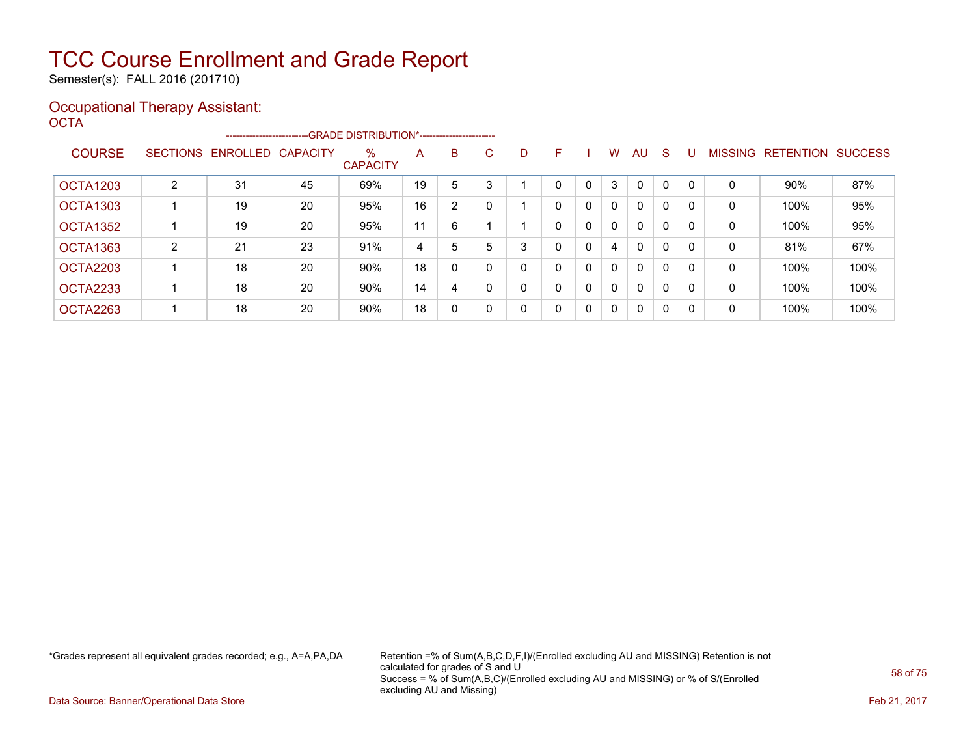Semester(s): FALL 2016 (201710)

#### Occupational Therapy Assistant: OCTA<sup>'</sup>

|                 |                 |          |                 | --------------------------GRADE DISTRIBUTION*----------------------- |    |              |          |   |   |   |              |              |   |          |                |                  |                |
|-----------------|-----------------|----------|-----------------|----------------------------------------------------------------------|----|--------------|----------|---|---|---|--------------|--------------|---|----------|----------------|------------------|----------------|
| <b>COURSE</b>   | <b>SECTIONS</b> | ENROLLED | <b>CAPACITY</b> | $\%$<br><b>CAPACITY</b>                                              | A  | B            | C.       | D | F |   | W            | AU           | S |          | <b>MISSING</b> | <b>RETENTION</b> | <b>SUCCESS</b> |
| <b>OCTA1203</b> | $\overline{2}$  | 31       | 45              | 69%                                                                  | 19 | 5            |          |   | 0 | 0 | 3            | $\mathbf{0}$ | 0 |          | 0              | 90%              | 87%            |
| <b>OCTA1303</b> |                 | 19       | 20              | 95%                                                                  | 16 | 2            |          |   | 0 | 0 | $\mathbf{0}$ | $\mathbf{0}$ | 0 |          | 0              | 100%             | 95%            |
| <b>OCTA1352</b> |                 | 19       | 20              | 95%                                                                  | 11 | 6            |          |   | 0 | 0 | 0            | $\mathbf{0}$ | 0 | $\Omega$ | 0              | 100%             | 95%            |
| OCTA1363        | $\overline{2}$  | 21       | 23              | 91%                                                                  | 4  | 5            | 5        | 3 | 0 | 0 | 4            | $\mathbf{0}$ | 0 | $\Omega$ | 0              | 81%              | 67%            |
| OCTA2203        |                 | 18       | 20              | 90%                                                                  | 18 | $\Omega$     |          |   | 0 | 0 | 0            | $\mathbf{0}$ | 0 | $\Omega$ | 0              | 100%             | 100%           |
| OCTA2233        |                 | 18       | 20              | 90%                                                                  | 14 | 4            |          |   | 0 | 0 | $\Omega$     | $\mathbf{0}$ | 0 | $\Omega$ | $\mathbf 0$    | 100%             | 100%           |
| OCTA2263        |                 | 18       | 20              | 90%                                                                  | 18 | $\mathbf{0}$ | $\Omega$ | 0 | 0 | 0 | $\mathbf{0}$ | $\mathbf{0}$ | 0 | $\Omega$ | 0              | 100%             | 100%           |

\*Grades represent all equivalent grades recorded; e.g., A=A,PA,DA Retention =% of Sum(A,B,C,D,F,I)/(Enrolled excluding AU and MISSING) Retention is not calculated for grades of S and U Success = % of Sum(A,B,C)/(Enrolled excluding AU and MISSING) or % of S/(Enrolled excluding AU and Missing)

Data Source: Banner/Operational Data Store Feb 21, 2017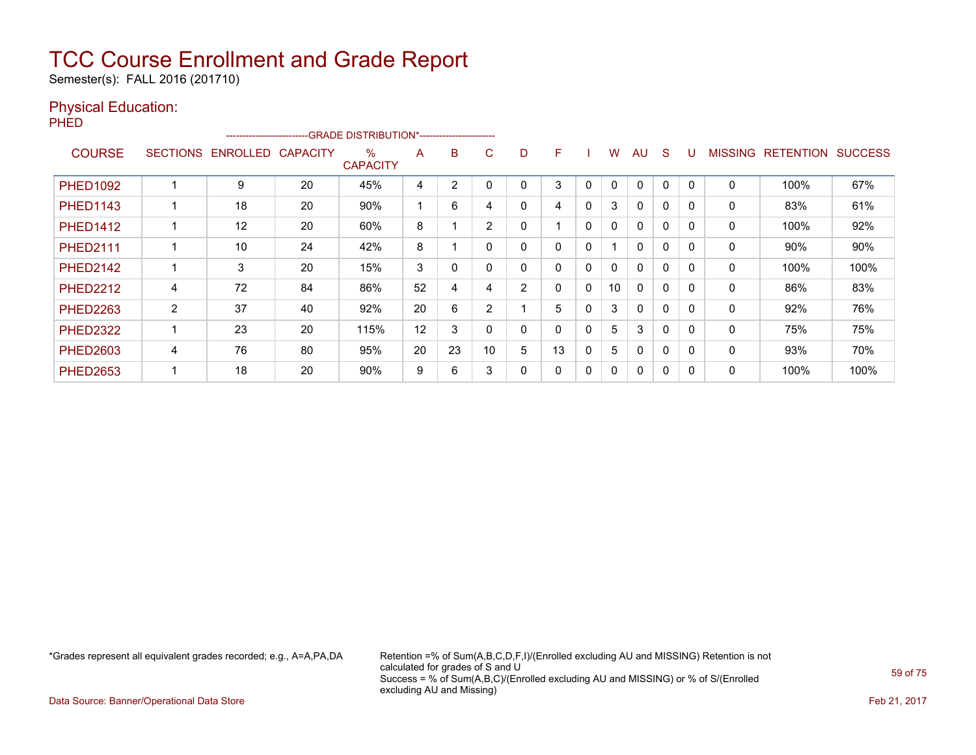Semester(s): FALL 2016 (201710)

### Physical Education:

PHED

|                 |                 | ------------------------ |                 | -GRADE DISTRIBUTION*----------------------- |    |    |                |                |    |              |              |              |              |          |                |                  |                |
|-----------------|-----------------|--------------------------|-----------------|---------------------------------------------|----|----|----------------|----------------|----|--------------|--------------|--------------|--------------|----------|----------------|------------------|----------------|
| <b>COURSE</b>   | <b>SECTIONS</b> | <b>ENROLLED</b>          | <b>CAPACITY</b> | $\%$<br><b>CAPACITY</b>                     | A  | B  | C.             | D              | F  |              | W            | AU           | <sub>S</sub> |          | <b>MISSING</b> | <b>RETENTION</b> | <b>SUCCESS</b> |
| <b>PHED1092</b> |                 | 9                        | 20              | 45%                                         | 4  | 2  |                |                | 3  | $\Omega$     | $\mathbf{0}$ | $\Omega$     | 0            |          | 0              | 100%             | 67%            |
| <b>PHED1143</b> |                 | 18                       | 20              | 90%                                         |    | 6  | 4              | 0              | 4  | 0            | 3            | $\mathbf{0}$ | $\Omega$     | $\Omega$ | 0              | 83%              | 61%            |
| <b>PHED1412</b> |                 | 12                       | 20              | 60%                                         | 8  |    | 2              | 0              |    | 0            | $\mathbf{0}$ | $\mathbf{0}$ | $\Omega$     |          | 0              | 100%             | 92%            |
| <b>PHED2111</b> |                 | 10                       | 24              | 42%                                         | 8  |    |                | 0              | 0  | $\mathbf{0}$ |              | $\mathbf{0}$ | $\Omega$     |          | 0              | $90\%$           | 90%            |
| <b>PHED2142</b> |                 | 3                        | 20              | 15%                                         | 3  | 0  |                | 0              | 0  | 0            | 0            | $\mathbf{0}$ | $\Omega$     | $\Omega$ | 0              | 100%             | 100%           |
| <b>PHED2212</b> | 4               | 72                       | 84              | 86%                                         | 52 | 4  | 4              | $\overline{2}$ | 0  | $\mathbf{0}$ | 10           | $\Omega$     | $\Omega$     |          | $\Omega$       | 86%              | 83%            |
| <b>PHED2263</b> | 2               | 37                       | 40              | 92%                                         | 20 | 6  | $\overline{2}$ |                | 5  | 0            | 3            | $\Omega$     | $\Omega$     |          | 0              | 92%              | 76%            |
| <b>PHED2322</b> |                 | 23                       | 20              | 115%                                        | 12 | 3  |                | 0              | 0  | 0            | 5            | 3            | 0            | $\Omega$ | 0              | 75%              | 75%            |
| <b>PHED2603</b> | 4               | 76                       | 80              | 95%                                         | 20 | 23 | 10             | 5              | 13 | 0            | 5            | $\mathbf{0}$ | 0            |          | 0              | 93%              | 70%            |
| <b>PHED2653</b> |                 | 18                       | 20              | 90%                                         | 9  | 6  | 3              | 0              | 0  | 0            | 0            | $\mathbf{0}$ | 0            | $\Omega$ | 0              | 100%             | 100%           |

\*Grades represent all equivalent grades recorded; e.g., A=A,PA,DA Retention =% of Sum(A,B,C,D,F,I)/(Enrolled excluding AU and MISSING) Retention is not calculated for grades of S and U Success = % of Sum(A,B,C)/(Enrolled excluding AU and MISSING) or % of S/(Enrolled excluding AU and Missing)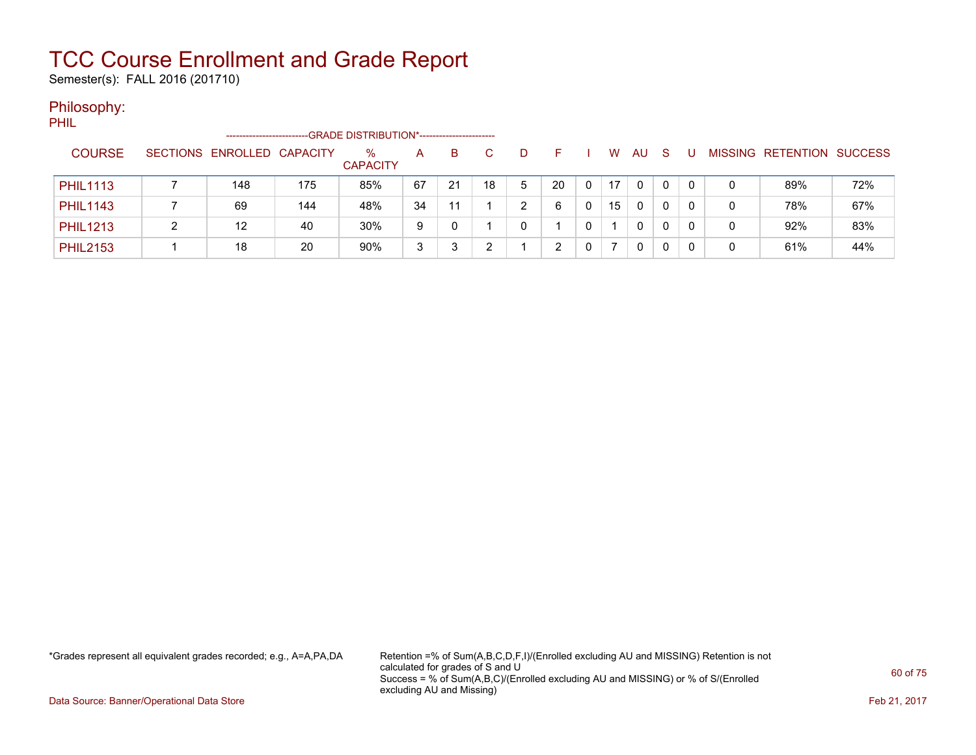Semester(s): FALL 2016 (201710)

### Philosophy:

PHIL

|                 | ----------------------     |     | -GRADE DISTRIBUTION*---------------------- |    |    |    |   |    |   |    |          |   |     |   |                   |                |
|-----------------|----------------------------|-----|--------------------------------------------|----|----|----|---|----|---|----|----------|---|-----|---|-------------------|----------------|
| <b>COURSE</b>   | SECTIONS ENROLLED CAPACITY |     | %<br><b>CAPACITY</b>                       | A  | B. |    | D |    |   | W  | AU.      | S |     |   | MISSING RETENTION | <b>SUCCESS</b> |
| <b>PHIL1113</b> | 148                        | 175 | 85%                                        | 67 | 21 | 18 | 5 | 20 | 0 | 17 | $\Omega$ | 0 | 0   |   | 89%               | 72%            |
| <b>PHIL1143</b> | 69                         | 144 | 48%                                        | 34 | 11 |    | ົ | 6  |   | 15 | 0        | 0 | - 0 |   | 78%               | 67%            |
| <b>PHIL1213</b> | 12                         | 40  | 30%                                        | 9  | 0  |    |   |    |   |    | 0        | 0 |     |   | 92%               | 83%            |
| <b>PHIL2153</b> | 18                         | 20  | 90%                                        | 3  |    |    |   | ົ  |   |    | 0        |   |     | 0 | 61%               | 44%            |

\*Grades represent all equivalent grades recorded; e.g., A=A,PA,DA Retention =% of Sum(A,B,C,D,F,I)/(Enrolled excluding AU and MISSING) Retention is not calculated for grades of S and U Success = % of Sum(A,B,C)/(Enrolled excluding AU and MISSING) or % of S/(Enrolled excluding AU and Missing)

Data Source: Banner/Operational Data Store Feb 21, 2017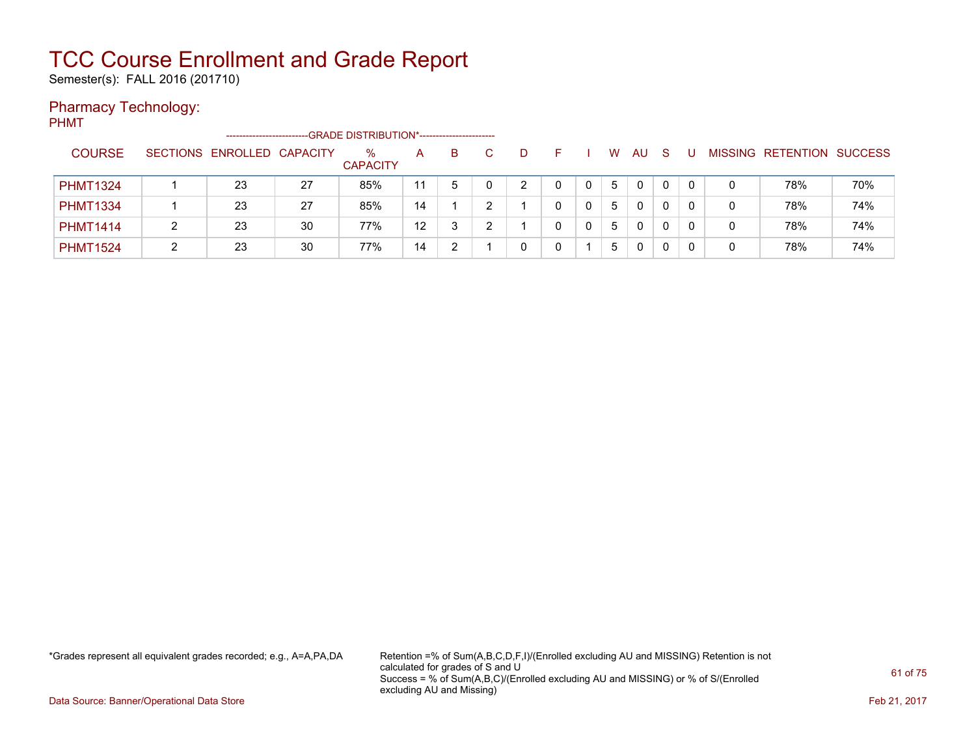Semester(s): FALL 2016 (201710)

### Pharmacy Technology:

PHMT

|                 | ----------------------     |    | -GRADE DISTRIBUTION*---------------------- |    |    |   |  |   |     |              |         |                  |                |
|-----------------|----------------------------|----|--------------------------------------------|----|----|---|--|---|-----|--------------|---------|------------------|----------------|
| <b>COURSE</b>   | SECTIONS ENROLLED CAPACITY |    | $\%$<br><b>CAPACITY</b>                    | Α  | B. | D |  | W | AU. | <sub>S</sub> | MISSING | <b>RETENTION</b> | <b>SUCCESS</b> |
| <b>PHMT1324</b> | 23                         | 27 | 85%                                        | 11 | 5  | ົ |  | 5 | 0   | 0            |         | 78%              | 70%            |
| <b>PHMT1334</b> | 23                         | 27 | 85%                                        | 14 |    |   |  | 5 | 0   | 0            |         | 78%              | 74%            |
| <b>PHMT1414</b> | 23                         | 30 | 77%                                        | 12 | ົ  |   |  | 5 | 0   | 0            |         | 78%              | 74%            |
| <b>PHMT1524</b> | 23                         | 30 | 77%                                        | 14 |    |   |  | 5 | 0   |              |         | 78%              | 74%            |

\*Grades represent all equivalent grades recorded; e.g., A=A,PA,DA Retention =% of Sum(A,B,C,D,F,I)/(Enrolled excluding AU and MISSING) Retention is not calculated for grades of S and U Success = % of Sum(A,B,C)/(Enrolled excluding AU and MISSING) or % of S/(Enrolled excluding AU and Missing)

Data Source: Banner/Operational Data Store Feb 21, 2017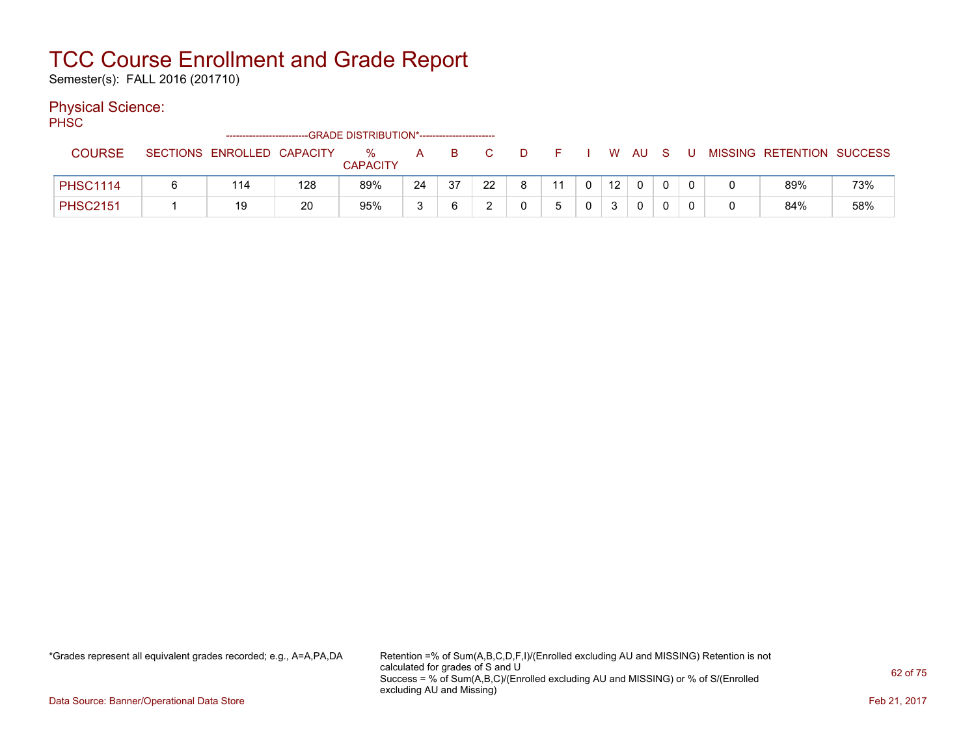Semester(s): FALL 2016 (201710)

### Physical Science:

PH<sub>SC</sub>

|                 | -------------------------  |     | -GRADE DISTRIBUTION*----------------------- |    |     |    |    |    |                 |    |     |   |                           |     |
|-----------------|----------------------------|-----|---------------------------------------------|----|-----|----|----|----|-----------------|----|-----|---|---------------------------|-----|
| <b>COURSE</b>   | SECTIONS ENROLLED CAPACITY |     | %<br><b>CAPACITY</b>                        | A  | B.  |    |    |    | W               | AU | - S | U | MISSING RETENTION SUCCESS |     |
| <b>PHSC1114</b> | 114                        | 128 | 89%                                         | 24 | -37 | 22 | Q. | 11 | 12 <sup>°</sup> | 0  |     |   | 89%                       | 73% |
| <b>PHSC2151</b> | 19                         | 20  | 95%                                         |    |     |    |    |    |                 | 0  |     |   | 84%                       | 58% |

\*Grades represent all equivalent grades recorded; e.g., A=A,PA,DA Retention =% of Sum(A,B,C,D,F,I)/(Enrolled excluding AU and MISSING) Retention is not calculated for grades of S and U Success = % of Sum(A,B,C)/(Enrolled excluding AU and MISSING) or % of S/(Enrolled excluding AU and Missing)

Data Source: Banner/Operational Data Store Feb 21, 2017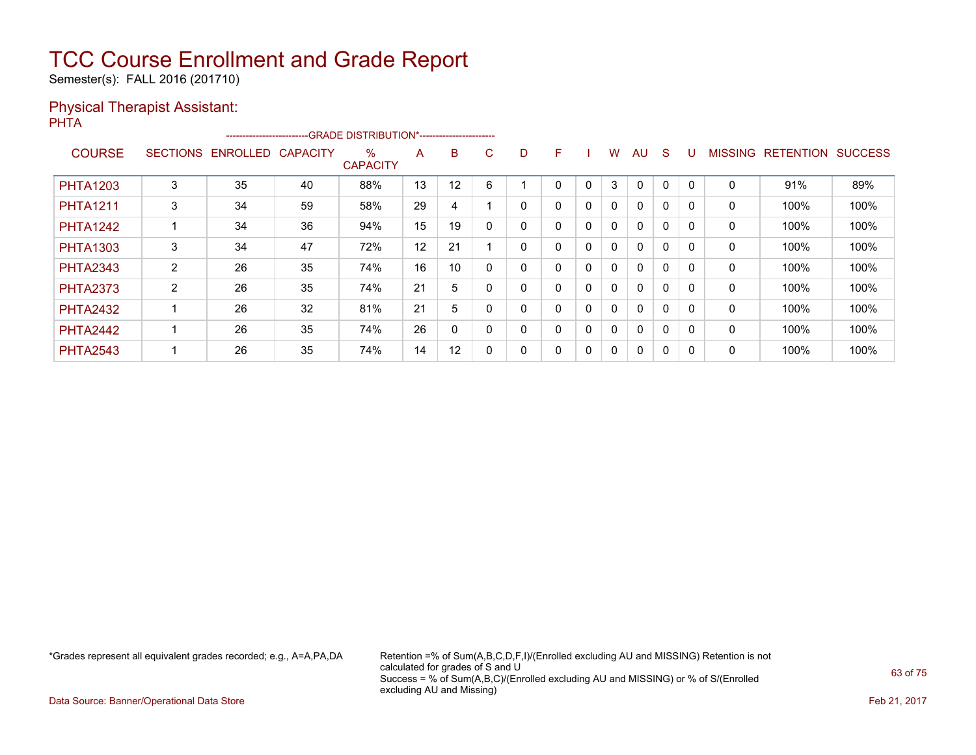Semester(s): FALL 2016 (201710)

### Physical Therapist Assistant:

PHTA -------------------------GRADE DISTRIBUTION\*----------------------- COURSE SECTIONS ENROLLED CAPACITY %

| <b>COURSE</b>   | <b>SECTIONS</b> | ENROLLED CAPACITY |    | $\%$<br><b>CAPACITY</b> | A  | B  | С           | D |   |          | W | AU           | S            |   | <b>MISSING</b> | <b>RETENTION</b> | <b>SUCCESS</b> |
|-----------------|-----------------|-------------------|----|-------------------------|----|----|-------------|---|---|----------|---|--------------|--------------|---|----------------|------------------|----------------|
| <b>PHTA1203</b> | 3               | 35                | 40 | 88%                     | 13 | 12 | 6           |   |   | 0        | 3 | $\Omega$     | $\mathbf{0}$ | 0 | 0              | 91%              | 89%            |
| <b>PHTA1211</b> | 3               | 34                | 59 | 58%                     | 29 | 4  |             | 0 | 0 | 0        |   | $\mathbf{0}$ | 0            | 0 | 0              | 100%             | 100%           |
| <b>PHTA1242</b> |                 | 34                | 36 | 94%                     | 15 | 19 | 0           | 0 |   | 0        |   | $\mathbf{0}$ | 0            | 0 | 0              | 100%             | 100%           |
| <b>PHTA1303</b> | 3               | 34                | 47 | 72%                     | 12 | 21 |             | 0 |   | 0        |   | $\mathbf{0}$ | $\mathbf{0}$ | 0 | 0              | 100%             | 100%           |
| <b>PHTA2343</b> | 2               | 26                | 35 | 74%                     | 16 | 10 | 0           | 0 |   | 0        |   | 0            | 0            | 0 | 0              | 100%             | 100%           |
| <b>PHTA2373</b> | 2               | 26                | 35 | 74%                     | 21 | 5  | 0           | 0 |   | 0        |   | $\mathbf{0}$ | $\Omega$     | 0 | 0              | 100%             | 100%           |
| <b>PHTA2432</b> |                 | 26                | 32 | 81%                     | 21 | 5  | 0           | 0 |   | 0        |   | $\mathbf{0}$ | $\Omega$     | 0 | 0              | 100%             | 100%           |
| <b>PHTA2442</b> |                 | 26                | 35 | 74%                     | 26 | 0  | $\mathbf 0$ | 0 |   | $\Omega$ |   | $\mathbf{0}$ | 0            | 0 | 0              | 100%             | 100%           |
| <b>PHTA2543</b> | -1              | 26                | 35 | 74%                     | 14 | 12 | 0           | 0 |   | 0        |   | 0            | 0            | 0 | 0              | 100%             | 100%           |

\*Grades represent all equivalent grades recorded; e.g., A=A,PA,DA Retention =% of Sum(A,B,C,D,F,I)/(Enrolled excluding AU and MISSING) Retention is not calculated for grades of S and U Success = % of Sum(A,B,C)/(Enrolled excluding AU and MISSING) or % of S/(Enrolled excluding AU and Missing)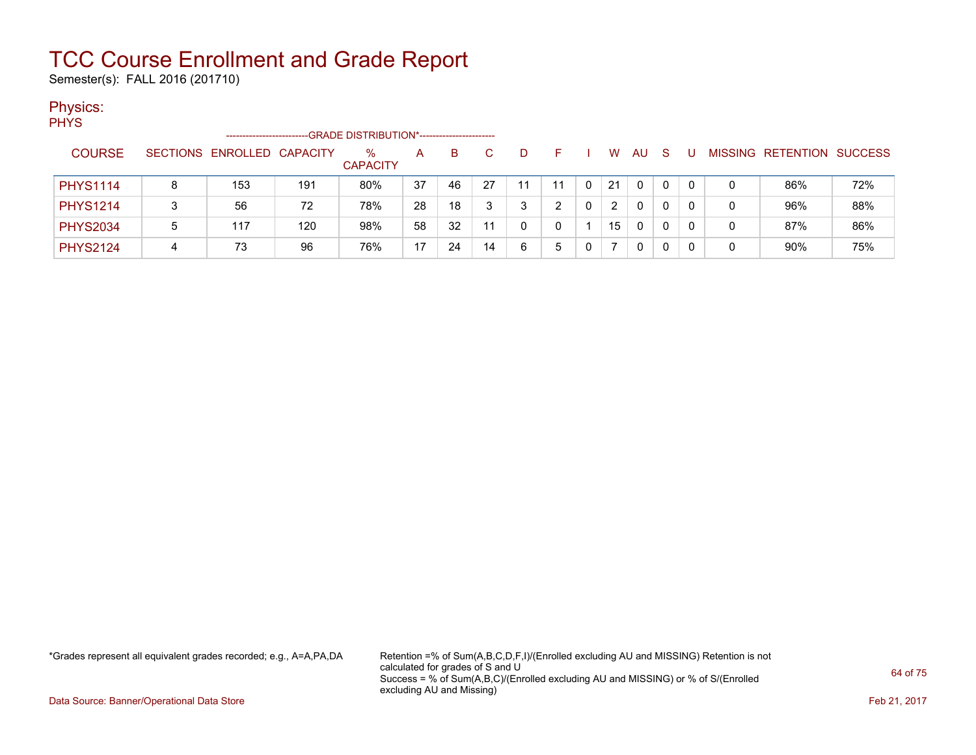Semester(s): FALL 2016 (201710)

### Physics:

PHYS

|                 |   | ----------------------     |     | -GRADE DISTRIBUTION*----------------------- |    |    |    |    |    |    |          |              |   |                   |                |
|-----------------|---|----------------------------|-----|---------------------------------------------|----|----|----|----|----|----|----------|--------------|---|-------------------|----------------|
| <b>COURSE</b>   |   | SECTIONS ENROLLED CAPACITY |     | $\%$<br><b>CAPACITY</b>                     | A  | B. |    | D. |    | w  | AU       | <sub>S</sub> |   | MISSING RETENTION | <b>SUCCESS</b> |
| <b>PHYS1114</b> | 8 | 153                        | 191 | 80%                                         | 37 | 46 | 27 | 11 | 11 | 21 | $\Omega$ | 0            | 0 | 86%               | 72%            |
| <b>PHYS1214</b> |   | 56                         | 72  | 78%                                         | 28 | 18 |    | 2  | ົ  | 2  | 0        |              | 0 | 96%               | 88%            |
| <b>PHYS2034</b> | 5 | 117                        | 120 | 98%                                         | 58 | 32 | 11 |    |    | 15 | 0        | 0            | 0 | 87%               | 86%            |
| <b>PHYS2124</b> |   | 73                         | 96  | 76%                                         | 17 | 24 | 14 | 6  | 5  |    | 0        |              |   | 90%               | 75%            |

\*Grades represent all equivalent grades recorded; e.g., A=A,PA,DA Retention =% of Sum(A,B,C,D,F,I)/(Enrolled excluding AU and MISSING) Retention is not calculated for grades of S and U Success = % of Sum(A,B,C)/(Enrolled excluding AU and MISSING) or % of S/(Enrolled excluding AU and Missing)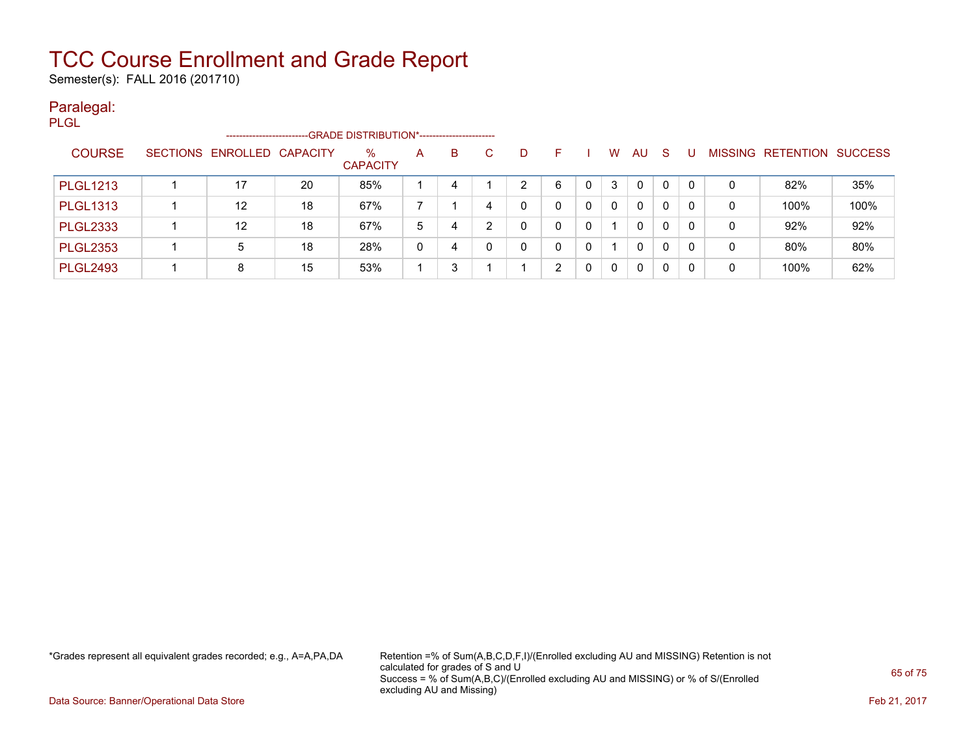Semester(s): FALL 2016 (201710)

### Paralegal:

| <b>PLGL</b>     |                            |    |                                              |   |   |   |   |   |   |          |              |              |          |   |                                  |      |
|-----------------|----------------------------|----|----------------------------------------------|---|---|---|---|---|---|----------|--------------|--------------|----------|---|----------------------------------|------|
|                 | -------------------        |    | -GRADE DISTRIBUTION*------------------------ |   |   |   |   |   |   |          |              |              |          |   |                                  |      |
| <b>COURSE</b>   | SECTIONS ENROLLED CAPACITY |    | $\%$<br><b>CAPACITY</b>                      | A | B | C | D | F |   | W        | <b>AU</b>    | <sub>S</sub> | U        |   | <b>MISSING RETENTION SUCCESS</b> |      |
| <b>PLGL1213</b> | 17                         | 20 | 85%                                          |   | 4 |   | 2 | 6 | 0 | 3        | 0            | $\mathbf{0}$ | $\Omega$ | 0 | 82%                              | 35%  |
| <b>PLGL1313</b> | $12 \overline{ }$          | 18 | 67%                                          |   |   | 4 | 0 | 0 | 0 | $\Omega$ | $\mathbf{0}$ | 0            | 0        | 0 | 100%                             | 100% |
| <b>PLGL2333</b> | 12                         | 18 | 67%                                          | 5 | 4 | ົ | 0 | 0 | 0 |          | 0            | 0            | 0        | 0 | 92%                              | 92%  |
| <b>PLGL2353</b> | 5                          | 18 | 28%                                          | 0 | 4 |   | 0 | 0 | 0 |          | $\mathbf{0}$ | 0            | $\Omega$ | 0 | 80%                              | 80%  |
| <b>PLGL2493</b> | 8                          | 15 | 53%                                          |   | 3 |   |   | 2 | 0 | $\Omega$ | 0            | 0            | 0        | 0 | 100%                             | 62%  |

\*Grades represent all equivalent grades recorded; e.g., A=A,PA,DA Retention =% of Sum(A,B,C,D,F,I)/(Enrolled excluding AU and MISSING) Retention is not calculated for grades of S and U Success = % of Sum(A,B,C)/(Enrolled excluding AU and MISSING) or % of S/(Enrolled excluding AU and Missing)

Data Source: Banner/Operational Data Store Feb 21, 2017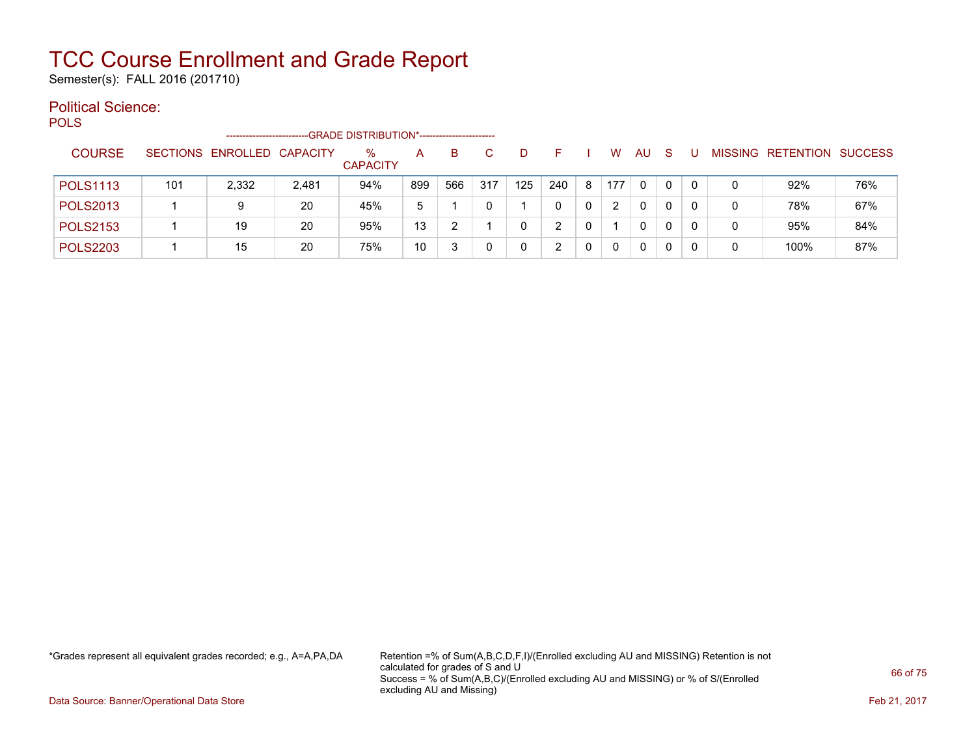Semester(s): FALL 2016 (201710)

### Political Science:

POLS -------------------------GRADE DISTRIBUTION\*----------------------- COURSE SECTIONS ENROLLED CAPACITY % **CAPACITY** A B C D F I W AU S U MISSING RETENTION SUCCESS POLS1113 | 101 | 2,332 | 2,481 | 94% |899 566 |317 |125 |240 |8 |177 |0 |0 |0 | 0 | 92% | 76% POLS2013 | 1 | 9 | 20 | 45% | 5 | 1 | 0 | 1 | 0 | 0 | 2 | 0 | 0 | 0 | 0 | 78% | 67% POLS2153 | 1 | 19 | 20 | 95% |13 | 2 | 1 | 0 | 2 | 0 | 1 | 0 | 0 | 0 | 0 | 95% | 84% POLS2203 | 1 | 15 | 20 | 75% | 10 | 3 | 0 | 0 | 2 | 0 | 0 | 0 | 0 | 0 | 0 | 100% | 87%

\*Grades represent all equivalent grades recorded; e.g., A=A,PA,DA Retention =% of Sum(A,B,C,D,F,I)/(Enrolled excluding AU and MISSING) Retention is not calculated for grades of S and U Success = % of Sum(A,B,C)/(Enrolled excluding AU and MISSING) or % of S/(Enrolled excluding AU and Missing)

Data Source: Banner/Operational Data Store **Feb 21, 2017 Contract Store Feb 21, 2017**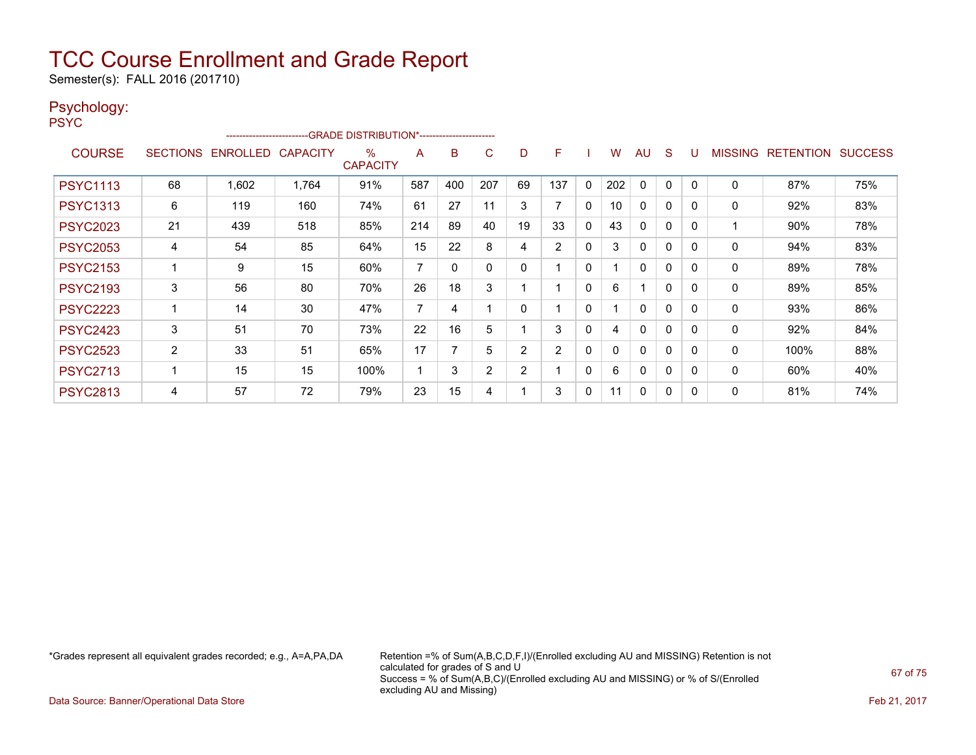Semester(s): FALL 2016 (201710)

### Psychology:

PSYC

|                 |    |                            | ------------------------GRADE                DISTRIBUTION*---------------------- |                      |                |     |             |                |                |              |     |              |              |          |                |           |                |
|-----------------|----|----------------------------|----------------------------------------------------------------------------------|----------------------|----------------|-----|-------------|----------------|----------------|--------------|-----|--------------|--------------|----------|----------------|-----------|----------------|
| <b>COURSE</b>   |    | SECTIONS ENROLLED CAPACITY |                                                                                  | %<br><b>CAPACITY</b> | A              | B   | C           | D              | F              |              | W   | <b>AU</b>    | <sub>S</sub> |          | <b>MISSING</b> | RETENTION | <b>SUCCESS</b> |
| <b>PSYC1113</b> | 68 | 1,602                      | 1,764                                                                            | 91%                  | 587            | 400 | 207         | 69             | 137            | 0            | 202 | 0            | 0            |          | 0              | 87%       | 75%            |
| <b>PSYC1313</b> | 6  | 119                        | 160                                                                              | 74%                  | 61             | 27  | 11          | 3              |                | 0            | 10  | $\mathbf{0}$ | 0            | $\Omega$ | 0              | 92%       | 83%            |
| <b>PSYC2023</b> | 21 | 439                        | 518                                                                              | 85%                  | 214            | 89  | 40          | 19             | 33             | $\mathbf{0}$ | 43  | $\mathbf{0}$ | $\mathbf 0$  | $\Omega$ |                | 90%       | 78%            |
| <b>PSYC2053</b> | 4  | 54                         | 85                                                                               | 64%                  | 15             | 22  | 8           | 4              | $\overline{2}$ | $\mathbf{0}$ | 3   | $\mathbf{0}$ | 0            | $\Omega$ | 0              | 94%       | 83%            |
| <b>PSYC2153</b> |    | 9                          | 15                                                                               | 60%                  | 7              | 0   | $\mathbf 0$ | 0              |                | 0            |     | $\mathbf{0}$ | 0            | 0        | 0              | 89%       | 78%            |
| <b>PSYC2193</b> | 3  | 56                         | 80                                                                               | 70%                  | 26             | 18  | 3           |                |                | 0            | 6   | 1            | 0            | $\Omega$ | 0              | 89%       | 85%            |
| <b>PSYC2223</b> |    | 14                         | 30                                                                               | 47%                  | $\overline{7}$ | 4   |             | 0              |                | 0            |     | $\mathbf{0}$ | 0            | $\Omega$ | 0              | 93%       | 86%            |
| <b>PSYC2423</b> | 3  | 51                         | 70                                                                               | 73%                  | 22             | 16  | 5           |                | 3              | 0            | 4   | $\mathbf{0}$ | 0            |          | $\mathbf 0$    | 92%       | 84%            |
| <b>PSYC2523</b> | 2  | 33                         | 51                                                                               | 65%                  | 17             |     | 5           | 2              | 2              | 0            |     | $\mathbf{0}$ | 0            | $\Omega$ | $\mathbf 0$    | 100%      | 88%            |
| <b>PSYC2713</b> |    | 15                         | 15                                                                               | 100%                 | 1              | 3   | 2           | $\overline{2}$ |                | $\mathbf{0}$ | 6   | $\mathbf{0}$ | $\mathbf 0$  | $\Omega$ | 0              | 60%       | 40%            |
| <b>PSYC2813</b> | 4  | 57                         | 72                                                                               | 79%                  | 23             | 15  | 4           |                | 3              | 0            | 11  | $\mathbf{0}$ | 0            | $\Omega$ | $\mathbf{0}$   | 81%       | 74%            |

\*Grades represent all equivalent grades recorded; e.g., A=A,PA,DA Retention =% of Sum(A,B,C,D,F,I)/(Enrolled excluding AU and MISSING) Retention is not calculated for grades of S and U Success = % of Sum(A,B,C)/(Enrolled excluding AU and MISSING) or % of S/(Enrolled excluding AU and Missing)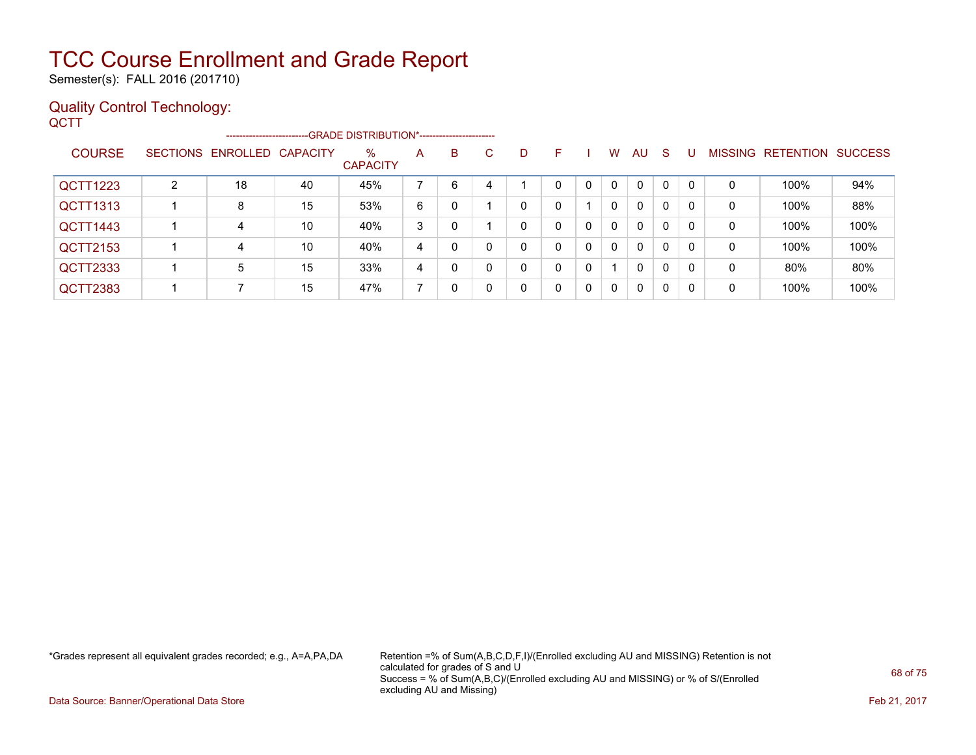Semester(s): FALL 2016 (201710)

### Quality Control Technology:

| QCTT            |   | ັ                          |    |                                                                    |   |              |   |   |              |                |              |              |              |              |              |                           |      |
|-----------------|---|----------------------------|----|--------------------------------------------------------------------|---|--------------|---|---|--------------|----------------|--------------|--------------|--------------|--------------|--------------|---------------------------|------|
|                 |   |                            |    | ------------------------GRADE DISTRIBUTION*----------------------- |   |              |   |   |              |                |              |              |              |              |              |                           |      |
| <b>COURSE</b>   |   | SECTIONS ENROLLED CAPACITY |    | $\%$<br><b>CAPACITY</b>                                            | A | B            | C | D | F.           |                | W            | AU           | S.           | U            |              | MISSING RETENTION SUCCESS |      |
| QCTT1223        | 2 | 18                         | 40 | 45%                                                                | 7 | 6            | 4 |   | $\Omega$     | $\mathbf{0}$   | $\mathbf{0}$ | $\Omega$     | $\Omega$     | $\Omega$     | $\mathbf{0}$ | 100%                      | 94%  |
| <b>QCTT1313</b> |   | 8                          | 15 | 53%                                                                | 6 | 0            |   | 0 | $\mathbf{0}$ | $\overline{1}$ | $\mathbf{0}$ | $\mathbf{0}$ | $\Omega$     | $\mathbf{0}$ | $\Omega$     | 100%                      | 88%  |
| QCTT1443        |   | 4                          | 10 | 40%                                                                | 3 | $\mathbf{0}$ |   | 0 | $\mathbf{0}$ | $\mathbf{0}$   | $\mathbf{0}$ | $\Omega$     | $\mathbf{0}$ | $\mathbf{0}$ | $\Omega$     | 100%                      | 100% |
| <b>QCTT2153</b> |   | 4                          | 10 | 40%                                                                | 4 | $\mathbf{0}$ | 0 | 0 | $\mathbf{0}$ | $\mathbf{0}$   | $\mathbf{0}$ | $\Omega$     | $\Omega$     | $\mathbf{0}$ | $\Omega$     | 100%                      | 100% |
| <b>QCTT2333</b> |   | 5                          | 15 | 33%                                                                | 4 | $\mathbf{0}$ | 0 | 0 | $\mathbf{0}$ | $\mathbf{0}$   |              | $\Omega$     | $\mathbf{0}$ | $\mathbf{0}$ | $\mathbf{0}$ | 80%                       | 80%  |
| <b>QCTT2383</b> |   | ⇁                          | 15 | 47%                                                                | 7 | 0            | 0 | 0 | 0            | $\mathbf{0}$   | 0            | 0            | $\mathbf{0}$ | $\mathbf{0}$ | 0            | 100%                      | 100% |
|                 |   |                            |    |                                                                    |   |              |   |   |              |                |              |              |              |              |              |                           |      |

\*Grades represent all equivalent grades recorded; e.g., A=A,PA,DA Retention =% of Sum(A,B,C,D,F,I)/(Enrolled excluding AU and MISSING) Retention is not calculated for grades of S and U Success = % of Sum(A,B,C)/(Enrolled excluding AU and MISSING) or % of S/(Enrolled excluding AU and Missing)

Data Source: Banner/Operational Data Store Feb 21, 2017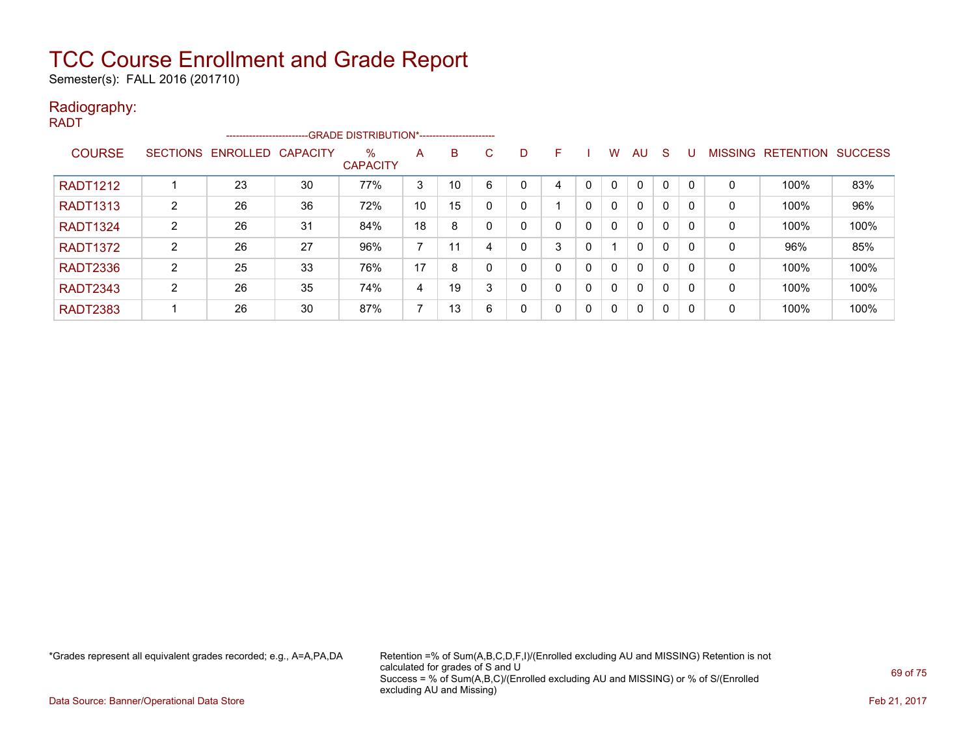Semester(s): FALL 2016 (201710)

#### Radiography: RADT

|                 |   | ------------------------ |                 | -- GRADE DISTRIBUTION*------------------------ |                |    |    |   |   |   |              |              |              |          |                |                  |                |
|-----------------|---|--------------------------|-----------------|------------------------------------------------|----------------|----|----|---|---|---|--------------|--------------|--------------|----------|----------------|------------------|----------------|
| <b>COURSE</b>   |   | SECTIONS ENROLLED        | <b>CAPACITY</b> | $\%$<br><b>CAPACITY</b>                        | A              | B  | C. | D | н |   | W            | AU           | <sub>S</sub> |          | <b>MISSING</b> | <b>RETENTION</b> | <b>SUCCESS</b> |
| <b>RADT1212</b> |   | 23                       | 30              | 77%                                            | 3              | 10 | 6  |   | 4 |   | $\mathbf{0}$ | $\mathbf{0}$ | 0            |          | 0              | 100%             | 83%            |
| <b>RADT1313</b> | 2 | 26                       | 36              | 72%                                            | 10             | 15 |    | 0 |   | 0 | 0            | $\mathbf{0}$ | 0            |          | 0              | 100%             | 96%            |
| <b>RADT1324</b> | 2 | 26                       | 31              | 84%                                            | 18             | 8  |    |   | 0 | 0 | $\mathbf{0}$ | $\mathbf{0}$ | $\mathbf{0}$ |          | 0              | 100%             | 100%           |
| <b>RADT1372</b> | 2 | 26                       | 27              | 96%                                            | $\overline{ }$ | 11 |    |   | 3 |   |              | $\mathbf{0}$ | $\Omega$     | $\Omega$ | 0              | 96%              | 85%            |
| <b>RADT2336</b> | 2 | 25                       | 33              | 76%                                            | 17             | 8  |    | 0 | 0 | 0 | $\mathbf{0}$ | $\mathbf{0}$ | $\Omega$     |          | 0              | 100%             | 100%           |
| <b>RADT2343</b> | 2 | 26                       | 35              | 74%                                            | 4              | 19 |    | 0 | 0 | 0 | $\mathbf{0}$ | $\mathbf{0}$ | $\Omega$     |          | 0              | 100%             | 100%           |
| <b>RADT2383</b> |   | 26                       | 30              | 87%                                            | $\overline{ }$ | 13 | 6  | 0 | 0 | 0 | $\Omega$     | $\mathbf{0}$ | 0            | - 0      | 0              | 100%             | 100%           |

\*Grades represent all equivalent grades recorded; e.g., A=A,PA,DA Retention =% of Sum(A,B,C,D,F,I)/(Enrolled excluding AU and MISSING) Retention is not calculated for grades of S and U Success = % of Sum(A,B,C)/(Enrolled excluding AU and MISSING) or % of S/(Enrolled excluding AU and Missing)

Data Source: Banner/Operational Data Store Feb 21, 2017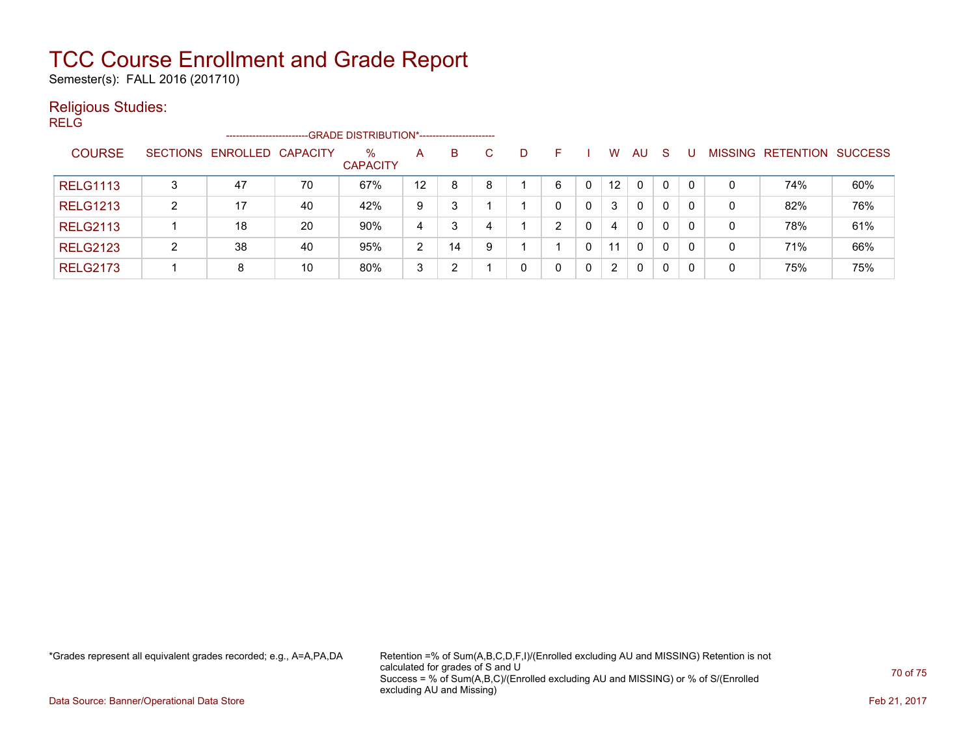Semester(s): FALL 2016 (201710)

#### Religious Studies:

RELG -------------------------GRADE DISTRIBUTION\*----------------------- COURSE SECTIONS ENROLLED CAPACITY % **CAPACITY** A B C D F I W AU S U MISSING RETENTION SUCCESS RELG1113 | 3 | 47 | 70 | 67% | 12 | 8 | 8 | 1 | 6 | 0 | 12 | 0 | 0 | 0 | 0 | 74% | 60% RELG1213 | 2 | 17 | 40 | 42% | 9 | 3 | 1 | 1 | 0 | 0 | 3 | 0 | 0 | 0 | 0 | 82% | 76% RELG2113 | 1 | 18 | 20 | 90% | 4 | 3 | 4 | 1 | 2 | 0 | 4 | 0 | 0 | 0 | 0 | 78% | 61% RELG2123 | 2 | 38 | 40 | 95% | 2 | 14 | 9 | 1 | 1 | 0 | 11 | 0 | 0 | 0 | 0 | 71% | 66% RELG2173 | 1 | 8 | 10 | 80% | 3 | 2 | 1 | 0 | 0 | 0 | 0 | 0 | 0 | 0 | 75% | 75%

\*Grades represent all equivalent grades recorded; e.g., A=A,PA,DA Retention =% of Sum(A,B,C,D,F,I)/(Enrolled excluding AU and MISSING) Retention is not calculated for grades of S and U Success = % of Sum(A,B,C)/(Enrolled excluding AU and MISSING) or % of S/(Enrolled excluding AU and Missing)

Data Source: Banner/Operational Data Store **Feb 21, 2017 Contract Store Feb 21, 2017**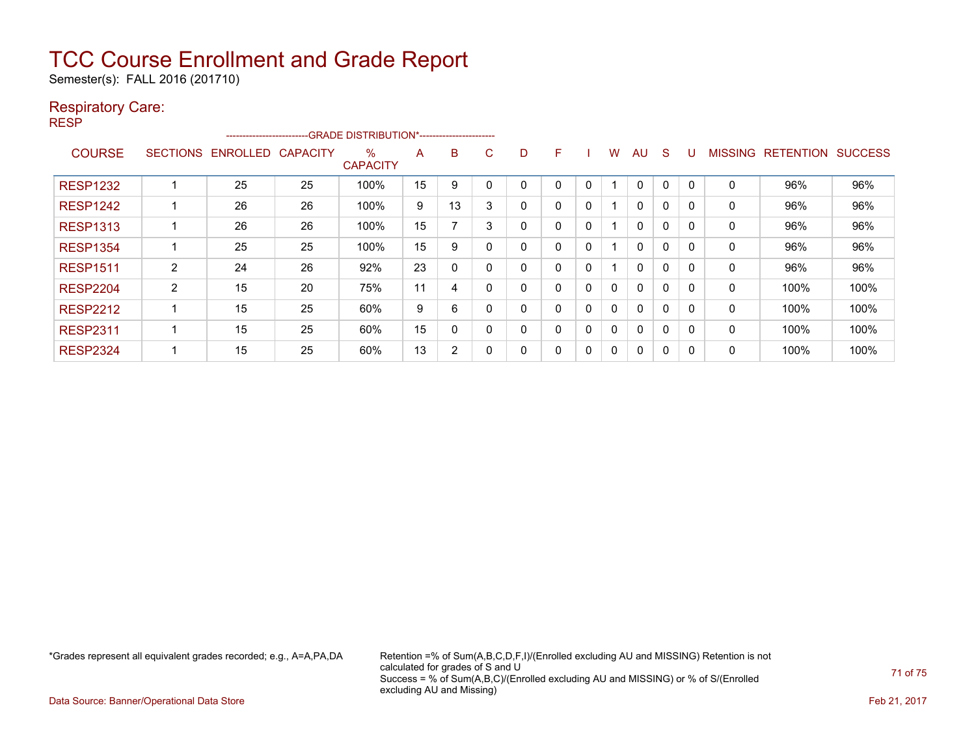Semester(s): FALL 2016 (201710)

### Respiratory Care:

RESP

|                 |                 |                 |                 | --------------------------GRADE DISTRIBUTION*----------------------- |    |    |         |   |   |          |              |              |             |                |                  |                |
|-----------------|-----------------|-----------------|-----------------|----------------------------------------------------------------------|----|----|---------|---|---|----------|--------------|--------------|-------------|----------------|------------------|----------------|
| <b>COURSE</b>   | <b>SECTIONS</b> | <b>ENROLLED</b> | <b>CAPACITY</b> | $\%$                                                                 | A  | B  | С       | D | F |          | w            | AU           | S           | <b>MISSING</b> | <b>RETENTION</b> | <b>SUCCESS</b> |
|                 |                 |                 |                 | <b>CAPACITY</b>                                                      |    |    |         |   |   |          |              |              |             |                |                  |                |
| <b>RESP1232</b> |                 | 25              | 25              | 100%                                                                 | 15 | 9  |         | 0 | 0 | 0        |              | $\mathbf 0$  | 0           | 0              | 96%              | 96%            |
| <b>RESP1242</b> |                 | 26              | 26              | 100%                                                                 | 9  | 13 | 3       | 0 | 0 | 0        |              | $\mathbf{0}$ | $\mathbf 0$ | 0              | 96%              | 96%            |
| <b>RESP1313</b> |                 | 26              | 26              | 100%                                                                 | 15 |    | ົ<br>J. | 0 | 0 | $\Omega$ |              | $\mathbf{0}$ | 0           | 0              | 96%              | 96%            |
| <b>RESP1354</b> |                 | 25              | 25              | 100%                                                                 | 15 | 9  |         | 0 | 0 | 0        |              | 0            | 0           | 0              | 96%              | 96%            |
| <b>RESP1511</b> | 2               | 24              | 26              | 92%                                                                  | 23 | 0  |         | 0 | 0 | 0        |              | $\mathbf{0}$ | $\mathbf 0$ | $\mathbf{0}$   | 96%              | 96%            |
| <b>RESP2204</b> | 2               | 15              | 20              | 75%                                                                  | 11 | 4  |         | 0 | 0 | 0        | 0            | $\mathbf{0}$ | 0           | 0              | 100%             | 100%           |
| <b>RESP2212</b> |                 | 15              | 25              | 60%                                                                  | 9  | 6  |         | 0 | 0 | 0        | $\mathbf{0}$ | 0            | $\mathbf 0$ | 0              | 100%             | 100%           |
| <b>RESP2311</b> |                 | 15              | 25              | 60%                                                                  | 15 | 0  |         | 0 | 0 | 0        | $\mathbf{0}$ | $\mathbf{0}$ | 0           | $\Omega$       | 100%             | 100%           |
| <b>RESP2324</b> |                 | 15              | 25              | 60%                                                                  | 13 | 2  |         | 0 | 0 | 0        | 0            | $\mathbf{0}$ | 0           | 0              | 100%             | 100%           |

\*Grades represent all equivalent grades recorded; e.g., A=A,PA,DA Retention =% of Sum(A,B,C,D,F,I)/(Enrolled excluding AU and MISSING) Retention is not calculated for grades of S and U Success = % of Sum(A,B,C)/(Enrolled excluding AU and MISSING) or % of S/(Enrolled excluding AU and Missing)

Data Source: Banner/Operational Data Store Feb 21, 2017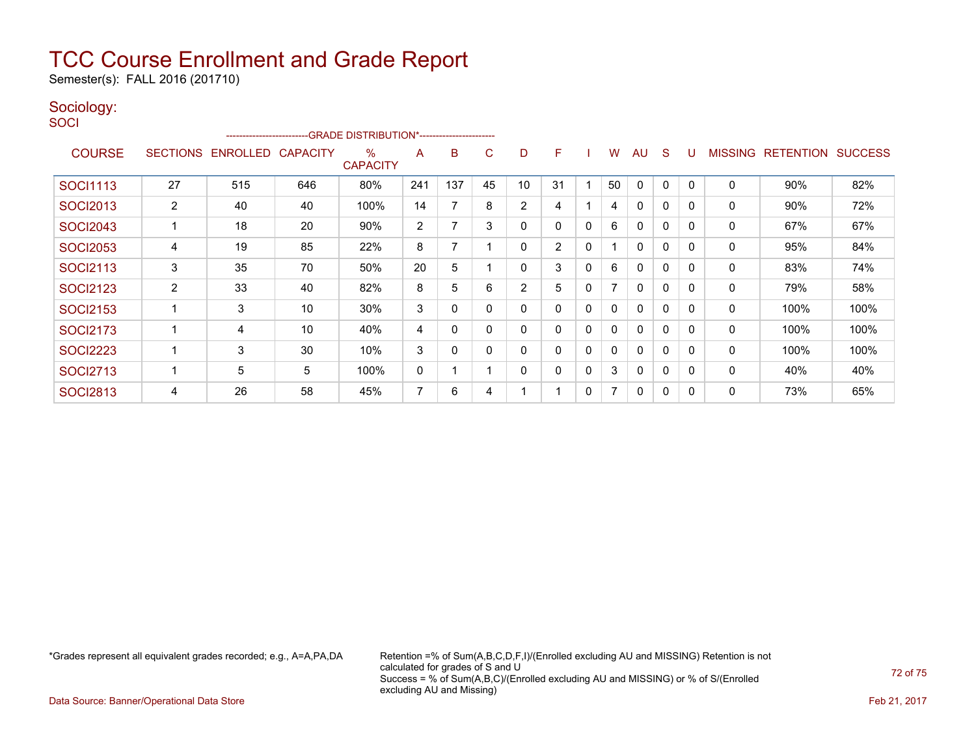Semester(s): FALL 2016 (201710)

#### Sociology: **SOCI**

|                 | -GRADE DISTRIBUTION*---------------------- |                   |     |                      |     |          |             |          |                |              |              |              |              |   |                |                  |                |
|-----------------|--------------------------------------------|-------------------|-----|----------------------|-----|----------|-------------|----------|----------------|--------------|--------------|--------------|--------------|---|----------------|------------------|----------------|
| <b>COURSE</b>   | <b>SECTIONS</b>                            | ENROLLED CAPACITY |     | ℅<br><b>CAPACITY</b> | A   | в        | C           | D        | F              |              | W            | AU           | S            | U | <b>MISSING</b> | <b>RETENTION</b> | <b>SUCCESS</b> |
| <b>SOCI1113</b> | 27                                         | 515               | 646 | 80%                  | 241 | 137      | 45          | 10       | 31             |              | 50           | $\mathbf{0}$ | $\mathbf{0}$ | 0 | $\mathbf{0}$   | 90%              | 82%            |
| <b>SOCI2013</b> | 2                                          | 40                | 40  | 100%                 | 14  | 7        | 8           | 2        | 4              |              | 4            | 0            | $\mathbf{0}$ | 0 | 0              | 90%              | 72%            |
| <b>SOCI2043</b> |                                            | 18                | 20  | 90%                  | 2   | 7        | 3           | $\Omega$ | $\Omega$       | $\mathbf{0}$ | 6            | $\mathbf{0}$ | $\mathbf{0}$ | 0 | $\mathbf{0}$   | 67%              | 67%            |
| <b>SOCI2053</b> | 4                                          | 19                | 85  | 22%                  | 8   | 7        |             | $\Omega$ | $\overline{2}$ | $\mathbf{0}$ |              | $\mathbf{0}$ | $\Omega$     | 0 | 0              | 95%              | 84%            |
| <b>SOCI2113</b> | 3                                          | 35                | 70  | 50%                  | 20  | 5        |             | 0        | 3              | 0            | 6            | 0            | $\mathbf{0}$ | 0 | 0              | 83%              | 74%            |
| <b>SOCI2123</b> | 2                                          | 33                | 40  | 82%                  | 8   | 5        | 6           | 2        | 5              | 0            |              | $\mathbf{0}$ | $\Omega$     | 0 | 0              | 79%              | 58%            |
| <b>SOCI2153</b> |                                            | 3                 | 10  | $30\%$               | 3   | 0        | 0           | 0        | $\Omega$       | $\mathbf{0}$ | 0            | $\mathbf{0}$ | $\Omega$     | 0 | 0              | 100%             | 100%           |
| <b>SOCI2173</b> |                                            | 4                 | 10  | 40%                  | 4   | 0        | $\mathbf 0$ | 0        | $\Omega$       | $\mathbf{0}$ | 0            | 0            | $\mathbf{0}$ | 0 | 0              | 100%             | 100%           |
| <b>SOCI2223</b> |                                            | 3                 | 30  | 10%                  | 3   | $\Omega$ | $\Omega$    | 0        | $\mathbf{0}$   | $\mathbf{0}$ | $\mathbf{0}$ | $\mathbf{0}$ | $\Omega$     | 0 | $\mathbf{0}$   | 100%             | 100%           |
| <b>SOCI2713</b> |                                            | 5                 | 5   | 100%                 | 0   | 1        |             | $\Omega$ | $\Omega$       | $\mathbf{0}$ | 3            | $\mathbf{0}$ | $\mathbf{0}$ | 0 | 0              | 40%              | 40%            |
| <b>SOCI2813</b> | 4                                          | 26                | 58  | 45%                  | 7   | 6        | 4           |          |                | 0            |              | 0            | $\mathbf{0}$ | 0 | 0              | 73%              | 65%            |

\*Grades represent all equivalent grades recorded; e.g., A=A,PA,DA Retention =% of Sum(A,B,C,D,F,I)/(Enrolled excluding AU and MISSING) Retention is not calculated for grades of S and U Success = % of Sum(A,B,C)/(Enrolled excluding AU and MISSING) or % of S/(Enrolled excluding AU and Missing)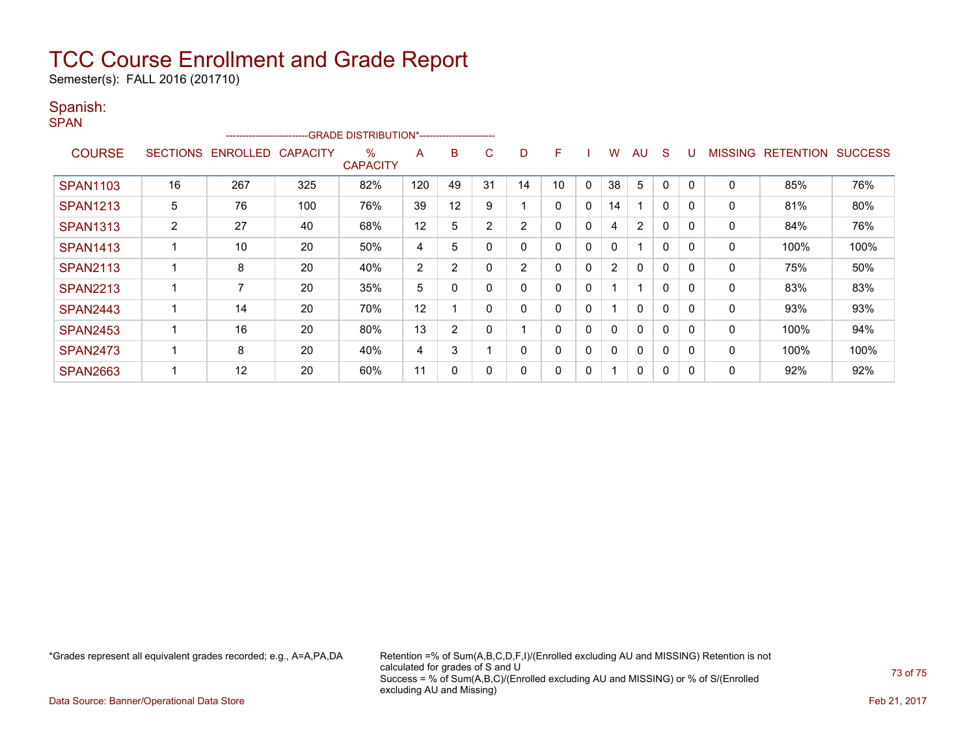# TCC Course Enrollment and Grade Report

Semester(s): FALL 2016 (201710)

### Spanish:

| . .<br>۰. |  |
|-----------|--|

|                 |                 | ------------------------ |                 | -GRADE DISTRIBUTION*----------------------- |                |    |                |                |    |             |                |                |              |          |                |                  |                |
|-----------------|-----------------|--------------------------|-----------------|---------------------------------------------|----------------|----|----------------|----------------|----|-------------|----------------|----------------|--------------|----------|----------------|------------------|----------------|
| <b>COURSE</b>   | <b>SECTIONS</b> | <b>ENROLLED</b>          | <b>CAPACITY</b> | $\%$<br><b>CAPACITY</b>                     | A              | B  | C.             | D              | F  |             | W              | AU             | S            |          | <b>MISSING</b> | <b>RETENTION</b> | <b>SUCCESS</b> |
| <b>SPAN1103</b> | 16              | 267                      | 325             | 82%                                         | 120            | 49 | 31             | 14             | 10 | 0           | 38             | 5              | 0            |          | 0              | 85%              | 76%            |
| <b>SPAN1213</b> | 5               | 76                       | 100             | 76%                                         | 39             | 12 | 9              |                | 0  | 0           | 14             |                | $\mathbf{0}$ | 0        | 0              | 81%              | 80%            |
| <b>SPAN1313</b> | 2               | 27                       | 40              | 68%                                         | 12             | 5  | $\overline{2}$ | $\overline{2}$ | 0  | 0           | 4              | $\overline{2}$ | 0            | $\Omega$ | 0              | 84%              | 76%            |
| <b>SPAN1413</b> |                 | 10                       | 20              | 50%                                         | 4              | 5  | 0              | 0              | 0  | $\mathbf 0$ | 0              |                | $\mathbf{0}$ | 0        | 0              | 100%             | 100%           |
| <b>SPAN2113</b> |                 | 8                        | 20              | 40%                                         | $\overline{2}$ | 2  | $\mathbf{0}$   | $\overline{2}$ | 0  | $\mathbf 0$ | $\overline{2}$ | $\Omega$       | 0            | 0        | 0              | 75%              | 50%            |
| <b>SPAN2213</b> |                 | 7                        | 20              | 35%                                         | 5              | 0  | $\Omega$       | 0              | 0  | $\Omega$    |                |                | $\mathbf{0}$ | $\Omega$ | 0              | 83%              | 83%            |
| <b>SPAN2443</b> |                 | 14                       | 20              | 70%                                         | 12             |    | 0              | 0              | 0  | 0           |                | $\mathbf{0}$   | 0            | 0        | $\mathbf 0$    | 93%              | 93%            |
| <b>SPAN2453</b> |                 | 16                       | 20              | 80%                                         | 13             | 2  | 0              |                | 0  | 0           | 0              | $\mathbf{0}$   | 0            |          | $\mathbf 0$    | 100%             | 94%            |
| <b>SPAN2473</b> |                 | 8                        | 20              | 40%                                         | 4              | 3  |                |                | 0  | 0           | 0              | $\Omega$       | 0            | 0        | 0              | 100%             | 100%           |
| <b>SPAN2663</b> |                 | 12                       | 20              | 60%                                         | 11             | 0  | 0              |                | 0  | 0           |                | 0              | 0            | 0        | 0              | 92%              | 92%            |

\*Grades represent all equivalent grades recorded; e.g., A=A,PA,DA Retention =% of Sum(A,B,C,D,F,I)/(Enrolled excluding AU and MISSING) Retention is not calculated for grades of S and U Success = % of Sum(A,B,C)/(Enrolled excluding AU and MISSING) or % of S/(Enrolled excluding AU and Missing)

73 of 75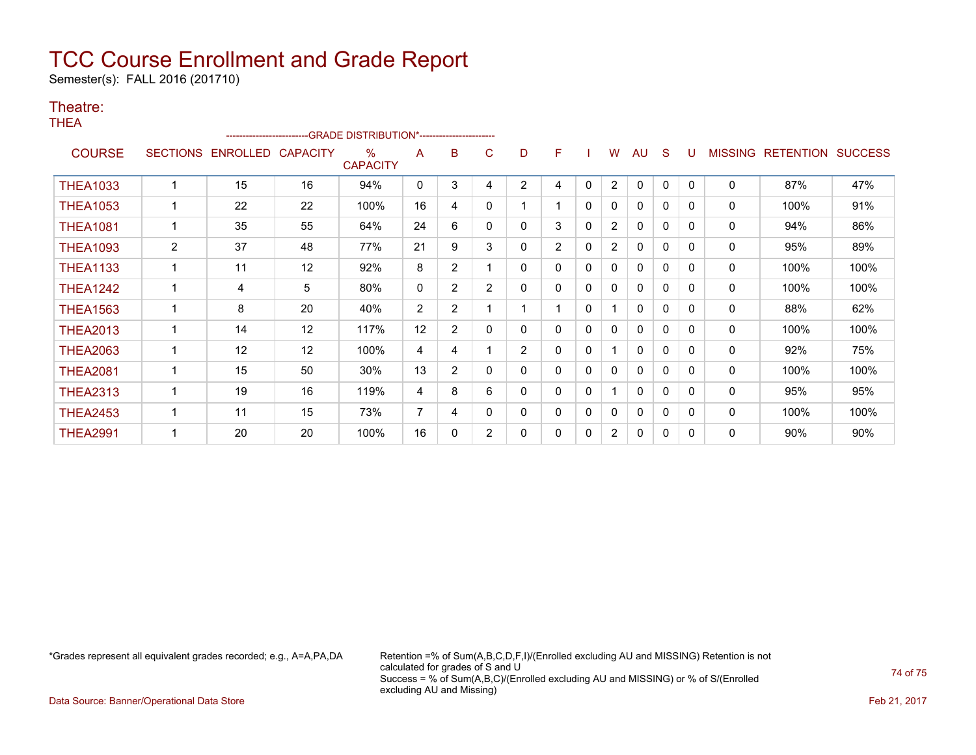# TCC Course Enrollment and Grade Report

Semester(s): FALL 2016 (201710)

### Theatre:

THEA

|                 |                 |          |                 | -GRADE DISTRIBUTION*---------------------- |                |                |                |                |                |          |                |              |              |              |                |                  |                |
|-----------------|-----------------|----------|-----------------|--------------------------------------------|----------------|----------------|----------------|----------------|----------------|----------|----------------|--------------|--------------|--------------|----------------|------------------|----------------|
| <b>COURSE</b>   | <b>SECTIONS</b> | ENROLLED | <b>CAPACITY</b> | $\%$<br><b>CAPACITY</b>                    | A              | B              | C              | D              | F              |          | W              | AU           | S            | U            | <b>MISSING</b> | <b>RETENTION</b> | <b>SUCCESS</b> |
| <b>THEA1033</b> |                 | 15       | 16              | 94%                                        | 0              | 3              | 4              | $\overline{2}$ | 4              | $\Omega$ | $\overline{2}$ | 0            | 0            | $\mathbf{0}$ | 0              | 87%              | 47%            |
| <b>THEA1053</b> |                 | 22       | 22              | 100%                                       | 16             | 4              | 0              |                |                | 0        | 0              | $\mathbf{0}$ | 0            | $\Omega$     | 0              | 100%             | 91%            |
| <b>THEA1081</b> |                 | 35       | 55              | 64%                                        | 24             | 6              | 0              | 0              | 3              | 0        | $\overline{2}$ | $\mathbf{0}$ | 0            | $\Omega$     | 0              | 94%              | 86%            |
| <b>THEA1093</b> | 2               | 37       | 48              | 77%                                        | 21             | 9              | 3              | 0              | $\overline{2}$ | 0        | $\overline{2}$ | $\mathbf{0}$ | 0            | $\Omega$     | 0              | 95%              | 89%            |
| <b>THEA1133</b> |                 | 11       | 12              | 92%                                        | 8              | $\overline{2}$ |                | 0              | 0              | 0        | 0              | 0            | 0            | $\Omega$     | 0              | 100%             | 100%           |
| <b>THEA1242</b> |                 | 4        | 5               | 80%                                        | 0              | $\overline{2}$ | $\overline{2}$ | 0              | 0              | 0        | 0              | 0            | 0            | $\Omega$     | 0              | 100%             | 100%           |
| <b>THEA1563</b> |                 | 8        | 20              | 40%                                        | $\overline{2}$ | $\overline{2}$ |                |                |                | 0        |                | $\mathbf{0}$ | 0            | <sup>0</sup> | 0              | 88%              | 62%            |
| <b>THEA2013</b> |                 | 14       | 12              | 117%                                       | 12             | $\overline{2}$ | 0              | 0              | 0              | 0        | 0              | 0            | 0            | 0            | 0              | 100%             | 100%           |
| <b>THEA2063</b> |                 | 12       | 12              | 100%                                       | 4              | 4              |                | $\overline{2}$ | 0              | 0        |                | $\mathbf{0}$ | 0            | <sup>0</sup> | 0              | 92%              | 75%            |
| <b>THEA2081</b> |                 | 15       | 50              | $30\%$                                     | 13             | $\overline{2}$ | 0              | 0              | 0              | 0        | 0              | 0            | 0            | $\Omega$     | 0              | 100%             | 100%           |
| <b>THEA2313</b> |                 | 19       | 16              | 119%                                       | 4              | 8              | 6              | 0              | 0              | 0        |                | $\mathbf{0}$ | 0            | 0            | $\mathbf{0}$   | 95%              | 95%            |
| <b>THEA2453</b> |                 | 11       | 15              | 73%                                        | 7              | 4              | 0              | 0              | 0              | 0        | 0              | 0            | $\mathbf{0}$ | 0            | 0              | 100%             | 100%           |
| <b>THEA2991</b> |                 | 20       | 20              | 100%                                       | 16             | 0              | $\overline{2}$ | 0              | 0              | 0        | $\overline{2}$ | 0            | 0            | 0            | 0              | 90%              | 90%            |

\*Grades represent all equivalent grades recorded; e.g., A=A,PA,DA Retention =% of Sum(A,B,C,D,F,I)/(Enrolled excluding AU and MISSING) Retention is not calculated for grades of S and U Success = % of Sum(A,B,C)/(Enrolled excluding AU and MISSING) or % of S/(Enrolled excluding AU and Missing)

74 of 75